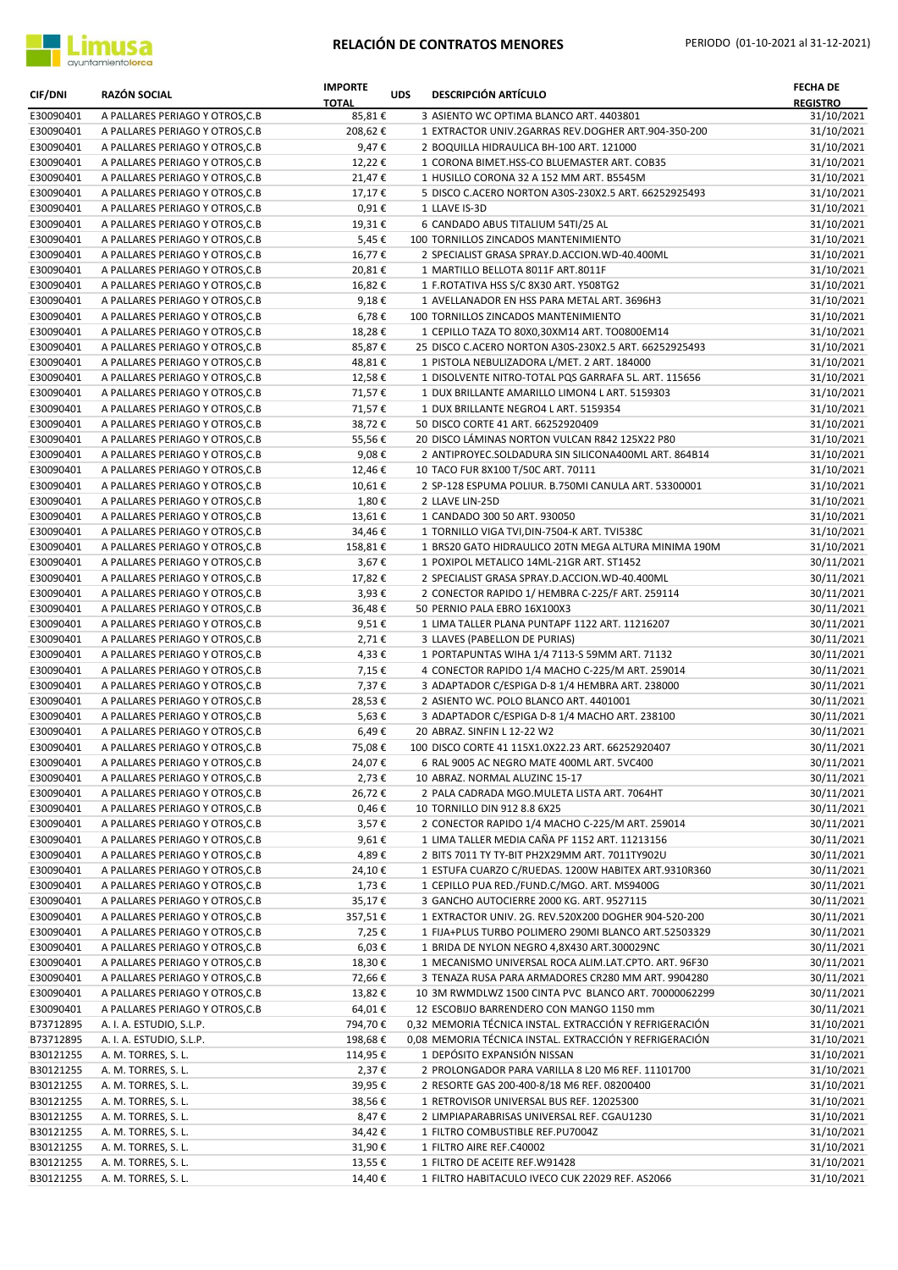

| <b>CIF/DNI</b>         | <b>RAZÓN SOCIAL</b>                                                | <b>IMPORTE</b><br><b>TOTAL</b> | <b>UDS</b> | <b>DESCRIPCIÓN ARTÍCULO</b>                                                                                  | <b>FECHA DE</b><br><b>REGISTRO</b> |
|------------------------|--------------------------------------------------------------------|--------------------------------|------------|--------------------------------------------------------------------------------------------------------------|------------------------------------|
| E30090401              | A PALLARES PERIAGO Y OTROS, C.B                                    | 85,81€                         |            | 3 ASIENTO WC OPTIMA BLANCO ART. 4403801                                                                      | 31/10/2021                         |
| E30090401              | A PALLARES PERIAGO Y OTROS, C.B                                    | 208,62€                        |            | 1 EXTRACTOR UNIV.2GARRAS REV.DOGHER ART.904-350-200                                                          | 31/10/2021                         |
| E30090401              | A PALLARES PERIAGO Y OTROS, C.B                                    | 9,47€                          |            | 2 BOQUILLA HIDRAULICA BH-100 ART. 121000                                                                     | 31/10/2021                         |
| E30090401              | A PALLARES PERIAGO Y OTROS, C.B                                    | 12,22€                         |            | 1 CORONA BIMET.HSS-CO BLUEMASTER ART. COB35                                                                  | 31/10/2021<br>31/10/2021           |
| E30090401<br>E30090401 | A PALLARES PERIAGO Y OTROS, C.B<br>A PALLARES PERIAGO Y OTROS, C.B | 21,47€<br>17,17€               |            | 1 HUSILLO CORONA 32 A 152 MM ART. B5545M<br>5 DISCO C.ACERO NORTON A30S-230X2.5 ART. 66252925493             | 31/10/2021                         |
| E30090401              | A PALLARES PERIAGO Y OTROS, C.B                                    | $0,91 \in$                     |            | 1 LLAVE IS-3D                                                                                                | 31/10/2021                         |
| E30090401              | A PALLARES PERIAGO Y OTROS, C.B                                    | 19,31€                         |            | 6 CANDADO ABUS TITALIUM 54TI/25 AL                                                                           | 31/10/2021                         |
| E30090401              | A PALLARES PERIAGO Y OTROS, C.B                                    | 5,45€                          |            | 100 TORNILLOS ZINCADOS MANTENIMIENTO                                                                         | 31/10/2021                         |
| E30090401              | A PALLARES PERIAGO Y OTROS, C.B                                    | 16,77€                         |            | 2 SPECIALIST GRASA SPRAY.D.ACCION.WD-40.400ML                                                                | 31/10/2021                         |
| E30090401              | A PALLARES PERIAGO Y OTROS, C.B                                    | 20,81€                         |            | 1 MARTILLO BELLOTA 8011F ART.8011F                                                                           | 31/10/2021                         |
| E30090401              | A PALLARES PERIAGO Y OTROS, C.B                                    | 16,82€                         |            | 1 F.ROTATIVA HSS S/C 8X30 ART. Y508TG2                                                                       | 31/10/2021                         |
| E30090401              | A PALLARES PERIAGO Y OTROS, C.B                                    | 9,18€                          |            | 1 AVELLANADOR EN HSS PARA METAL ART. 3696H3                                                                  | 31/10/2021                         |
| E30090401              | A PALLARES PERIAGO Y OTROS, C.B                                    | 6,78€                          |            | 100 TORNILLOS ZINCADOS MANTENIMIENTO                                                                         | 31/10/2021                         |
| E30090401              | A PALLARES PERIAGO Y OTROS, C.B                                    | 18,28€                         |            | 1 CEPILLO TAZA TO 80X0,30XM14 ART. TO0800EM14                                                                | 31/10/2021                         |
| E30090401              | A PALLARES PERIAGO Y OTROS, C.B                                    | 85,87€                         |            | 25 DISCO C.ACERO NORTON A30S-230X2.5 ART. 66252925493                                                        | 31/10/2021                         |
| E30090401<br>E30090401 | A PALLARES PERIAGO Y OTROS, C.B<br>A PALLARES PERIAGO Y OTROS, C.B | 48,81€<br>12,58€               |            | 1 PISTOLA NEBULIZADORA L/MET. 2 ART. 184000<br>1 DISOLVENTE NITRO-TOTAL PQS GARRAFA 5L. ART. 115656          | 31/10/2021<br>31/10/2021           |
| E30090401              | A PALLARES PERIAGO Y OTROS, C.B                                    | 71,57€                         |            | 1 DUX BRILLANTE AMARILLO LIMON4 L ART. 5159303                                                               | 31/10/2021                         |
| E30090401              | A PALLARES PERIAGO Y OTROS, C.B                                    | 71,57€                         |            | 1 DUX BRILLANTE NEGRO4 L ART. 5159354                                                                        | 31/10/2021                         |
| E30090401              | A PALLARES PERIAGO Y OTROS, C.B                                    | 38,72€                         |            | 50 DISCO CORTE 41 ART. 66252920409                                                                           | 31/10/2021                         |
| E30090401              | A PALLARES PERIAGO Y OTROS, C.B                                    | 55,56€                         |            | 20 DISCO LÁMINAS NORTON VULCAN R842 125X22 P80                                                               | 31/10/2021                         |
| E30090401              | A PALLARES PERIAGO Y OTROS, C.B                                    | 9,08€                          |            | 2 ANTIPROYEC.SOLDADURA SIN SILICONA400ML ART. 864B14                                                         | 31/10/2021                         |
| E30090401              | A PALLARES PERIAGO Y OTROS, C.B                                    | 12,46€                         |            | 10 TACO FUR 8X100 T/50C ART. 70111                                                                           | 31/10/2021                         |
| E30090401              | A PALLARES PERIAGO Y OTROS, C.B                                    | 10,61€                         |            | 2 SP-128 ESPUMA POLIUR. B.750MI CANULA ART. 53300001                                                         | 31/10/2021                         |
| E30090401              | A PALLARES PERIAGO Y OTROS, C.B                                    | 1,80€                          |            | 2 LLAVE LIN-25D                                                                                              | 31/10/2021                         |
| E30090401              | A PALLARES PERIAGO Y OTROS, C.B                                    | 13,61€                         |            | 1 CANDADO 300 50 ART. 930050                                                                                 | 31/10/2021                         |
| E30090401              | A PALLARES PERIAGO Y OTROS, C.B                                    | 34,46€                         |            | 1 TORNILLO VIGA TVI, DIN-7504-K ART. TVI538C                                                                 | 31/10/2021                         |
| E30090401              | A PALLARES PERIAGO Y OTROS, C.B                                    | 158,81€                        |            | 1 BRS20 GATO HIDRAULICO 20TN MEGA ALTURA MINIMA 190M                                                         | 31/10/2021                         |
| E30090401<br>E30090401 | A PALLARES PERIAGO Y OTROS, C.B<br>A PALLARES PERIAGO Y OTROS, C.B | 3,67€<br>17,82€                |            | 1 POXIPOL METALICO 14ML-21GR ART. ST1452<br>2 SPECIALIST GRASA SPRAY.D.ACCION.WD-40.400ML                    | 30/11/2021<br>30/11/2021           |
| E30090401              | A PALLARES PERIAGO Y OTROS, C.B                                    | 3,93€                          |            | 2 CONECTOR RAPIDO 1/ HEMBRA C-225/F ART. 259114                                                              | 30/11/2021                         |
| E30090401              | A PALLARES PERIAGO Y OTROS, C.B                                    | 36,48€                         |            | 50 PERNIO PALA EBRO 16X100X3                                                                                 | 30/11/2021                         |
| E30090401              | A PALLARES PERIAGO Y OTROS, C.B                                    | 9,51€                          |            | 1 LIMA TALLER PLANA PUNTAPF 1122 ART. 11216207                                                               | 30/11/2021                         |
| E30090401              | A PALLARES PERIAGO Y OTROS, C.B                                    | 2,71€                          |            | 3 LLAVES (PABELLON DE PURIAS)                                                                                | 30/11/2021                         |
| E30090401              | A PALLARES PERIAGO Y OTROS, C.B                                    | 4,33€                          |            | 1 PORTAPUNTAS WIHA 1/4 7113-S 59MM ART. 71132                                                                | 30/11/2021                         |
| E30090401              | A PALLARES PERIAGO Y OTROS, C.B                                    | 7,15€                          |            | 4 CONECTOR RAPIDO 1/4 MACHO C-225/M ART. 259014                                                              | 30/11/2021                         |
| E30090401              | A PALLARES PERIAGO Y OTROS, C.B                                    | 7,37€                          |            | 3 ADAPTADOR C/ESPIGA D-8 1/4 HEMBRA ART. 238000                                                              | 30/11/2021                         |
| E30090401              | A PALLARES PERIAGO Y OTROS, C.B                                    | 28,53€                         |            | 2 ASIENTO WC. POLO BLANCO ART. 4401001                                                                       | 30/11/2021                         |
| E30090401              | A PALLARES PERIAGO Y OTROS, C.B                                    | 5,63€                          |            | 3 ADAPTADOR C/ESPIGA D-8 1/4 MACHO ART. 238100                                                               | 30/11/2021<br>30/11/2021           |
| E30090401<br>E30090401 | A PALLARES PERIAGO Y OTROS, C.B<br>A PALLARES PERIAGO Y OTROS, C.B | 6,49€<br>75,08€                |            | 20 ABRAZ. SINFIN L 12-22 W2<br>100 DISCO CORTE 41 115X1.0X22.23 ART. 66252920407                             | 30/11/2021                         |
| E30090401              | A PALLARES PERIAGO Y OTROS, C.B                                    | 24,07€                         |            | 6 RAL 9005 AC NEGRO MATE 400ML ART. 5VC400                                                                   | 30/11/2021                         |
| E30090401              | A PALLARES PERIAGO Y OTROS, C.B                                    | 2,73€                          |            | 10 ABRAZ. NORMAL ALUZINC 15-17                                                                               | 30/11/2021                         |
| E30090401              | A PALLARES PERIAGO Y OTROS, C.B                                    | 26,72€                         |            | 2 PALA CADRADA MGO.MULETA LISTA ART. 7064HT                                                                  | 30/11/2021                         |
| E30090401              | A PALLARES PERIAGO Y OTROS, C.B                                    | 0,46€                          |            | 10 TORNILLO DIN 912 8.8 6X25                                                                                 | 30/11/2021                         |
| E30090401              | A PALLARES PERIAGO Y OTROS, C.B                                    | 3,57€                          |            | 2 CONECTOR RAPIDO 1/4 MACHO C-225/M ART. 259014                                                              | 30/11/2021                         |
| E30090401              | A PALLARES PERIAGO Y OTROS, C.B                                    | 9,61€                          |            | 1 LIMA TALLER MEDIA CAÑA PF 1152 ART. 11213156                                                               | 30/11/2021                         |
| E30090401              | A PALLARES PERIAGO Y OTROS, C.B                                    | 4,89€                          |            | 2 BITS 7011 TY TY-BIT PH2X29MM ART. 7011TY902U                                                               | 30/11/2021                         |
| E30090401              | A PALLARES PERIAGO Y OTROS, C.B                                    | 24,10€                         |            | 1 ESTUFA CUARZO C/RUEDAS. 1200W HABITEX ART.9310R360                                                         | 30/11/2021                         |
| E30090401              | A PALLARES PERIAGO Y OTROS, C.B                                    | 1,73€                          |            | 1 CEPILLO PUA RED./FUND.C/MGO. ART. MS9400G                                                                  | 30/11/2021                         |
| E30090401              | A PALLARES PERIAGO Y OTROS, C.B                                    | 35,17€                         |            | 3 GANCHO AUTOCIERRE 2000 KG. ART. 9527115                                                                    | 30/11/2021                         |
| E30090401<br>E30090401 | A PALLARES PERIAGO Y OTROS, C.B<br>A PALLARES PERIAGO Y OTROS, C.B | 357,51€<br>7,25€               |            | 1 EXTRACTOR UNIV. 2G. REV.520X200 DOGHER 904-520-200<br>1 FIJA+PLUS TURBO POLIMERO 290MI BLANCO ART.52503329 | 30/11/2021<br>30/11/2021           |
| E30090401              | A PALLARES PERIAGO Y OTROS, C.B                                    | 6,03€                          |            | 1 BRIDA DE NYLON NEGRO 4,8X430 ART.300029NC                                                                  | 30/11/2021                         |
| E30090401              | A PALLARES PERIAGO Y OTROS, C.B                                    | 18,30€                         |            | 1 MECANISMO UNIVERSAL ROCA ALIM.LAT.CPTO. ART. 96F30                                                         | 30/11/2021                         |
| E30090401              | A PALLARES PERIAGO Y OTROS, C.B                                    | 72,66€                         |            | 3 TENAZA RUSA PARA ARMADORES CR280 MM ART. 9904280                                                           | 30/11/2021                         |
| E30090401              | A PALLARES PERIAGO Y OTROS, C.B                                    | 13,82€                         |            | 10 3M RWMDLWZ 1500 CINTA PVC BLANCO ART. 70000062299                                                         | 30/11/2021                         |
| E30090401              | A PALLARES PERIAGO Y OTROS, C.B                                    | 64,01€                         |            | 12 ESCOBIJO BARRENDERO CON MANGO 1150 mm                                                                     | 30/11/2021                         |
| B73712895              | A. I. A. ESTUDIO, S.L.P.                                           | 794,70€                        |            | 0,32 MEMORIA TÉCNICA INSTAL. EXTRACCIÓN Y REFRIGERACIÓN                                                      | 31/10/2021                         |
| B73712895              | A. I. A. ESTUDIO, S.L.P.                                           | 198,68€                        |            | 0,08 MEMORIA TÉCNICA INSTAL. EXTRACCIÓN Y REFRIGERACIÓN                                                      | 31/10/2021                         |
| B30121255              | A. M. TORRES, S. L.                                                | 114,95€                        |            | 1 DEPÓSITO EXPANSIÓN NISSAN                                                                                  | 31/10/2021                         |
| B30121255              | A. M. TORRES, S. L.                                                | 2,37€                          |            | 2 PROLONGADOR PARA VARILLA 8 L20 M6 REF. 11101700                                                            | 31/10/2021                         |
| B30121255              | A. M. TORRES, S. L.                                                | 39,95€                         |            | 2 RESORTE GAS 200-400-8/18 M6 REF. 08200400                                                                  | 31/10/2021                         |
| B30121255              | A. M. TORRES, S. L.                                                | 38,56€                         |            | 1 RETROVISOR UNIVERSAL BUS REF. 12025300                                                                     | 31/10/2021                         |
| B30121255<br>B30121255 | A. M. TORRES, S. L.<br>A. M. TORRES, S. L.                         | 8,47€<br>34,42€                |            | 2 LIMPIAPARABRISAS UNIVERSAL REF. CGAU1230<br>1 FILTRO COMBUSTIBLE REF.PU7004Z                               | 31/10/2021<br>31/10/2021           |
| B30121255              | A. M. TORRES, S. L.                                                | 31,90€                         |            | 1 FILTRO AIRE REF.C40002                                                                                     | 31/10/2021                         |
| B30121255              | A. M. TORRES, S. L.                                                | 13,55€                         |            | 1 FILTRO DE ACEITE REF.W91428                                                                                | 31/10/2021                         |
| B30121255              | A. M. TORRES, S. L.                                                | 14,40€                         |            | 1 FILTRO HABITACULO IVECO CUK 22029 REF. AS2066                                                              | 31/10/2021                         |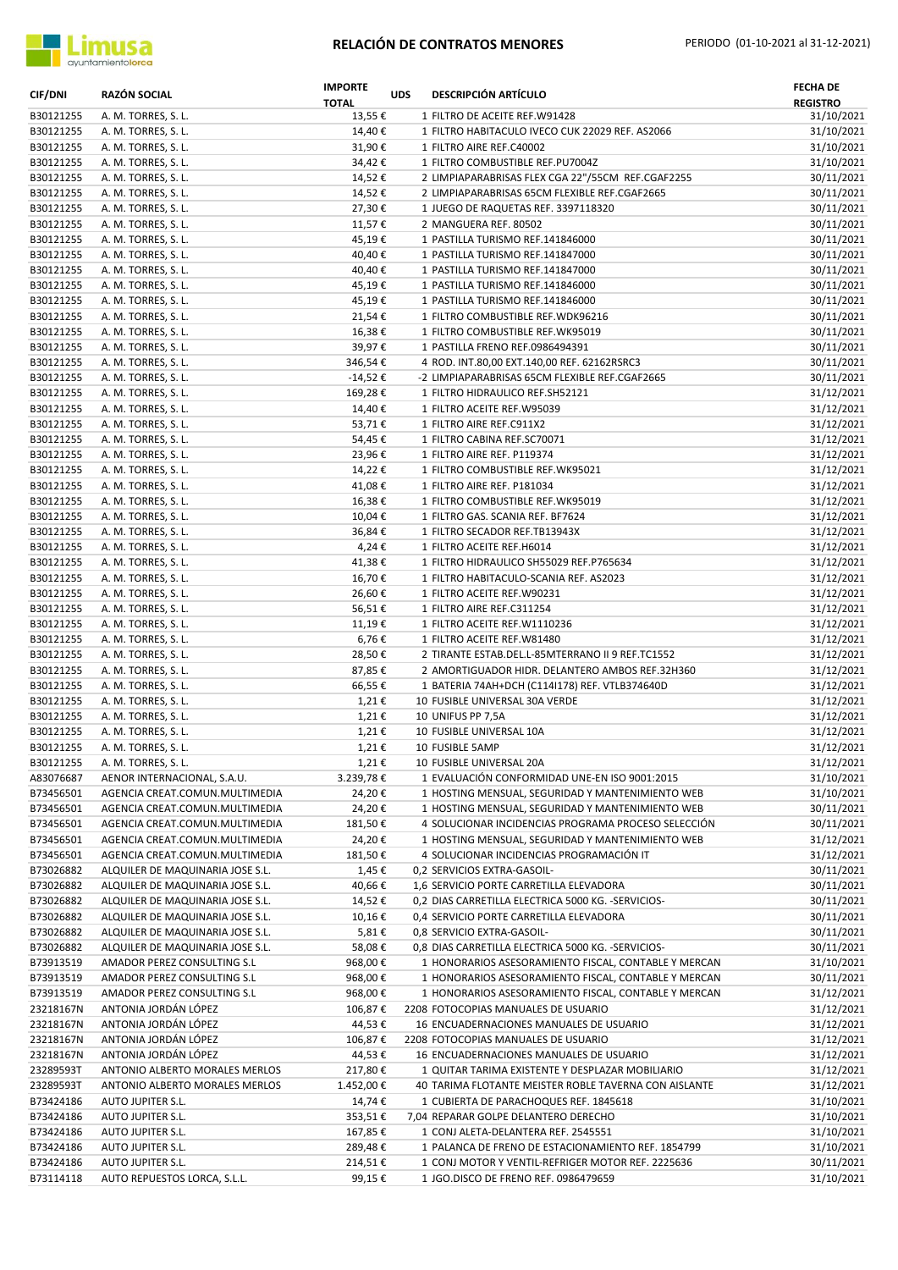

| <b>CIF/DNI</b>         | RAZÓN SOCIAL                                                         | <b>IMPORTE</b><br><b>TOTAL</b> | <b>UDS</b> | <b>DESCRIPCIÓN ARTÍCULO</b>                                                       | <b>FECHA DE</b><br><b>REGISTRO</b> |
|------------------------|----------------------------------------------------------------------|--------------------------------|------------|-----------------------------------------------------------------------------------|------------------------------------|
| B30121255              | A. M. TORRES, S. L.                                                  | 13,55€                         |            | 1 FILTRO DE ACEITE REF.W91428                                                     | 31/10/2021                         |
| B30121255              | A. M. TORRES, S. L.                                                  | 14,40€                         |            | 1 FILTRO HABITACULO IVECO CUK 22029 REF. AS2066                                   | 31/10/2021                         |
| B30121255              | A. M. TORRES, S. L.                                                  | 31,90€                         |            | 1 FILTRO AIRE REF.C40002                                                          | 31/10/2021                         |
| B30121255              | A. M. TORRES, S. L.                                                  | 34,42€                         |            | 1 FILTRO COMBUSTIBLE REF.PU7004Z                                                  | 31/10/2021                         |
| B30121255              | A. M. TORRES, S. L.                                                  | 14,52€                         |            | 2 LIMPIAPARABRISAS FLEX CGA 22"/55CM REF.CGAF2255                                 | 30/11/2021                         |
| B30121255<br>B30121255 | A. M. TORRES, S. L.                                                  | 14,52€                         |            | 2 LIMPIAPARABRISAS 65CM FLEXIBLE REF.CGAF2665                                     | 30/11/2021                         |
| B30121255              | A. M. TORRES, S. L.                                                  | 27,30€                         |            | 1 JUEGO DE RAQUETAS REF. 3397118320                                               | 30/11/2021                         |
| B30121255              | A. M. TORRES, S. L.<br>A. M. TORRES, S. L.                           | 11,57€<br>45,19€               |            | 2 MANGUERA REF. 80502<br>1 PASTILLA TURISMO REF.141846000                         | 30/11/2021<br>30/11/2021           |
| B30121255              | A. M. TORRES, S. L.                                                  | 40,40€                         |            | 1 PASTILLA TURISMO REF.141847000                                                  | 30/11/2021                         |
| B30121255              | A. M. TORRES, S. L.                                                  | 40,40€                         |            | 1 PASTILLA TURISMO REF.141847000                                                  | 30/11/2021                         |
| B30121255              | A. M. TORRES, S. L.                                                  | 45,19€                         |            | 1 PASTILLA TURISMO REF.141846000                                                  | 30/11/2021                         |
| B30121255              | A. M. TORRES, S. L.                                                  | 45,19€                         |            | 1 PASTILLA TURISMO REF.141846000                                                  | 30/11/2021                         |
| B30121255              | A. M. TORRES, S. L.                                                  | 21,54€                         |            | 1 FILTRO COMBUSTIBLE REF.WDK96216                                                 | 30/11/2021                         |
| B30121255              | A. M. TORRES, S. L.                                                  | 16,38€                         |            | 1 FILTRO COMBUSTIBLE REF.WK95019                                                  | 30/11/2021                         |
| B30121255              | A. M. TORRES, S. L.                                                  | 39,97€                         |            | 1 PASTILLA FRENO REF.0986494391                                                   | 30/11/2021                         |
| B30121255              | A. M. TORRES, S. L.                                                  | 346,54€                        |            | 4 ROD. INT.80,00 EXT.140,00 REF. 62162RSRC3                                       | 30/11/2021                         |
| B30121255              | A. M. TORRES, S. L.                                                  | -14,52 €                       |            | -2 LIMPIAPARABRISAS 65CM FLEXIBLE REF.CGAF2665                                    | 30/11/2021                         |
| B30121255              | A. M. TORRES, S. L.                                                  | 169,28€                        |            | 1 FILTRO HIDRAULICO REF.SH52121                                                   | 31/12/2021                         |
| B30121255              | A. M. TORRES, S. L.                                                  | 14,40€                         |            | 1 FILTRO ACEITE REF.W95039                                                        | 31/12/2021                         |
| B30121255              | A. M. TORRES, S. L.                                                  | 53,71€                         |            | 1 FILTRO AIRE REF.C911X2                                                          | 31/12/2021                         |
| B30121255              | A. M. TORRES, S. L.                                                  | 54,45€                         |            | 1 FILTRO CABINA REF.SC70071                                                       | 31/12/2021                         |
| B30121255              | A. M. TORRES, S. L.                                                  | 23,96€                         |            | 1 FILTRO AIRE REF. P119374                                                        | 31/12/2021                         |
| B30121255              | A. M. TORRES, S. L.                                                  | 14,22€                         |            | 1 FILTRO COMBUSTIBLE REF.WK95021                                                  | 31/12/2021                         |
| B30121255              | A. M. TORRES, S. L.                                                  | 41,08€                         |            | 1 FILTRO AIRE REF. P181034                                                        | 31/12/2021                         |
| B30121255              | A. M. TORRES, S. L.                                                  | 16,38€                         |            | 1 FILTRO COMBUSTIBLE REF.WK95019                                                  | 31/12/2021                         |
| B30121255              | A. M. TORRES, S. L.                                                  | 10,04€                         |            | 1 FILTRO GAS. SCANIA REF. BF7624                                                  | 31/12/2021                         |
| B30121255              | A. M. TORRES, S. L.                                                  | 36,84€                         |            | 1 FILTRO SECADOR REF.TB13943X                                                     | 31/12/2021                         |
| B30121255              | A. M. TORRES, S. L.                                                  | 4,24€                          |            | 1 FILTRO ACEITE REF.H6014                                                         | 31/12/2021                         |
| B30121255<br>B30121255 | A. M. TORRES, S. L.<br>A. M. TORRES, S. L.                           | 41,38€<br>16,70€               |            | 1 FILTRO HIDRAULICO SH55029 REF.P765634<br>1 FILTRO HABITACULO-SCANIA REF. AS2023 | 31/12/2021<br>31/12/2021           |
| B30121255              | A. M. TORRES, S. L.                                                  | 26,60€                         |            | 1 FILTRO ACEITE REF.W90231                                                        | 31/12/2021                         |
| B30121255              | A. M. TORRES, S. L.                                                  | 56,51€                         |            | 1 FILTRO AIRE REF.C311254                                                         | 31/12/2021                         |
| B30121255              | A. M. TORRES, S. L.                                                  | 11,19€                         |            | 1 FILTRO ACEITE REF. W1110236                                                     | 31/12/2021                         |
| B30121255              | A. M. TORRES, S. L.                                                  | 6,76€                          |            | 1 FILTRO ACEITE REF.W81480                                                        | 31/12/2021                         |
| B30121255              | A. M. TORRES, S. L.                                                  | 28,50€                         |            | 2 TIRANTE ESTAB.DEL.L-85MTERRANO II 9 REF.TC1552                                  | 31/12/2021                         |
| B30121255              | A. M. TORRES, S. L.                                                  | 87,85€                         |            | 2 AMORTIGUADOR HIDR. DELANTERO AMBOS REF.32H360                                   | 31/12/2021                         |
| B30121255              | A. M. TORRES, S. L.                                                  | 66,55€                         |            | 1 BATERIA 74AH+DCH (C114I178) REF. VTLB374640D                                    | 31/12/2021                         |
| B30121255              | A. M. TORRES, S. L.                                                  | 1,21€                          |            | 10 FUSIBLE UNIVERSAL 30A VERDE                                                    | 31/12/2021                         |
| B30121255              | A. M. TORRES, S. L.                                                  | 1,21€                          |            | 10 UNIFUS PP 7,5A                                                                 | 31/12/2021                         |
| B30121255              | A. M. TORRES, S. L.                                                  | 1,21€                          |            | 10 FUSIBLE UNIVERSAL 10A                                                          | 31/12/2021                         |
| B30121255              | A. M. TORRES, S. L.                                                  | 1,21€                          |            | 10 FUSIBLE 5AMP                                                                   | 31/12/2021                         |
| B30121255              | A. M. TORRES, S. L.                                                  | 1,21€                          |            | 10 FUSIBLE UNIVERSAL 20A                                                          | 31/12/2021                         |
| A83076687              | AENOR INTERNACIONAL, S.A.U.                                          | 3.239,78€                      |            | 1 EVALUACIÓN CONFORMIDAD UNE-EN ISO 9001:2015                                     | 31/10/2021                         |
| B73456501              | AGENCIA CREAT.COMUN.MULTIMEDIA                                       | 24,20€                         |            | 1 HOSTING MENSUAL, SEGURIDAD Y MANTENIMIENTO WEB                                  | 31/10/2021                         |
| B73456501              | AGENCIA CREAT.COMUN.MULTIMEDIA                                       | 24,20€                         |            | 1 HOSTING MENSUAL, SEGURIDAD Y MANTENIMIENTO WEB                                  | 30/11/2021                         |
| B73456501              | AGENCIA CREAT.COMUN.MULTIMEDIA                                       | 181,50€                        |            | 4 SOLUCIONAR INCIDENCIAS PROGRAMA PROCESO SELECCIÓN                               | 30/11/2021                         |
| B73456501              | AGENCIA CREAT.COMUN.MULTIMEDIA                                       | 24,20€                         |            | 1 HOSTING MENSUAL, SEGURIDAD Y MANTENIMIENTO WEB                                  | 31/12/2021                         |
| B73456501              | AGENCIA CREAT.COMUN.MULTIMEDIA                                       | 181,50€                        |            | 4 SOLUCIONAR INCIDENCIAS PROGRAMACIÓN IT                                          | 31/12/2021                         |
| B73026882              | ALQUILER DE MAQUINARIA JOSE S.L.                                     | 1,45€                          |            | 0,2 SERVICIOS EXTRA-GASOIL-                                                       | 30/11/2021                         |
| B73026882              | ALQUILER DE MAQUINARIA JOSE S.L.                                     | 40,66€                         |            | 1,6 SERVICIO PORTE CARRETILLA ELEVADORA                                           | 30/11/2021                         |
| B73026882              | ALQUILER DE MAQUINARIA JOSE S.L.                                     | 14,52€                         |            | 0.2 DIAS CARRETILLA ELECTRICA 5000 KG. - SERVICIOS-                               | 30/11/2021                         |
| B73026882              | ALQUILER DE MAQUINARIA JOSE S.L.                                     | 10,16€                         |            | 0,4 SERVICIO PORTE CARRETILLA ELEVADORA                                           | 30/11/2021                         |
| B73026882<br>B73026882 | ALQUILER DE MAQUINARIA JOSE S.L.<br>ALQUILER DE MAQUINARIA JOSE S.L. | 5,81€<br>58,08€                |            | 0,8 SERVICIO EXTRA-GASOIL-<br>0,8 DIAS CARRETILLA ELECTRICA 5000 KG. - SERVICIOS- | 30/11/2021<br>30/11/2021           |
| B73913519              | AMADOR PEREZ CONSULTING S.L                                          | 968,00€                        |            | 1 HONORARIOS ASESORAMIENTO FISCAL, CONTABLE Y MERCAN                              | 31/10/2021                         |
| B73913519              | AMADOR PEREZ CONSULTING S.L                                          | 968,00€                        |            | 1 HONORARIOS ASESORAMIENTO FISCAL, CONTABLE Y MERCAN                              | 30/11/2021                         |
| B73913519              | AMADOR PEREZ CONSULTING S.L                                          | 968,00€                        |            | 1 HONORARIOS ASESORAMIENTO FISCAL, CONTABLE Y MERCAN                              | 31/12/2021                         |
| 23218167N              | ANTONIA JORDÁN LÓPEZ                                                 | 106,87€                        |            | 2208 FOTOCOPIAS MANUALES DE USUARIO                                               | 31/12/2021                         |
| 23218167N              | ANTONIA JORDÁN LÓPEZ                                                 | 44,53€                         |            | 16 ENCUADERNACIONES MANUALES DE USUARIO                                           | 31/12/2021                         |
| 23218167N              | ANTONIA JORDÁN LÓPEZ                                                 | 106,87€                        |            | 2208 FOTOCOPIAS MANUALES DE USUARIO                                               | 31/12/2021                         |
| 23218167N              | ANTONIA JORDÁN LÓPEZ                                                 | 44,53€                         |            | 16 ENCUADERNACIONES MANUALES DE USUARIO                                           | 31/12/2021                         |
| 23289593T              | ANTONIO ALBERTO MORALES MERLOS                                       | 217,80€                        |            | 1 QUITAR TARIMA EXISTENTE Y DESPLAZAR MOBILIARIO                                  | 31/12/2021                         |
| 23289593T              | ANTONIO ALBERTO MORALES MERLOS                                       | 1.452,00 €                     |            | 40 TARIMA FLOTANTE MEISTER ROBLE TAVERNA CON AISLANTE                             | 31/12/2021                         |
| B73424186              | AUTO JUPITER S.L.                                                    | 14,74€                         |            | 1 CUBIERTA DE PARACHOQUES REF. 1845618                                            | 31/10/2021                         |
| B73424186              | AUTO JUPITER S.L.                                                    | 353,51€                        |            | 7,04 REPARAR GOLPE DELANTERO DERECHO                                              | 31/10/2021                         |
| B73424186              | AUTO JUPITER S.L.                                                    | 167,85€                        |            | 1 CONJ ALETA-DELANTERA REF. 2545551                                               | 31/10/2021                         |
| B73424186              | AUTO JUPITER S.L.                                                    | 289,48€                        |            | 1 PALANCA DE FRENO DE ESTACIONAMIENTO REF. 1854799                                | 31/10/2021                         |
| B73424186              | AUTO JUPITER S.L.                                                    | 214,51€                        |            | 1 CONJ MOTOR Y VENTIL-REFRIGER MOTOR REF. 2225636                                 | 30/11/2021                         |
| B73114118              | AUTO REPUESTOS LORCA, S.L.L.                                         | 99,15€                         |            | 1 JGO.DISCO DE FRENO REF. 0986479659                                              | 31/10/2021                         |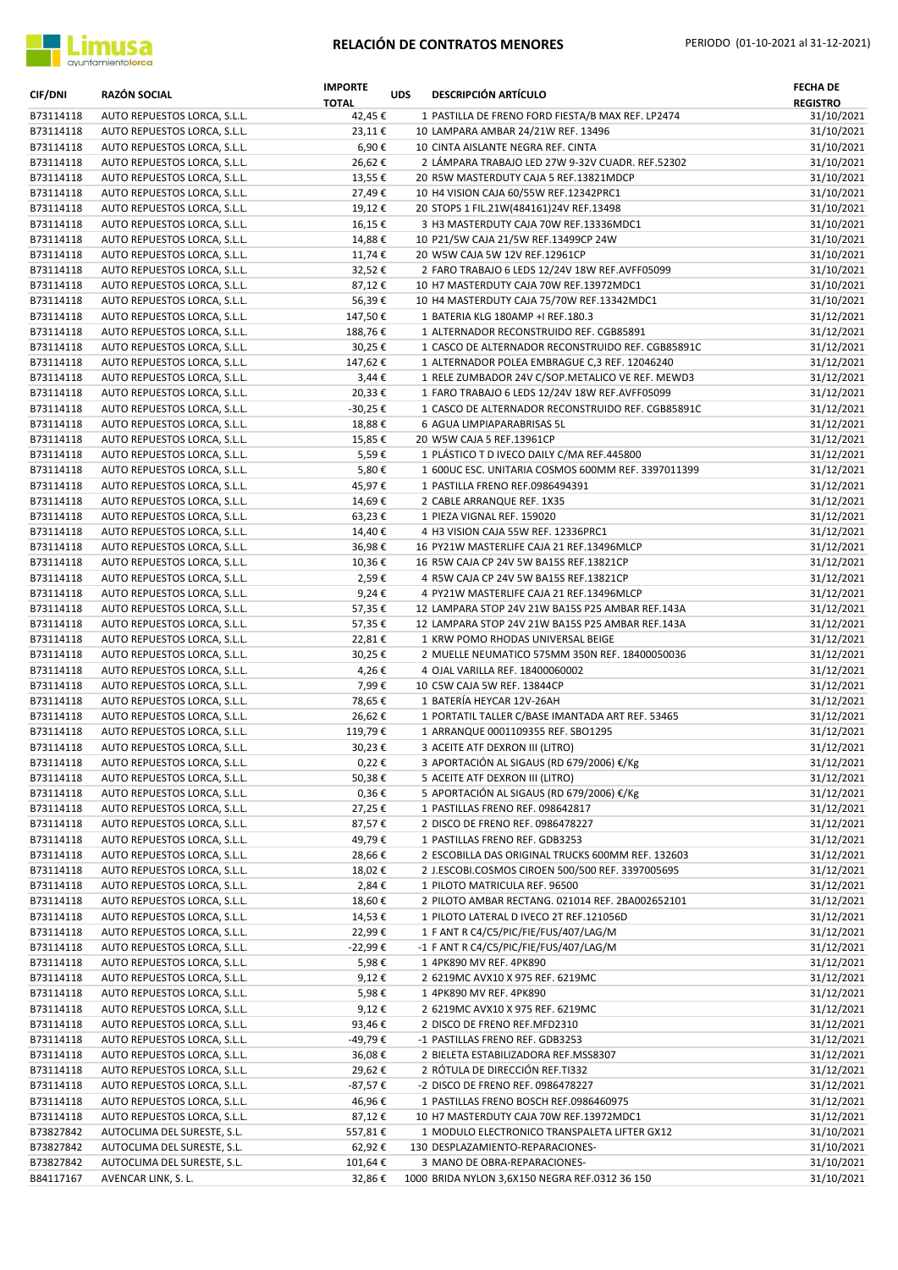

| <b>CIF/DNI</b>         | <b>RAZÓN SOCIAL</b>                                          | <b>IMPORTE</b><br><b>TOTAL</b> | <b>UDS</b> | <b>DESCRIPCIÓN ARTÍCULO</b>                                                                | <b>FECHA DE</b><br><b>REGISTRO</b> |
|------------------------|--------------------------------------------------------------|--------------------------------|------------|--------------------------------------------------------------------------------------------|------------------------------------|
| B73114118              | AUTO REPUESTOS LORCA, S.L.L.                                 | 42,45 €                        |            | 1 PASTILLA DE FRENO FORD FIESTA/B MAX REF. LP2474                                          | 31/10/2021                         |
| B73114118              | AUTO REPUESTOS LORCA, S.L.L.                                 | 23,11€                         |            | 10 LAMPARA AMBAR 24/21W REF. 13496                                                         | 31/10/2021                         |
| B73114118              | AUTO REPUESTOS LORCA, S.L.L.                                 | 6,90€                          |            | 10 CINTA AISLANTE NEGRA REF. CINTA                                                         | 31/10/2021                         |
| B73114118<br>B73114118 | AUTO REPUESTOS LORCA, S.L.L.<br>AUTO REPUESTOS LORCA, S.L.L. | 26,62€<br>13,55€               |            | 2 LÁMPARA TRABAJO LED 27W 9-32V CUADR. REF.52302<br>20 R5W MASTERDUTY CAJA 5 REF.13821MDCP | 31/10/2021<br>31/10/2021           |
| B73114118              | AUTO REPUESTOS LORCA, S.L.L.                                 | 27,49€                         |            | 10 H4 VISION CAJA 60/55W REF.12342PRC1                                                     | 31/10/2021                         |
| B73114118              | AUTO REPUESTOS LORCA, S.L.L.                                 | 19,12€                         |            | 20 STOPS 1 FIL.21W(484161)24V REF.13498                                                    | 31/10/2021                         |
| B73114118              | AUTO REPUESTOS LORCA, S.L.L.                                 | 16,15€                         |            | 3 H3 MASTERDUTY CAJA 70W REF.13336MDC1                                                     | 31/10/2021                         |
| B73114118              | AUTO REPUESTOS LORCA, S.L.L.                                 | 14,88€                         |            | 10 P21/5W CAJA 21/5W REF.13499CP 24W                                                       | 31/10/2021                         |
| B73114118              | AUTO REPUESTOS LORCA, S.L.L.                                 | 11,74€                         |            | 20 W5W CAJA 5W 12V REF.12961CP                                                             | 31/10/2021                         |
| B73114118              | AUTO REPUESTOS LORCA, S.L.L.                                 | 32,52€                         |            | 2 FARO TRABAJO 6 LEDS 12/24V 18W REF.AVFF05099                                             | 31/10/2021                         |
| B73114118              | AUTO REPUESTOS LORCA, S.L.L.                                 | 87,12€                         |            | 10 H7 MASTERDUTY CAJA 70W REF.13972MDC1                                                    | 31/10/2021                         |
| B73114118              | AUTO REPUESTOS LORCA, S.L.L.                                 | 56,39€                         |            | 10 H4 MASTERDUTY CAJA 75/70W REF.13342MDC1                                                 | 31/10/2021                         |
| B73114118              | AUTO REPUESTOS LORCA, S.L.L.                                 | 147,50€                        |            | 1 BATERIA KLG 180AMP +I REF.180.3                                                          | 31/12/2021                         |
| B73114118              | AUTO REPUESTOS LORCA, S.L.L.                                 | 188,76€                        |            | 1 ALTERNADOR RECONSTRUIDO REF. CGB85891                                                    | 31/12/2021                         |
| B73114118              | AUTO REPUESTOS LORCA, S.L.L.                                 | 30,25€                         |            | 1 CASCO DE ALTERNADOR RECONSTRUIDO REF. CGB85891C                                          | 31/12/2021                         |
| B73114118              | AUTO REPUESTOS LORCA, S.L.L.                                 | 147,62€                        |            | 1 ALTERNADOR POLEA EMBRAGUE C,3 REF. 12046240                                              | 31/12/2021                         |
| B73114118              | AUTO REPUESTOS LORCA, S.L.L.                                 | 3,44€                          |            | 1 RELE ZUMBADOR 24V C/SOP.METALICO VE REF. MEWD3                                           | 31/12/2021                         |
| B73114118              | AUTO REPUESTOS LORCA, S.L.L.                                 | 20,33€                         |            | 1 FARO TRABAJO 6 LEDS 12/24V 18W REF.AVFF05099                                             | 31/12/2021                         |
| B73114118<br>B73114118 | AUTO REPUESTOS LORCA, S.L.L.<br>AUTO REPUESTOS LORCA, S.L.L. | -30,25€<br>18,88€              |            | 1 CASCO DE ALTERNADOR RECONSTRUIDO REF. CGB85891C<br>6 AGUA LIMPIAPARABRISAS 5L            | 31/12/2021<br>31/12/2021           |
| B73114118              | AUTO REPUESTOS LORCA, S.L.L.                                 | 15,85€                         |            | 20 W5W CAJA 5 REF.13961CP                                                                  | 31/12/2021                         |
| B73114118              | AUTO REPUESTOS LORCA, S.L.L.                                 | 5,59€                          |            | 1 PLÁSTICO T D IVECO DAILY C/MA REF.445800                                                 | 31/12/2021                         |
| B73114118              | AUTO REPUESTOS LORCA, S.L.L.                                 | 5,80€                          |            | 1 600UC ESC. UNITARIA COSMOS 600MM REF. 3397011399                                         | 31/12/2021                         |
| B73114118              | AUTO REPUESTOS LORCA, S.L.L.                                 | 45,97€                         |            | 1 PASTILLA FRENO REF.0986494391                                                            | 31/12/2021                         |
| B73114118              | AUTO REPUESTOS LORCA, S.L.L.                                 | 14,69€                         |            | 2 CABLE ARRANQUE REF. 1X35                                                                 | 31/12/2021                         |
| B73114118              | AUTO REPUESTOS LORCA, S.L.L.                                 | 63,23€                         |            | 1 PIEZA VIGNAL REF. 159020                                                                 | 31/12/2021                         |
| B73114118              | AUTO REPUESTOS LORCA, S.L.L.                                 | 14,40€                         |            | 4 H3 VISION CAJA 55W REF. 12336PRC1                                                        | 31/12/2021                         |
| B73114118              | AUTO REPUESTOS LORCA, S.L.L.                                 | 36,98€                         |            | 16 PY21W MASTERLIFE CAJA 21 REF.13496MLCP                                                  | 31/12/2021                         |
| B73114118              | AUTO REPUESTOS LORCA, S.L.L.                                 | 10,36€                         |            | 16 R5W CAJA CP 24V 5W BA15S REF.13821CP                                                    | 31/12/2021                         |
| B73114118              | AUTO REPUESTOS LORCA, S.L.L.                                 | 2,59€                          |            | 4 R5W CAJA CP 24V 5W BA15S REF.13821CP                                                     | 31/12/2021                         |
| B73114118              | AUTO REPUESTOS LORCA, S.L.L.                                 | 9,24€                          |            | 4 PY21W MASTERLIFE CAJA 21 REF.13496MLCP                                                   | 31/12/2021                         |
| B73114118              | AUTO REPUESTOS LORCA, S.L.L.                                 | 57,35€                         |            | 12 LAMPARA STOP 24V 21W BA15S P25 AMBAR REF.143A                                           | 31/12/2021                         |
| B73114118              | AUTO REPUESTOS LORCA, S.L.L.                                 | 57,35€                         |            | 12 LAMPARA STOP 24V 21W BA15S P25 AMBAR REF.143A                                           | 31/12/2021                         |
| B73114118<br>B73114118 | AUTO REPUESTOS LORCA, S.L.L.                                 | 22,81€                         |            | 1 KRW POMO RHODAS UNIVERSAL BEIGE<br>2 MUELLE NEUMATICO 575MM 350N REF. 18400050036        | 31/12/2021                         |
| B73114118              | AUTO REPUESTOS LORCA, S.L.L.<br>AUTO REPUESTOS LORCA, S.L.L. | 30,25€<br>4,26€                |            | 4 OJAL VARILLA REF. 18400060002                                                            | 31/12/2021<br>31/12/2021           |
| B73114118              | AUTO REPUESTOS LORCA, S.L.L.                                 | 7,99€                          |            | 10 C5W CAJA 5W REF. 13844CP                                                                | 31/12/2021                         |
| B73114118              | AUTO REPUESTOS LORCA, S.L.L.                                 | 78,65€                         |            | 1 BATERÍA HEYCAR 12V-26AH                                                                  | 31/12/2021                         |
| B73114118              | AUTO REPUESTOS LORCA, S.L.L.                                 | 26,62€                         |            | 1 PORTATIL TALLER C/BASE IMANTADA ART REF. 53465                                           | 31/12/2021                         |
| B73114118              | AUTO REPUESTOS LORCA, S.L.L.                                 | 119,79€                        |            | 1 ARRANQUE 0001109355 REF. SBO1295                                                         | 31/12/2021                         |
| B73114118              | AUTO REPUESTOS LORCA, S.L.L.                                 | 30,23€                         |            | 3 ACEITE ATF DEXRON III (LITRO)                                                            | 31/12/2021                         |
| B73114118              | AUTO REPUESTOS LORCA, S.L.L.                                 | 0,22€                          |            | 3 APORTACIÓN AL SIGAUS (RD 679/2006) €/Kg                                                  | 31/12/2021                         |
| B73114118              | AUTO REPUESTOS LORCA, S.L.L.                                 | 50,38€                         |            | 5 ACEITE ATF DEXRON III (LITRO)                                                            | 31/12/2021                         |
| B73114118              | AUTO REPUESTOS LORCA, S.L.L.                                 | $0,36 \in$                     |            | 5 APORTACIÓN AL SIGAUS (RD 679/2006) €/Kg                                                  | 31/12/2021                         |
| B73114118              | AUTO REPUESTOS LORCA, S.L.L.                                 | 27,25€                         |            | 1 PASTILLAS FRENO REF. 098642817                                                           | 31/12/2021                         |
| B73114118              | AUTO REPUESTOS LORCA, S.L.L.                                 | 87,57€                         |            | 2 DISCO DE FRENO REF. 0986478227                                                           | 31/12/2021                         |
| B73114118              | AUTO REPUESTOS LORCA, S.L.L.                                 | 49,79€                         |            | 1 PASTILLAS FRENO REF. GDB3253                                                             | 31/12/2021                         |
| B73114118              | AUTO REPUESTOS LORCA, S.L.L.                                 | 28,66€                         |            | 2 ESCOBILLA DAS ORIGINAL TRUCKS 600MM REF. 132603                                          | 31/12/2021                         |
| B73114118              | AUTO REPUESTOS LORCA, S.L.L.                                 | 18,02€                         |            | 2 J.ESCOBI.COSMOS CIROEN 500/500 REF. 3397005695                                           | 31/12/2021                         |
| B73114118<br>B73114118 | AUTO REPUESTOS LORCA, S.L.L.<br>AUTO REPUESTOS LORCA, S.L.L. | 2,84€<br>18,60€                |            | 1 PILOTO MATRICULA REF. 96500<br>2 PILOTO AMBAR RECTANG. 021014 REF. 2BA002652101          | 31/12/2021<br>31/12/2021           |
| B73114118              | AUTO REPUESTOS LORCA, S.L.L.                                 | 14,53€                         |            | 1 PILOTO LATERAL D IVECO 2T REF.121056D                                                    | 31/12/2021                         |
| B73114118              | AUTO REPUESTOS LORCA, S.L.L.                                 | 22,99€                         |            | 1 F ANT R C4/C5/PIC/FIE/FUS/407/LAG/M                                                      | 31/12/2021                         |
| B73114118              | AUTO REPUESTOS LORCA, S.L.L.                                 | -22,99€                        |            | -1 F ANT R C4/C5/PIC/FIE/FUS/407/LAG/M                                                     | 31/12/2021                         |
| B73114118              | AUTO REPUESTOS LORCA, S.L.L.                                 | 5,98€                          |            | 1 4PK890 MV REF. 4PK890                                                                    | 31/12/2021                         |
| B73114118              | AUTO REPUESTOS LORCA, S.L.L.                                 | 9,12€                          |            | 2 6219MC AVX10 X 975 REF. 6219MC                                                           | 31/12/2021                         |
| B73114118              | AUTO REPUESTOS LORCA, S.L.L.                                 | 5,98€                          |            | 1 4PK890 MV REF. 4PK890                                                                    | 31/12/2021                         |
| B73114118              | AUTO REPUESTOS LORCA, S.L.L.                                 | 9,12€                          |            | 2 6219MC AVX10 X 975 REF. 6219MC                                                           | 31/12/2021                         |
| B73114118              | AUTO REPUESTOS LORCA, S.L.L.                                 | 93,46€                         |            | 2 DISCO DE FRENO REF.MFD2310                                                               | 31/12/2021                         |
| B73114118              | AUTO REPUESTOS LORCA, S.L.L.                                 | -49,79€                        |            | -1 PASTILLAS FRENO REF. GDB3253                                                            | 31/12/2021                         |
| B73114118              | AUTO REPUESTOS LORCA, S.L.L.                                 | 36,08€                         |            | 2 BIELETA ESTABILIZADORA REF.MSS8307                                                       | 31/12/2021                         |
| B73114118              | AUTO REPUESTOS LORCA, S.L.L.                                 | 29,62€                         |            | 2 RÓTULA DE DIRECCIÓN REF.TI332                                                            | 31/12/2021                         |
| B73114118              | AUTO REPUESTOS LORCA, S.L.L.                                 | -87,57€                        |            | -2 DISCO DE FRENO REF. 0986478227                                                          | 31/12/2021                         |
| B73114118              | AUTO REPUESTOS LORCA, S.L.L.                                 | 46,96€                         |            | 1 PASTILLAS FRENO BOSCH REF.0986460975                                                     | 31/12/2021                         |
| B73114118              | AUTO REPUESTOS LORCA, S.L.L.                                 | 87,12€                         |            | 10 H7 MASTERDUTY CAJA 70W REF.13972MDC1                                                    | 31/12/2021                         |
| B73827842              | AUTOCLIMA DEL SURESTE, S.L.                                  | 557,81€                        |            | 1 MODULO ELECTRONICO TRANSPALETA LIFTER GX12                                               | 31/10/2021                         |
| B73827842              | AUTOCLIMA DEL SURESTE, S.L.                                  | 62,92€                         |            | 130 DESPLAZAMIENTO-REPARACIONES-                                                           | 31/10/2021<br>31/10/2021           |
| B73827842<br>B84117167 | AUTOCLIMA DEL SURESTE, S.L.<br>AVENCAR LINK, S. L.           | 101,64€<br>32,86€              |            | 3 MANO DE OBRA-REPARACIONES-<br>1000 BRIDA NYLON 3,6X150 NEGRA REF.0312 36 150             | 31/10/2021                         |
|                        |                                                              |                                |            |                                                                                            |                                    |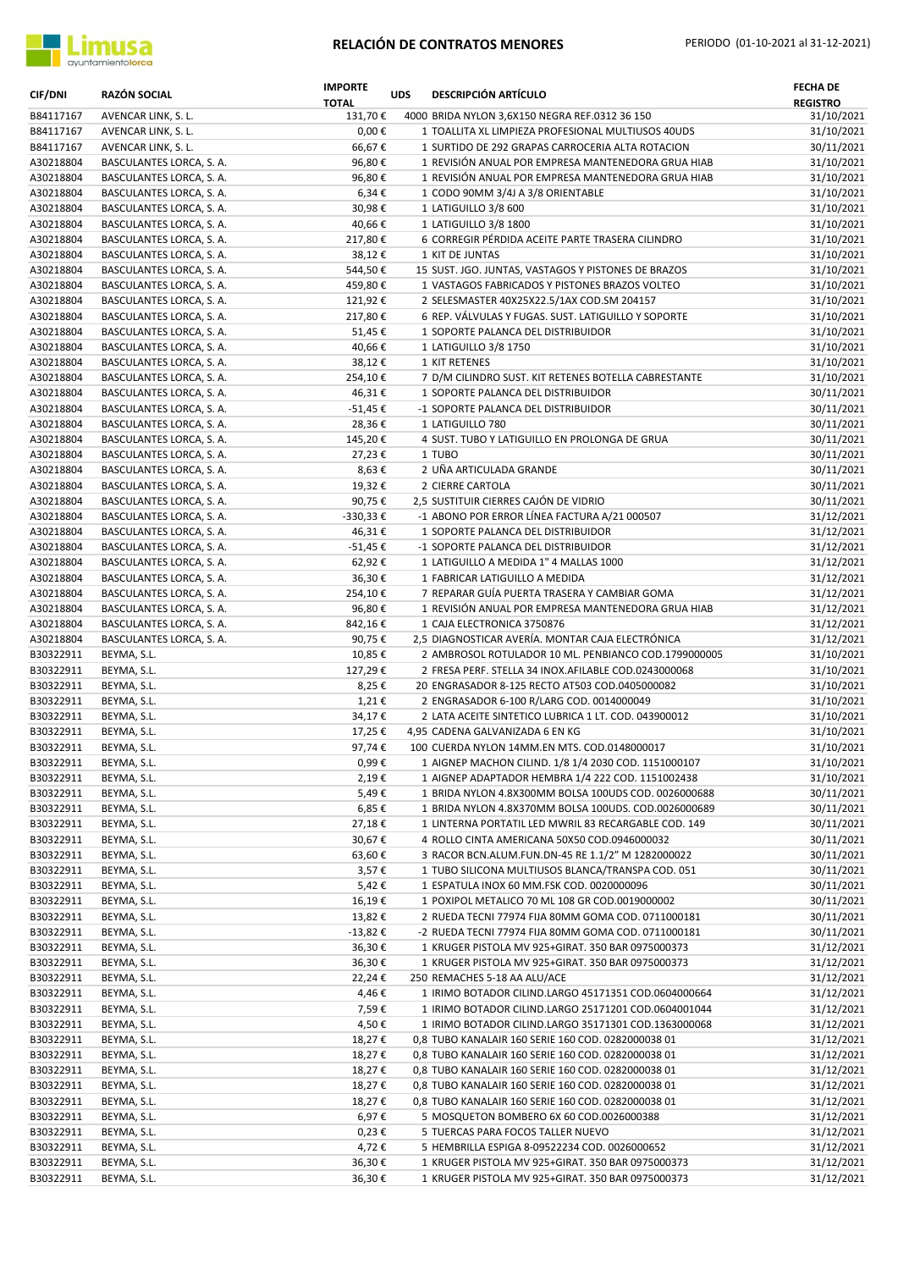

| <b>CIF/DNI</b>         | <b>RAZÓN SOCIAL</b>                                  | <b>IMPORTE</b><br><b>TOTAL</b> | <b>UDS</b> | <b>DESCRIPCIÓN ARTÍCULO</b>                                                                              | <b>FECHA DE</b><br><b>REGISTRO</b> |
|------------------------|------------------------------------------------------|--------------------------------|------------|----------------------------------------------------------------------------------------------------------|------------------------------------|
| B84117167              | AVENCAR LINK, S. L.                                  | 131,70€                        |            | 4000 BRIDA NYLON 3,6X150 NEGRA REF.0312 36 150                                                           | 31/10/2021                         |
| B84117167              | AVENCAR LINK, S. L.                                  | $0,00 \in$                     |            | 1 TOALLITA XL LIMPIEZA PROFESIONAL MULTIUSOS 40UDS                                                       | 31/10/2021                         |
| B84117167              | AVENCAR LINK, S. L.                                  | 66,67€                         |            | 1 SURTIDO DE 292 GRAPAS CARROCERIA ALTA ROTACION                                                         | 30/11/2021                         |
| A30218804              | BASCULANTES LORCA, S. A.                             | 96,80€                         |            | 1 REVISIÓN ANUAL POR EMPRESA MANTENEDORA GRUA HIAB                                                       | 31/10/2021                         |
| A30218804              | BASCULANTES LORCA, S. A.                             | 96,80€                         |            | 1 REVISIÓN ANUAL POR EMPRESA MANTENEDORA GRUA HIAB                                                       | 31/10/2021                         |
| A30218804              | BASCULANTES LORCA, S. A.                             | 6,34€                          |            | 1 CODO 90MM 3/4J A 3/8 ORIENTABLE                                                                        | 31/10/2021                         |
| A30218804              | BASCULANTES LORCA, S. A.                             | 30,98€                         |            | 1 LATIGUILLO 3/8 600                                                                                     | 31/10/2021                         |
| A30218804              | BASCULANTES LORCA, S. A.                             | 40,66€                         |            | 1 LATIGUILLO 3/8 1800                                                                                    | 31/10/2021                         |
| A30218804              | BASCULANTES LORCA, S. A.                             | 217,80€                        |            | 6 CORREGIR PÉRDIDA ACEITE PARTE TRASERA CILINDRO                                                         | 31/10/2021                         |
| A30218804<br>A30218804 | BASCULANTES LORCA, S. A.<br>BASCULANTES LORCA, S. A. | 38,12€<br>544,50€              |            | 1 KIT DE JUNTAS<br>15 SUST. JGO. JUNTAS, VASTAGOS Y PISTONES DE BRAZOS                                   | 31/10/2021<br>31/10/2021           |
| A30218804              | BASCULANTES LORCA, S. A.                             | 459,80€                        |            | 1 VASTAGOS FABRICADOS Y PISTONES BRAZOS VOLTEO                                                           | 31/10/2021                         |
| A30218804              | BASCULANTES LORCA, S. A.                             | 121,92€                        |            | 2 SELESMASTER 40X25X22.5/1AX COD.SM 204157                                                               | 31/10/2021                         |
| A30218804              | BASCULANTES LORCA, S. A.                             | 217,80€                        |            | 6 REP. VÁLVULAS Y FUGAS. SUST. LATIGUILLO Y SOPORTE                                                      | 31/10/2021                         |
| A30218804              | BASCULANTES LORCA, S. A.                             | 51,45€                         |            | 1 SOPORTE PALANCA DEL DISTRIBUIDOR                                                                       | 31/10/2021                         |
| A30218804              | BASCULANTES LORCA, S. A.                             | 40,66€                         |            | 1 LATIGUILLO 3/8 1750                                                                                    | 31/10/2021                         |
| A30218804              | BASCULANTES LORCA, S. A.                             | 38,12€                         |            | 1 KIT RETENES                                                                                            | 31/10/2021                         |
| A30218804              | BASCULANTES LORCA, S. A.                             | 254,10€                        |            | 7 D/M CILINDRO SUST. KIT RETENES BOTELLA CABRESTANTE                                                     | 31/10/2021                         |
| A30218804              | BASCULANTES LORCA, S. A.                             | 46,31€                         |            | 1 SOPORTE PALANCA DEL DISTRIBUIDOR                                                                       | 30/11/2021                         |
| A30218804              | BASCULANTES LORCA, S. A.                             | -51,45 €                       |            | -1 SOPORTE PALANCA DEL DISTRIBUIDOR                                                                      | 30/11/2021                         |
| A30218804              | BASCULANTES LORCA, S. A.                             | 28,36€                         |            | 1 LATIGUILLO 780                                                                                         | 30/11/2021                         |
| A30218804              | BASCULANTES LORCA, S. A.                             | 145,20€                        |            | 4 SUST. TUBO Y LATIGUILLO EN PROLONGA DE GRUA                                                            | 30/11/2021                         |
| A30218804              | BASCULANTES LORCA, S. A.                             | 27,23€                         |            | 1 TUBO                                                                                                   | 30/11/2021                         |
| A30218804              | BASCULANTES LORCA, S. A.                             | 8,63€                          |            | 2 UÑA ARTICULADA GRANDE                                                                                  | 30/11/2021                         |
| A30218804              | BASCULANTES LORCA, S. A.                             | 19,32€                         |            | 2 CIERRE CARTOLA                                                                                         | 30/11/2021                         |
| A30218804              | BASCULANTES LORCA, S. A.                             | 90,75€                         |            | 2,5 SUSTITUIR CIERRES CAJÓN DE VIDRIO                                                                    | 30/11/2021                         |
| A30218804              | BASCULANTES LORCA, S. A.                             | -330,33€                       |            | -1 ABONO POR ERROR LÍNEA FACTURA A/21 000507                                                             | 31/12/2021                         |
| A30218804              | BASCULANTES LORCA, S. A.                             | 46,31€                         |            | 1 SOPORTE PALANCA DEL DISTRIBUIDOR                                                                       | 31/12/2021                         |
| A30218804              | BASCULANTES LORCA, S. A.                             | -51,45€                        |            | -1 SOPORTE PALANCA DEL DISTRIBUIDOR                                                                      | 31/12/2021                         |
| A30218804              | BASCULANTES LORCA, S. A.                             | 62,92€                         |            | 1 LATIGUILLO A MEDIDA 1" 4 MALLAS 1000                                                                   | 31/12/2021                         |
| A30218804              | BASCULANTES LORCA, S. A.                             | 36,30€                         |            | 1 FABRICAR LATIGUILLO A MEDIDA                                                                           | 31/12/2021                         |
| A30218804              | BASCULANTES LORCA, S. A.                             | 254,10€                        |            | 7 REPARAR GUÍA PUERTA TRASERA Y CAMBIAR GOMA                                                             | 31/12/2021                         |
| A30218804              | BASCULANTES LORCA, S. A.                             | 96,80€                         |            | 1 REVISIÓN ANUAL POR EMPRESA MANTENEDORA GRUA HIAB                                                       | 31/12/2021                         |
| A30218804              | BASCULANTES LORCA, S. A.                             | 842,16€                        |            | 1 CAJA ELECTRONICA 3750876                                                                               | 31/12/2021                         |
| A30218804<br>B30322911 | BASCULANTES LORCA, S. A.<br>BEYMA, S.L.              | 90,75€<br>10,85€               |            | 2,5 DIAGNOSTICAR AVERÍA. MONTAR CAJA ELECTRÓNICA<br>2 AMBROSOL ROTULADOR 10 ML. PENBIANCO COD.1799000005 | 31/12/2021<br>31/10/2021           |
| B30322911              | BEYMA, S.L.                                          | 127,29€                        |            | 2 FRESA PERF. STELLA 34 INOX.AFILABLE COD.0243000068                                                     | 31/10/2021                         |
| B30322911              | BEYMA, S.L.                                          | 8,25€                          |            | 20 ENGRASADOR 8-125 RECTO AT503 COD.0405000082                                                           | 31/10/2021                         |
| B30322911              | BEYMA, S.L.                                          | 1,21€                          |            | 2 ENGRASADOR 6-100 R/LARG COD. 0014000049                                                                | 31/10/2021                         |
| B30322911              | BEYMA, S.L.                                          | 34,17€                         |            | 2 LATA ACEITE SINTETICO LUBRICA 1 LT. COD. 043900012                                                     | 31/10/2021                         |
| B30322911              | BEYMA, S.L.                                          | 17,25€                         |            | 4,95 CADENA GALVANIZADA 6 EN KG                                                                          | 31/10/2021                         |
| B30322911              | BEYMA, S.L.                                          | 97,74€                         |            | 100 CUERDA NYLON 14MM.EN MTS. COD.0148000017                                                             | 31/10/2021                         |
| B30322911              | BEYMA, S.L.                                          | 0,99€                          |            | 1 AIGNEP MACHON CILIND. 1/8 1/4 2030 COD. 1151000107                                                     | 31/10/2021                         |
| B30322911              | BEYMA, S.L.                                          | 2,19€                          |            | 1 AIGNEP ADAPTADOR HEMBRA 1/4 222 COD. 1151002438                                                        | 31/10/2021                         |
| B30322911              | BEYMA, S.L.                                          | 5,49€                          |            | 1 BRIDA NYLON 4.8X300MM BOLSA 100UDS COD. 0026000688                                                     | 30/11/2021                         |
| B30322911              | BEYMA, S.L.                                          | 6,85€                          |            | 1 BRIDA NYLON 4.8X370MM BOLSA 100UDS. COD.0026000689                                                     | 30/11/2021                         |
| B30322911              | BEYMA, S.L.                                          | 27,18€                         |            | 1 LINTERNA PORTATIL LED MWRIL 83 RECARGABLE COD. 149                                                     | 30/11/2021                         |
| B30322911              | BEYMA, S.L.                                          | 30,67€                         |            | 4 ROLLO CINTA AMERICANA 50X50 COD.0946000032                                                             | 30/11/2021                         |
| B30322911              | BEYMA, S.L.                                          | 63,60€                         |            | 3 RACOR BCN.ALUM.FUN.DN-45 RE 1.1/2" M 1282000022                                                        | 30/11/2021                         |
| B30322911              | BEYMA, S.L.                                          | 3,57€                          |            | 1 TUBO SILICONA MULTIUSOS BLANCA/TRANSPA COD. 051                                                        | 30/11/2021                         |
| B30322911              | BEYMA, S.L.                                          | 5,42€                          |            | 1 ESPATULA INOX 60 MM.FSK COD. 0020000096                                                                | 30/11/2021                         |
| B30322911              | BEYMA, S.L.                                          | 16,19€                         |            | 1 POXIPOL METALICO 70 ML 108 GR COD.0019000002                                                           | 30/11/2021                         |
| B30322911              | BEYMA, S.L.                                          | 13,82€                         |            | 2 RUEDA TECNI 77974 FIJA 80MM GOMA COD. 0711000181                                                       | 30/11/2021                         |
| B30322911<br>B30322911 | BEYMA, S.L.<br>BEYMA, S.L.                           | $-13,82€$                      |            | -2 RUEDA TECNI 77974 FIJA 80MM GOMA COD. 0711000181<br>1 KRUGER PISTOLA MV 925+GIRAT. 350 BAR 0975000373 | 30/11/2021                         |
| B30322911              |                                                      | 36,30€                         |            | 1 KRUGER PISTOLA MV 925+GIRAT. 350 BAR 0975000373                                                        | 31/12/2021                         |
| B30322911              | BEYMA, S.L.<br>BEYMA, S.L.                           | 36,30€<br>22,24€               |            | 250 REMACHES 5-18 AA ALU/ACE                                                                             | 31/12/2021<br>31/12/2021           |
| B30322911              | BEYMA, S.L.                                          | 4,46€                          |            | 1 IRIMO BOTADOR CILIND.LARGO 45171351 COD.0604000664                                                     | 31/12/2021                         |
| B30322911              | BEYMA, S.L.                                          | 7,59€                          |            | 1 IRIMO BOTADOR CILIND.LARGO 25171201 COD.0604001044                                                     | 31/12/2021                         |
| B30322911              | BEYMA, S.L.                                          | 4,50€                          |            | 1 IRIMO BOTADOR CILIND.LARGO 35171301 COD.1363000068                                                     | 31/12/2021                         |
| B30322911              | BEYMA, S.L.                                          | 18,27€                         |            | 0,8 TUBO KANALAIR 160 SERIE 160 COD. 0282000038 01                                                       | 31/12/2021                         |
| B30322911              | BEYMA, S.L.                                          | 18,27€                         |            | 0,8 TUBO KANALAIR 160 SERIE 160 COD. 0282000038 01                                                       | 31/12/2021                         |
| B30322911              | BEYMA, S.L.                                          | 18,27€                         |            | 0,8 TUBO KANALAIR 160 SERIE 160 COD. 0282000038 01                                                       | 31/12/2021                         |
| B30322911              | BEYMA, S.L.                                          | 18,27€                         |            | 0,8 TUBO KANALAIR 160 SERIE 160 COD. 0282000038 01                                                       | 31/12/2021                         |
| B30322911              | BEYMA, S.L.                                          | 18,27€                         |            | 0,8 TUBO KANALAIR 160 SERIE 160 COD. 0282000038 01                                                       | 31/12/2021                         |
| B30322911              | BEYMA, S.L.                                          | 6,97€                          |            | 5 MOSQUETON BOMBERO 6X 60 COD.0026000388                                                                 | 31/12/2021                         |
| B30322911              | BEYMA, S.L.                                          | 0,23€                          |            | 5 TUERCAS PARA FOCOS TALLER NUEVO                                                                        | 31/12/2021                         |
| B30322911              | BEYMA, S.L.                                          | 4,72€                          |            | 5 HEMBRILLA ESPIGA 8-09522234 COD. 0026000652                                                            | 31/12/2021                         |
| B30322911              | BEYMA, S.L.                                          | 36,30€                         |            | 1 KRUGER PISTOLA MV 925+GIRAT. 350 BAR 0975000373                                                        | 31/12/2021                         |
| B30322911              | BEYMA, S.L.                                          | 36,30€                         |            | 1 KRUGER PISTOLA MV 925+GIRAT. 350 BAR 0975000373                                                        | 31/12/2021                         |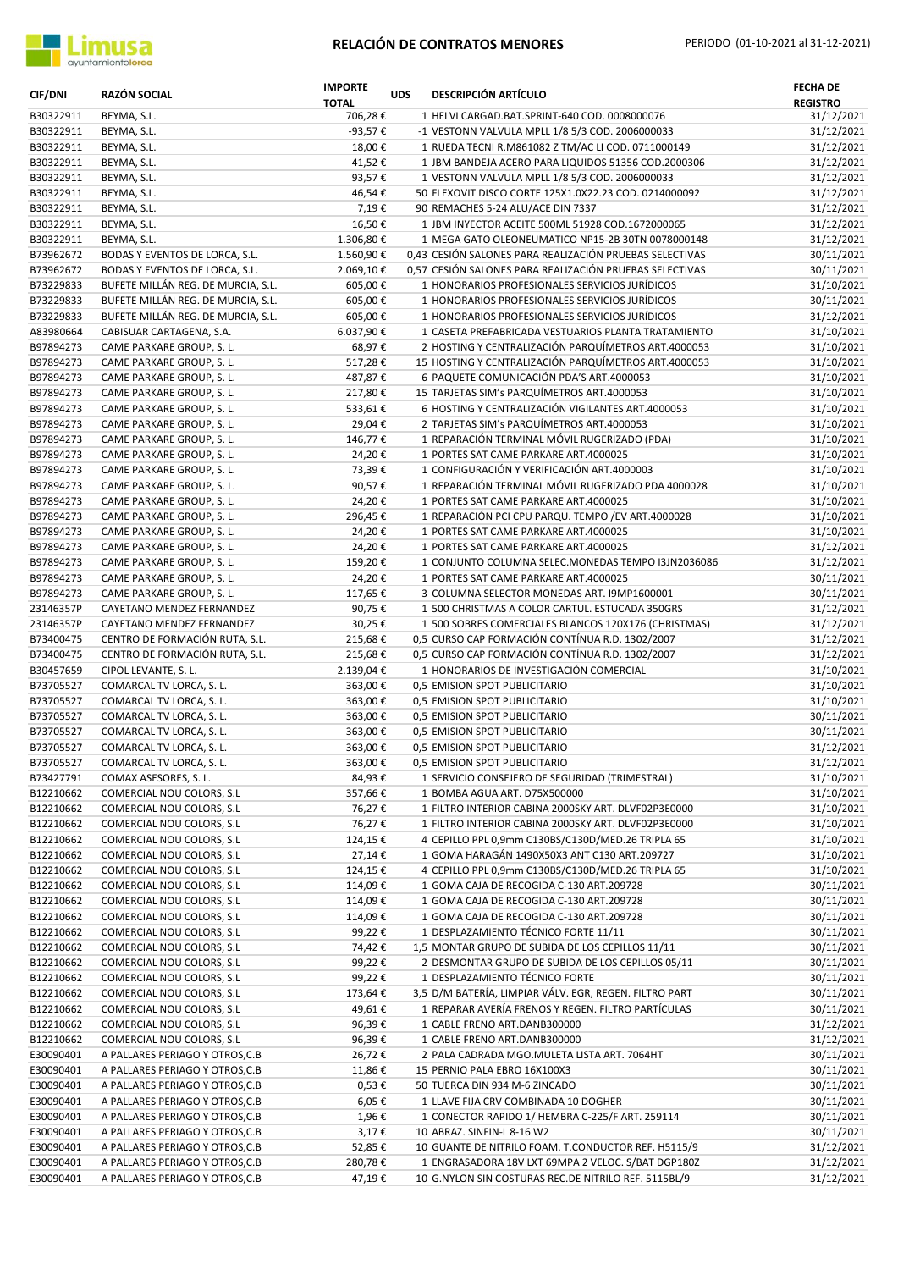

| <b>CIF/DNI</b>         | <b>RAZÓN SOCIAL</b>                                    | <b>IMPORTE</b><br><b>TOTAL</b> | <b>UDS</b> | <b>DESCRIPCIÓN ARTÍCULO</b>                                                                           | <b>FECHA DE</b><br><b>REGISTRO</b> |
|------------------------|--------------------------------------------------------|--------------------------------|------------|-------------------------------------------------------------------------------------------------------|------------------------------------|
| B30322911              | BEYMA, S.L.                                            | 706,28€                        |            | 1 HELVI CARGAD.BAT.SPRINT-640 COD. 0008000076                                                         | 31/12/2021                         |
| B30322911              | BEYMA, S.L.                                            | -93,57€                        |            | -1 VESTONN VALVULA MPLL 1/8 5/3 COD. 2006000033                                                       | 31/12/2021                         |
| B30322911              | BEYMA, S.L.                                            | 18,00€                         |            | 1 RUEDA TECNI R.M861082 Z TM/AC LI COD. 0711000149                                                    | 31/12/2021                         |
| B30322911              | BEYMA, S.L.                                            | 41,52€                         |            | 1 JBM BANDEJA ACERO PARA LIQUIDOS 51356 COD.2000306                                                   | 31/12/2021                         |
| B30322911              | BEYMA, S.L.                                            | 93,57€                         |            | 1 VESTONN VALVULA MPLL 1/8 5/3 COD. 2006000033                                                        | 31/12/2021                         |
| B30322911              | BEYMA, S.L.                                            | 46,54€                         |            | 50 FLEXOVIT DISCO CORTE 125X1.0X22.23 COD. 0214000092                                                 | 31/12/2021                         |
| B30322911              | BEYMA, S.L.                                            | 7,19€                          |            | 90 REMACHES 5-24 ALU/ACE DIN 7337                                                                     | 31/12/2021                         |
| B30322911<br>B30322911 | BEYMA, S.L.<br>BEYMA, S.L.                             | 16,50€<br>1.306,80€            |            | 1 JBM INYECTOR ACEITE 500ML 51928 COD.1672000065<br>1 MEGA GATO OLEONEUMATICO NP15-2B 30TN 0078000148 | 31/12/2021<br>31/12/2021           |
| B73962672              | BODAS Y EVENTOS DE LORCA, S.L.                         | 1.560,90€                      |            | 0,43 CESIÓN SALONES PARA REALIZACIÓN PRUEBAS SELECTIVAS                                               | 30/11/2021                         |
| B73962672              | BODAS Y EVENTOS DE LORCA, S.L.                         | 2.069,10€                      |            | 0,57 CESIÓN SALONES PARA REALIZACIÓN PRUEBAS SELECTIVAS                                               | 30/11/2021                         |
| B73229833              | BUFETE MILLÁN REG. DE MURCIA, S.L.                     | 605,00€                        |            | 1 HONORARIOS PROFESIONALES SERVICIOS JURÍDICOS                                                        | 31/10/2021                         |
| B73229833              | BUFETE MILLÁN REG. DE MURCIA, S.L.                     | 605,00€                        |            | 1 HONORARIOS PROFESIONALES SERVICIOS JURÍDICOS                                                        | 30/11/2021                         |
| B73229833              | BUFETE MILLÁN REG. DE MURCIA, S.L.                     | 605,00€                        |            | 1 HONORARIOS PROFESIONALES SERVICIOS JURÍDICOS                                                        | 31/12/2021                         |
| A83980664              | CABISUAR CARTAGENA, S.A.                               | 6.037,90€                      |            | 1 CASETA PREFABRICADA VESTUARIOS PLANTA TRATAMIENTO                                                   | 31/10/2021                         |
| B97894273              | CAME PARKARE GROUP, S. L.                              | 68,97€                         |            | 2 HOSTING Y CENTRALIZACIÓN PARQUÍMETROS ART.4000053                                                   | 31/10/2021                         |
| B97894273              | CAME PARKARE GROUP, S. L.                              | 517,28€                        |            | 15 HOSTING Y CENTRALIZACIÓN PARQUÍMETROS ART.4000053                                                  | 31/10/2021                         |
| B97894273              | CAME PARKARE GROUP, S. L.                              | 487,87€                        |            | 6 PAQUETE COMUNICACIÓN PDA'S ART.4000053                                                              | 31/10/2021                         |
| B97894273              | CAME PARKARE GROUP, S. L.                              | 217,80€                        |            | 15 TARJETAS SIM's PARQUÍMETROS ART.4000053                                                            | 31/10/2021                         |
| B97894273              | CAME PARKARE GROUP, S. L.                              | 533,61€                        |            | 6 HOSTING Y CENTRALIZACIÓN VIGILANTES ART.4000053                                                     | 31/10/2021                         |
| B97894273              | CAME PARKARE GROUP, S. L.                              | 29,04€                         |            | 2 TARJETAS SIM's PARQUÍMETROS ART.4000053                                                             | 31/10/2021                         |
| B97894273              | CAME PARKARE GROUP, S. L.                              | 146,77€                        |            | 1 REPARACIÓN TERMINAL MÓVIL RUGERIZADO (PDA)                                                          | 31/10/2021                         |
| B97894273              | CAME PARKARE GROUP, S. L.                              | 24,20€                         |            | 1 PORTES SAT CAME PARKARE ART.4000025                                                                 | 31/10/2021                         |
| B97894273              | CAME PARKARE GROUP, S. L.                              | 73,39€                         |            | 1 CONFIGURACIÓN Y VERIFICACIÓN ART.4000003                                                            | 31/10/2021                         |
| B97894273              | CAME PARKARE GROUP, S. L.                              | 90,57€                         |            | 1 REPARACIÓN TERMINAL MÓVIL RUGERIZADO PDA 4000028                                                    | 31/10/2021                         |
| B97894273              | CAME PARKARE GROUP, S. L.                              | 24,20€                         |            | 1 PORTES SAT CAME PARKARE ART.4000025                                                                 | 31/10/2021                         |
| B97894273              | CAME PARKARE GROUP, S. L.                              | 296,45€                        |            | 1 REPARACIÓN PCI CPU PARQU. TEMPO / EV ART.4000028                                                    | 31/10/2021                         |
| B97894273              | CAME PARKARE GROUP, S. L.                              | 24,20€                         |            | 1 PORTES SAT CAME PARKARE ART.4000025                                                                 | 31/10/2021                         |
| B97894273              | CAME PARKARE GROUP, S. L.                              | 24,20€                         |            | 1 PORTES SAT CAME PARKARE ART.4000025                                                                 | 31/12/2021                         |
| B97894273<br>B97894273 | CAME PARKARE GROUP, S. L.<br>CAME PARKARE GROUP, S. L. | 159,20€<br>24,20€              |            | 1 CONJUNTO COLUMNA SELEC.MONEDAS TEMPO I3JN2036086<br>1 PORTES SAT CAME PARKARE ART.4000025           | 31/12/2021<br>30/11/2021           |
| B97894273              | CAME PARKARE GROUP, S. L.                              | 117,65€                        |            | 3 COLUMNA SELECTOR MONEDAS ART. I9MP1600001                                                           | 30/11/2021                         |
| 23146357P              | CAYETANO MENDEZ FERNANDEZ                              | 90,75€                         |            | 1 500 CHRISTMAS A COLOR CARTUL. ESTUCADA 350GRS                                                       | 31/12/2021                         |
| 23146357P              | CAYETANO MENDEZ FERNANDEZ                              | 30,25€                         |            | 1 500 SOBRES COMERCIALES BLANCOS 120X176 (CHRISTMAS)                                                  | 31/12/2021                         |
| B73400475              | CENTRO DE FORMACIÓN RUTA, S.L.                         | 215,68€                        |            | 0,5 CURSO CAP FORMACIÓN CONTÍNUA R.D. 1302/2007                                                       | 31/12/2021                         |
| B73400475              | CENTRO DE FORMACIÓN RUTA, S.L.                         | 215,68€                        |            | 0,5 CURSO CAP FORMACIÓN CONTÍNUA R.D. 1302/2007                                                       | 31/12/2021                         |
| B30457659              | CIPOL LEVANTE, S. L.                                   | 2.139,04€                      |            | 1 HONORARIOS DE INVESTIGACIÓN COMERCIAL                                                               | 31/10/2021                         |
| B73705527              | COMARCAL TV LORCA, S. L.                               | 363,00€                        |            | 0,5 EMISION SPOT PUBLICITARIO                                                                         | 31/10/2021                         |
| B73705527              | COMARCAL TV LORCA, S. L.                               | 363,00€                        |            | 0.5 EMISION SPOT PUBLICITARIO                                                                         | 31/10/2021                         |
| B73705527              | COMARCAL TV LORCA, S. L.                               | 363,00€                        |            | 0,5 EMISION SPOT PUBLICITARIO                                                                         | 30/11/2021                         |
| B73705527              | COMARCAL TV LORCA, S. L.                               | 363,00€                        |            | 0,5 EMISION SPOT PUBLICITARIO                                                                         | 30/11/2021                         |
| B73705527              | COMARCAL TV LORCA, S. L.                               | 363,00€                        |            | 0,5 EMISION SPOT PUBLICITARIO                                                                         | 31/12/2021                         |
| B73705527              | COMARCAL TV LORCA, S. L.                               | 363,00€                        |            | 0,5 EMISION SPOT PUBLICITARIO                                                                         | 31/12/2021                         |
| B73427791              | COMAX ASESORES, S. L.                                  | 84,93€                         |            | 1 SERVICIO CONSEJERO DE SEGURIDAD (TRIMESTRAL)                                                        | 31/10/2021                         |
| B12210662              | COMERCIAL NOU COLORS, S.L                              | 357,66€                        |            | 1 BOMBA AGUA ART. D75X500000                                                                          | 31/10/2021                         |
| B12210662              | COMERCIAL NOU COLORS, S.L                              | 76,27€                         |            | 1 FILTRO INTERIOR CABINA 2000SKY ART. DLVF02P3E0000                                                   | 31/10/2021                         |
| B12210662              | COMERCIAL NOU COLORS, S.L                              | 76,27€                         |            | 1 FILTRO INTERIOR CABINA 2000SKY ART. DLVF02P3E0000                                                   | 31/10/2021                         |
| B12210662              | COMERCIAL NOU COLORS, S.L                              | 124,15€                        |            | 4 CEPILLO PPL 0,9mm C130BS/C130D/MED.26 TRIPLA 65                                                     | 31/10/2021                         |
| B12210662              | COMERCIAL NOU COLORS, S.L                              | 27,14€                         |            | 1 GOMA HARAGÁN 1490X50X3 ANT C130 ART.209727                                                          | 31/10/2021                         |
| B12210662<br>B12210662 | COMERCIAL NOU COLORS, S.L<br>COMERCIAL NOU COLORS, S.L | 124,15€<br>114,09€             |            | 4 CEPILLO PPL 0,9mm C130BS/C130D/MED.26 TRIPLA 65<br>1 GOMA CAJA DE RECOGIDA C-130 ART.209728         | 31/10/2021<br>30/11/2021           |
| B12210662              | COMERCIAL NOU COLORS, S.L                              | 114,09€                        |            | 1 GOMA CAJA DE RECOGIDA C-130 ART.209728                                                              | 30/11/2021                         |
| B12210662              | COMERCIAL NOU COLORS, S.L                              | 114,09€                        |            | 1 GOMA CAJA DE RECOGIDA C-130 ART.209728                                                              | 30/11/2021                         |
| B12210662              | COMERCIAL NOU COLORS, S.L                              | 99,22€                         |            | 1 DESPLAZAMIENTO TÉCNICO FORTE 11/11                                                                  | 30/11/2021                         |
| B12210662              | COMERCIAL NOU COLORS, S.L                              | 74,42€                         |            | 1,5 MONTAR GRUPO DE SUBIDA DE LOS CEPILLOS 11/11                                                      | 30/11/2021                         |
| B12210662              | COMERCIAL NOU COLORS, S.L                              | 99,22€                         |            | 2 DESMONTAR GRUPO DE SUBIDA DE LOS CEPILLOS 05/11                                                     | 30/11/2021                         |
| B12210662              | COMERCIAL NOU COLORS, S.L                              | 99,22€                         |            | 1 DESPLAZAMIENTO TÉCNICO FORTE                                                                        | 30/11/2021                         |
| B12210662              | COMERCIAL NOU COLORS, S.L                              | 173,64€                        |            | 3,5 D/M BATERÍA, LIMPIAR VÁLV. EGR, REGEN. FILTRO PART                                                | 30/11/2021                         |
| B12210662              | COMERCIAL NOU COLORS, S.L                              | 49,61€                         |            | 1 REPARAR AVERÍA FRENOS Y REGEN. FILTRO PARTÍCULAS                                                    | 30/11/2021                         |
| B12210662              | COMERCIAL NOU COLORS, S.L                              | 96,39€                         |            | 1 CABLE FRENO ART.DANB300000                                                                          | 31/12/2021                         |
| B12210662              | COMERCIAL NOU COLORS, S.L                              | 96,39€                         |            | 1 CABLE FRENO ART.DANB300000                                                                          | 31/12/2021                         |
| E30090401              | A PALLARES PERIAGO Y OTROS, C.B                        | 26,72€                         |            | 2 PALA CADRADA MGO.MULETA LISTA ART. 7064HT                                                           | 30/11/2021                         |
| E30090401              | A PALLARES PERIAGO Y OTROS, C.B                        | 11,86€                         |            | 15 PERNIO PALA EBRO 16X100X3                                                                          | 30/11/2021                         |
| E30090401              | A PALLARES PERIAGO Y OTROS, C.B                        | 0,53€                          |            | 50 TUERCA DIN 934 M-6 ZINCADO                                                                         | 30/11/2021                         |
| E30090401              | A PALLARES PERIAGO Y OTROS, C.B                        | 6,05€                          |            | 1 LLAVE FIJA CRV COMBINADA 10 DOGHER                                                                  | 30/11/2021                         |
| E30090401              | A PALLARES PERIAGO Y OTROS, C.B                        | 1,96€                          |            | 1 CONECTOR RAPIDO 1/ HEMBRA C-225/F ART. 259114                                                       | 30/11/2021                         |
| E30090401              | A PALLARES PERIAGO Y OTROS, C.B                        | 3,17€                          |            | 10 ABRAZ. SINFIN-L 8-16 W2                                                                            | 30/11/2021                         |
| E30090401              | A PALLARES PERIAGO Y OTROS, C.B                        | 52,85€                         |            | 10 GUANTE DE NITRILO FOAM. T.CONDUCTOR REF. H5115/9                                                   | 31/12/2021                         |
| E30090401              | A PALLARES PERIAGO Y OTROS, C.B                        | 280,78€                        |            | 1 ENGRASADORA 18V LXT 69MPA 2 VELOC. S/BAT DGP180Z                                                    | 31/12/2021                         |
| E30090401              | A PALLARES PERIAGO Y OTROS, C.B                        | 47,19€                         |            | 10 G.NYLON SIN COSTURAS REC.DE NITRILO REF. 5115BL/9                                                  | 31/12/2021                         |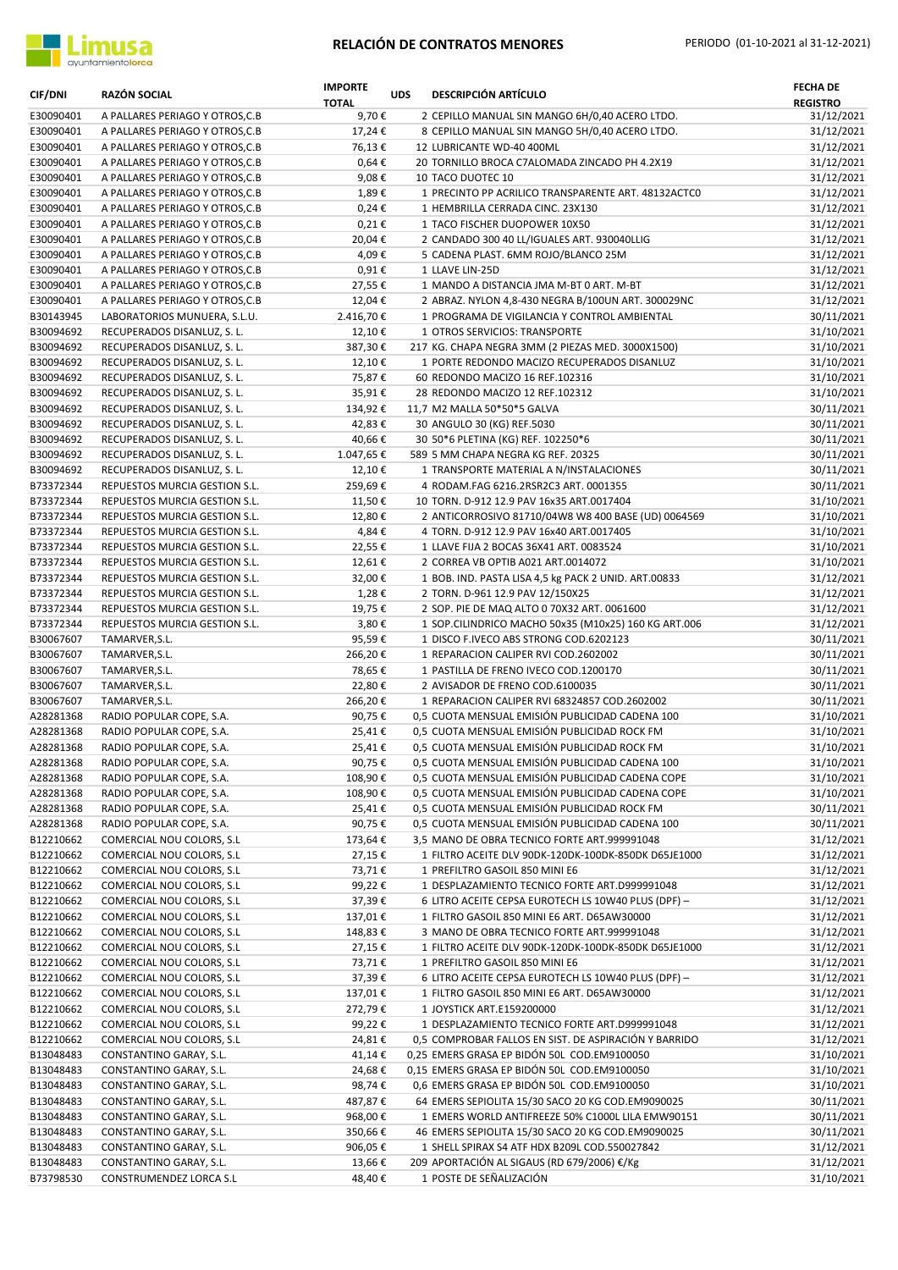

| <b>CIF/DNI</b>         | RAZÓN SOCIAL                                                       | <b>IMPORTE</b><br><b>TOTAL</b> | <b>UDS</b> | <b>DESCRIPCIÓN ARTÍCULO</b>                                                                            | <b>FECHA DE</b><br><b>REGISTRO</b> |
|------------------------|--------------------------------------------------------------------|--------------------------------|------------|--------------------------------------------------------------------------------------------------------|------------------------------------|
| E30090401              | A PALLARES PERIAGO Y OTROS, C.B                                    | 9,70€                          |            | 2 CEPILLO MANUAL SIN MANGO 6H/0,40 ACERO LTDO.                                                         | 31/12/2021                         |
| E30090401              | A PALLARES PERIAGO Y OTROS, C.B                                    | 17,24€                         |            | 8 CEPILLO MANUAL SIN MANGO 5H/0,40 ACERO LTDO.                                                         | 31/12/2021                         |
| E30090401<br>E30090401 | A PALLARES PERIAGO Y OTROS, C.B<br>A PALLARES PERIAGO Y OTROS, C.B | 76,13€<br>$0,64 \in$           |            | 12 LUBRICANTE WD-40 400ML<br>20 TORNILLO BROCA C7ALOMADA ZINCADO PH 4.2X19                             | 31/12/2021<br>31/12/2021           |
| E30090401              | A PALLARES PERIAGO Y OTROS, C.B                                    | 9,08€                          |            | 10 TACO DUOTEC 10                                                                                      | 31/12/2021                         |
| E30090401              | A PALLARES PERIAGO Y OTROS, C.B                                    | 1,89€                          |            | 1 PRECINTO PP ACRILICO TRANSPARENTE ART. 48132ACTCO                                                    | 31/12/2021                         |
| E30090401              | A PALLARES PERIAGO Y OTROS, C.B                                    | 0,24€                          |            | 1 HEMBRILLA CERRADA CINC. 23X130                                                                       | 31/12/2021                         |
| E30090401              | A PALLARES PERIAGO Y OTROS, C.B                                    | $0,21 \in$                     |            | 1 TACO FISCHER DUOPOWER 10X50                                                                          | 31/12/2021                         |
| E30090401              | A PALLARES PERIAGO Y OTROS, C.B                                    | 20,04€                         |            | 2 CANDADO 300 40 LL/IGUALES ART. 930040LLIG                                                            | 31/12/2021                         |
| E30090401              | A PALLARES PERIAGO Y OTROS, C.B                                    | 4,09€                          |            | 5 CADENA PLAST. 6MM ROJO/BLANCO 25M                                                                    | 31/12/2021                         |
| E30090401              | A PALLARES PERIAGO Y OTROS, C.B                                    | $0,91 \in$                     |            | 1 LLAVE LIN-25D                                                                                        | 31/12/2021                         |
| E30090401              | A PALLARES PERIAGO Y OTROS, C.B                                    | 27,55€                         |            | 1 MANDO A DISTANCIA JMA M-BT 0 ART. M-BT                                                               | 31/12/2021                         |
| E30090401              | A PALLARES PERIAGO Y OTROS, C.B                                    | 12,04€                         |            | 2 ABRAZ. NYLON 4,8-430 NEGRA B/100UN ART. 300029NC                                                     | 31/12/2021                         |
| B30143945              | LABORATORIOS MUNUERA, S.L.U.                                       | 2.416,70€                      |            | 1 PROGRAMA DE VIGILANCIA Y CONTROL AMBIENTAL                                                           | 30/11/2021                         |
| B30094692              | RECUPERADOS DISANLUZ, S. L.                                        | 12,10€                         |            | 1 OTROS SERVICIOS: TRANSPORTE                                                                          | 31/10/2021                         |
| B30094692<br>B30094692 | RECUPERADOS DISANLUZ, S. L.                                        | 387,30€<br>12,10€              |            | 217 KG. CHAPA NEGRA 3MM (2 PIEZAS MED. 3000X1500)<br>1 PORTE REDONDO MACIZO RECUPERADOS DISANLUZ       | 31/10/2021<br>31/10/2021           |
| B30094692              | RECUPERADOS DISANLUZ, S. L.<br>RECUPERADOS DISANLUZ, S. L.         | 75,87€                         |            | 60 REDONDO MACIZO 16 REF.102316                                                                        | 31/10/2021                         |
| B30094692              | RECUPERADOS DISANLUZ, S. L.                                        | 35,91€                         |            | 28 REDONDO MACIZO 12 REF.102312                                                                        | 31/10/2021                         |
| B30094692              | RECUPERADOS DISANLUZ, S. L.                                        | 134,92€                        |            | 11,7 M2 MALLA 50*50*5 GALVA                                                                            | 30/11/2021                         |
| B30094692              | RECUPERADOS DISANLUZ, S. L.                                        | 42,83€                         |            | 30 ANGULO 30 (KG) REF.5030                                                                             | 30/11/2021                         |
| B30094692              | RECUPERADOS DISANLUZ, S. L.                                        | 40,66€                         |            | 30 50*6 PLETINA (KG) REF. 102250*6                                                                     | 30/11/2021                         |
| B30094692              | RECUPERADOS DISANLUZ, S. L.                                        | 1.047,65€                      |            | 589 5 MM CHAPA NEGRA KG REF. 20325                                                                     | 30/11/2021                         |
| B30094692              | RECUPERADOS DISANLUZ, S. L.                                        | 12,10€                         |            | 1 TRANSPORTE MATERIAL A N/INSTALACIONES                                                                | 30/11/2021                         |
| B73372344              | REPUESTOS MURCIA GESTION S.L.                                      | 259,69€                        |            | 4 RODAM.FAG 6216.2RSR2C3 ART. 0001355                                                                  | 30/11/2021                         |
| B73372344              | REPUESTOS MURCIA GESTION S.L.                                      | 11,50€                         |            | 10 TORN. D-912 12.9 PAV 16x35 ART.0017404                                                              | 31/10/2021                         |
| B73372344              | REPUESTOS MURCIA GESTION S.L.                                      | 12,80€                         |            | 2 ANTICORROSIVO 81710/04W8 W8 400 BASE (UD) 0064569                                                    | 31/10/2021                         |
| B73372344              | REPUESTOS MURCIA GESTION S.L.                                      | 4,84€                          |            | 4 TORN. D-912 12.9 PAV 16x40 ART.0017405                                                               | 31/10/2021                         |
| B73372344              | REPUESTOS MURCIA GESTION S.L.                                      | 22,55€                         |            | 1 LLAVE FIJA 2 BOCAS 36X41 ART. 0083524                                                                | 31/10/2021                         |
| B73372344              | REPUESTOS MURCIA GESTION S.L.                                      | 12,61€                         |            | 2 CORREA VB OPTIB A021 ART.0014072                                                                     | 31/10/2021                         |
| B73372344              | REPUESTOS MURCIA GESTION S.L.                                      | 32,00€                         |            | 1 BOB. IND. PASTA LISA 4,5 kg PACK 2 UNID. ART.00833                                                   | 31/12/2021                         |
| B73372344<br>B73372344 | REPUESTOS MURCIA GESTION S.L.<br>REPUESTOS MURCIA GESTION S.L.     | 1,28€<br>19,75€                |            | 2 TORN. D-961 12.9 PAV 12/150X25<br>2 SOP. PIE DE MAQ ALTO 0 70X32 ART. 0061600                        | 31/12/2021<br>31/12/2021           |
| B73372344              | REPUESTOS MURCIA GESTION S.L.                                      | 3,80€                          |            | 1 SOP.CILINDRICO MACHO 50x35 (M10x25) 160 KG ART.006                                                   | 31/12/2021                         |
| B30067607              | TAMARVER, S.L.                                                     | 95,59€                         |            | 1 DISCO F.IVECO ABS STRONG COD.6202123                                                                 | 30/11/2021                         |
| B30067607              | TAMARVER, S.L.                                                     | 266,20€                        |            | 1 REPARACION CALIPER RVI COD.2602002                                                                   | 30/11/2021                         |
| B30067607              | TAMARVER, S.L.                                                     | 78,65€                         |            | 1 PASTILLA DE FRENO IVECO COD.1200170                                                                  | 30/11/2021                         |
| B30067607              | TAMARVER, S.L.                                                     | 22,80€                         |            | 2 AVISADOR DE FRENO COD.6100035                                                                        | 30/11/2021                         |
| B30067607              | TAMARVER, S.L.                                                     | 266,20€                        |            | 1 REPARACION CALIPER RVI 68324857 COD.2602002                                                          | 30/11/2021                         |
| A28281368              | RADIO POPULAR COPE, S.A.                                           | 90,75€                         |            | 0,5 CUOTA MENSUAL EMISIÓN PUBLICIDAD CADENA 100                                                        | 31/10/2021                         |
| A28281368              | RADIO POPULAR COPE, S.A.                                           | 25,41€                         |            | 0,5 CUOTA MENSUAL EMISIÓN PUBLICIDAD ROCK FM                                                           | 31/10/2021                         |
| A28281368              | RADIO POPULAR COPE, S.A.                                           | 25,41€                         |            | 0,5 CUOTA MENSUAL EMISIÓN PUBLICIDAD ROCK FM                                                           | 31/10/2021                         |
| A28281368              | RADIO POPULAR COPE, S.A.                                           | 90,75€                         |            | 0,5 CUOTA MENSUAL EMISIÓN PUBLICIDAD CADENA 100                                                        | 31/10/2021                         |
| A28281368              | RADIO POPULAR COPE, S.A.                                           | 108,90€                        |            | 0,5 CUOTA MENSUAL EMISIÓN PUBLICIDAD CADENA COPE                                                       | 31/10/2021                         |
| A28281368<br>A28281368 | RADIO POPULAR COPE, S.A.<br>RADIO POPULAR COPE, S.A.               | 108,90€<br>25,41€              |            | 0,5 CUOTA MENSUAL EMISIÓN PUBLICIDAD CADENA COPE<br>0,5 CUOTA MENSUAL EMISIÓN PUBLICIDAD ROCK FM       | 31/10/2021<br>30/11/2021           |
| A28281368              | RADIO POPULAR COPE, S.A.                                           | 90,75€                         |            | 0,5 CUOTA MENSUAL EMISIÓN PUBLICIDAD CADENA 100                                                        | 30/11/2021                         |
| B12210662              | COMERCIAL NOU COLORS, S.L                                          | 173,64€                        |            | 3,5 MANO DE OBRA TECNICO FORTE ART.999991048                                                           | 31/12/2021                         |
| B12210662              | COMERCIAL NOU COLORS, S.L                                          | 27,15€                         |            | 1 FILTRO ACEITE DLV 90DK-120DK-100DK-850DK D65JE1000                                                   | 31/12/2021                         |
| B12210662              | COMERCIAL NOU COLORS, S.L                                          | 73,71€                         |            | 1 PREFILTRO GASOIL 850 MINI E6                                                                         | 31/12/2021                         |
| B12210662              | COMERCIAL NOU COLORS, S.L                                          | 99,22€                         |            | 1 DESPLAZAMIENTO TECNICO FORTE ART.D999991048                                                          | 31/12/2021                         |
| B12210662              | COMERCIAL NOU COLORS, S.L                                          | 37,39€                         |            | 6 LITRO ACEITE CEPSA EUROTECH LS 10W40 PLUS (DPF) -                                                    | 31/12/2021                         |
| B12210662              | COMERCIAL NOU COLORS, S.L                                          | 137,01€                        |            | 1 FILTRO GASOIL 850 MINI E6 ART. D65AW30000                                                            | 31/12/2021                         |
| B12210662              | COMERCIAL NOU COLORS, S.L                                          | 148,83€                        |            | 3 MANO DE OBRA TECNICO FORTE ART.999991048                                                             | 31/12/2021                         |
| B12210662              | COMERCIAL NOU COLORS, S.L                                          | 27,15€                         |            | 1 FILTRO ACEITE DLV 90DK-120DK-100DK-850DK D65JE1000                                                   | 31/12/2021                         |
| B12210662              | COMERCIAL NOU COLORS, S.L                                          | 73,71€                         |            | 1 PREFILTRO GASOIL 850 MINI E6                                                                         | 31/12/2021                         |
| B12210662              | COMERCIAL NOU COLORS, S.L                                          | 37,39€                         |            | 6 LITRO ACEITE CEPSA EUROTECH LS 10W40 PLUS (DPF) -                                                    | 31/12/2021                         |
| B12210662              | COMERCIAL NOU COLORS, S.L                                          | 137,01€                        |            | 1 FILTRO GASOIL 850 MINI E6 ART. D65AW30000                                                            | 31/12/2021                         |
| B12210662              | COMERCIAL NOU COLORS, S.L                                          | 272,79€                        |            | 1 JOYSTICK ART.E159200000                                                                              | 31/12/2021                         |
| B12210662<br>B12210662 | COMERCIAL NOU COLORS, S.L<br>COMERCIAL NOU COLORS, S.L             | 99,22€<br>24,81€               |            | 1 DESPLAZAMIENTO TECNICO FORTE ART.D999991048<br>0,5 COMPROBAR FALLOS EN SIST. DE ASPIRACIÓN Y BARRIDO | 31/12/2021<br>31/12/2021           |
| B13048483              | CONSTANTINO GARAY, S.L.                                            | 41,14€                         |            | 0,25 EMERS GRASA EP BIDÓN 50L COD.EM9100050                                                            | 31/10/2021                         |
| B13048483              | CONSTANTINO GARAY, S.L.                                            | 24,68€                         |            | 0,15 EMERS GRASA EP BIDÓN 50L COD.EM9100050                                                            | 31/10/2021                         |
| B13048483              | CONSTANTINO GARAY, S.L.                                            | 98,74€                         |            | 0,6 EMERS GRASA EP BIDÓN 50L COD.EM9100050                                                             | 31/10/2021                         |
| B13048483              | CONSTANTINO GARAY, S.L.                                            | 487,87€                        |            | 64 EMERS SEPIOLITA 15/30 SACO 20 KG COD.EM9090025                                                      | 30/11/2021                         |
| B13048483              | CONSTANTINO GARAY, S.L.                                            | 968,00€                        |            | 1 EMERS WORLD ANTIFREEZE 50% C1000L LILA EMW90151                                                      | 30/11/2021                         |
| B13048483              | CONSTANTINO GARAY, S.L.                                            | 350,66€                        |            | 46 EMERS SEPIOLITA 15/30 SACO 20 KG COD.EM9090025                                                      | 30/11/2021                         |
| B13048483              | CONSTANTINO GARAY, S.L.                                            | 906,05€                        |            | 1 SHELL SPIRAX S4 ATF HDX B209L COD.550027842                                                          | 31/12/2021                         |
| B13048483              | CONSTANTINO GARAY, S.L.                                            | 13,66€                         |            | 209 APORTACIÓN AL SIGAUS (RD 679/2006) €/Kg                                                            | 31/12/2021                         |
| B73798530              | CONSTRUMENDEZ LORCA S.L                                            | 48,40€                         |            | 1 POSTE DE SEÑALIZACIÓN                                                                                | 31/10/2021                         |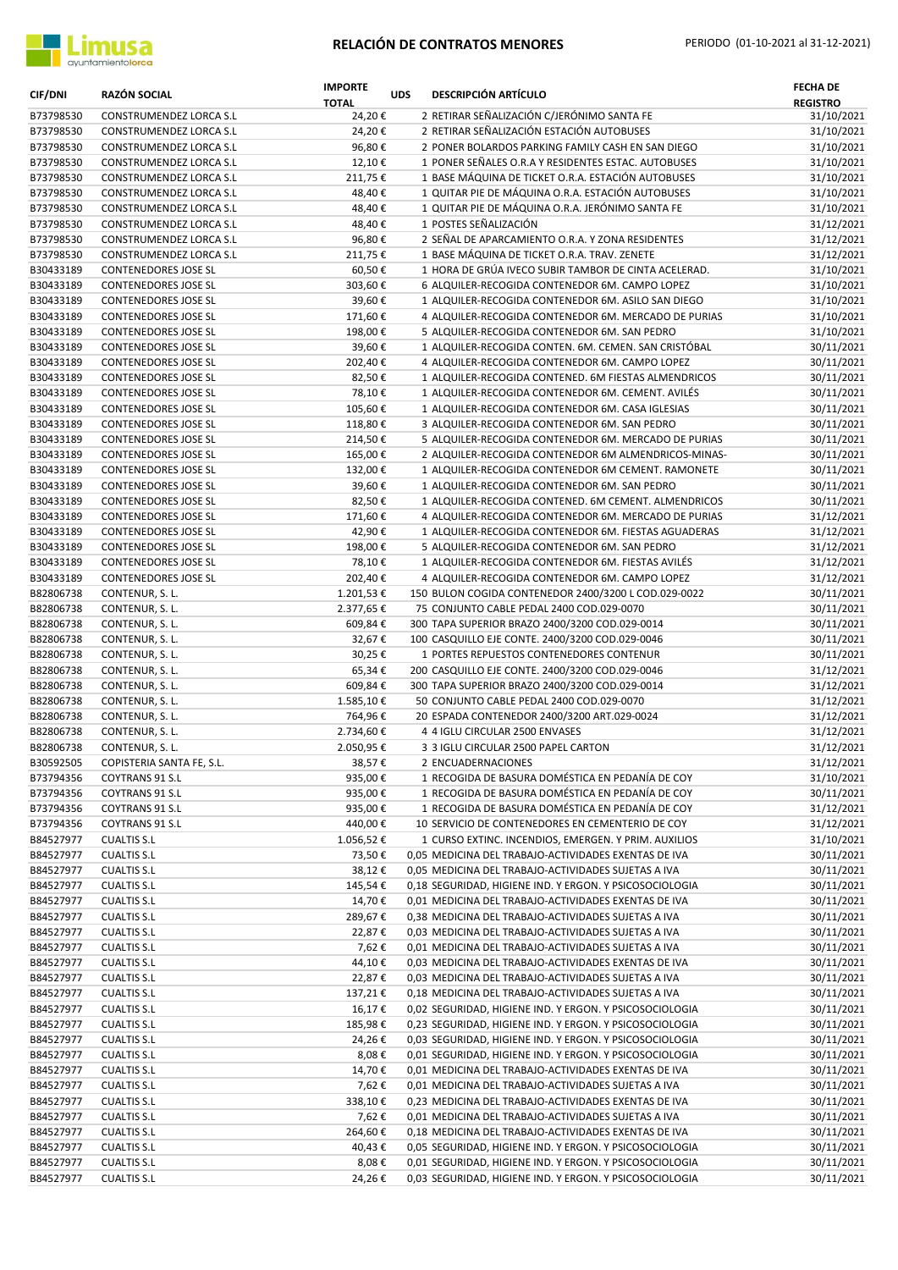

| <b>CIF/DNI</b>         | <b>RAZÓN SOCIAL</b>                                | <b>IMPORTE</b><br><b>TOTAL</b> | <b>UDS</b> | <b>DESCRIPCIÓN ARTÍCULO</b>                                                                                 | <b>FECHA DE</b><br><b>REGISTRO</b> |
|------------------------|----------------------------------------------------|--------------------------------|------------|-------------------------------------------------------------------------------------------------------------|------------------------------------|
| B73798530              | CONSTRUMENDEZ LORCA S.L                            | 24,20€                         |            | 2 RETIRAR SEÑALIZACIÓN C/JERÓNIMO SANTA FE                                                                  | 31/10/2021                         |
| B73798530              | CONSTRUMENDEZ LORCA S.L                            | 24,20€                         |            | 2 RETIRAR SEÑALIZACIÓN ESTACIÓN AUTOBUSES                                                                   | 31/10/2021                         |
| B73798530              | CONSTRUMENDEZ LORCA S.L                            | 96,80€                         |            | 2 PONER BOLARDOS PARKING FAMILY CASH EN SAN DIEGO                                                           | 31/10/2021                         |
| B73798530              | CONSTRUMENDEZ LORCA S.L                            | 12,10€                         |            | 1 PONER SEÑALES O.R.A Y RESIDENTES ESTAC. AUTOBUSES                                                         | 31/10/2021                         |
| B73798530              | CONSTRUMENDEZ LORCA S.L                            | 211,75€                        |            | 1 BASE MÁQUINA DE TICKET O.R.A. ESTACIÓN AUTOBUSES                                                          | 31/10/2021                         |
| B73798530              | CONSTRUMENDEZ LORCA S.L                            | 48,40€                         |            | 1 QUITAR PIE DE MÁQUINA O.R.A. ESTACIÓN AUTOBUSES                                                           | 31/10/2021                         |
| B73798530              | CONSTRUMENDEZ LORCA S.L                            | 48,40€                         |            | 1 QUITAR PIE DE MÁQUINA O.R.A. JERÓNIMO SANTA FE                                                            | 31/10/2021                         |
| B73798530<br>B73798530 | CONSTRUMENDEZ LORCA S.L<br>CONSTRUMENDEZ LORCA S.L | 48,40€                         |            | 1 POSTES SEÑALIZACIÓN<br>2 SEÑAL DE APARCAMIENTO O.R.A. Y ZONA RESIDENTES                                   | 31/12/2021<br>31/12/2021           |
| B73798530              | CONSTRUMENDEZ LORCA S.L                            | 96,80€<br>211,75€              |            | 1 BASE MÁQUINA DE TICKET O.R.A. TRAV. ZENETE                                                                | 31/12/2021                         |
| B30433189              | CONTENEDORES JOSE SL                               | 60,50€                         |            | 1 HORA DE GRÚA IVECO SUBIR TAMBOR DE CINTA ACELERAD.                                                        | 31/10/2021                         |
| B30433189              | <b>CONTENEDORES JOSE SL</b>                        | 303,60€                        |            | 6 ALQUILER-RECOGIDA CONTENEDOR 6M. CAMPO LOPEZ                                                              | 31/10/2021                         |
| B30433189              | CONTENEDORES JOSE SL                               | 39,60€                         |            | 1 ALQUILER-RECOGIDA CONTENEDOR 6M. ASILO SAN DIEGO                                                          | 31/10/2021                         |
| B30433189              | CONTENEDORES JOSE SL                               | 171,60€                        |            | 4 ALQUILER-RECOGIDA CONTENEDOR 6M. MERCADO DE PURIAS                                                        | 31/10/2021                         |
| B30433189              | CONTENEDORES JOSE SL                               | 198,00€                        |            | 5 ALQUILER-RECOGIDA CONTENEDOR 6M. SAN PEDRO                                                                | 31/10/2021                         |
| B30433189              | CONTENEDORES JOSE SL                               | 39,60€                         |            | 1 ALQUILER-RECOGIDA CONTEN. 6M. CEMEN. SAN CRISTÓBAL                                                        | 30/11/2021                         |
| B30433189              | CONTENEDORES JOSE SL                               | 202,40€                        |            | 4 ALQUILER-RECOGIDA CONTENEDOR 6M. CAMPO LOPEZ                                                              | 30/11/2021                         |
| B30433189              | CONTENEDORES JOSE SL                               | 82,50€                         |            | 1 ALQUILER-RECOGIDA CONTENED. 6M FIESTAS ALMENDRICOS                                                        | 30/11/2021                         |
| B30433189              | CONTENEDORES JOSE SL                               | 78,10€                         |            | 1 ALQUILER-RECOGIDA CONTENEDOR 6M. CEMENT. AVILÉS                                                           | 30/11/2021                         |
| B30433189              | CONTENEDORES JOSE SL                               | 105,60€                        |            | 1 ALQUILER-RECOGIDA CONTENEDOR 6M. CASA IGLESIAS                                                            | 30/11/2021                         |
| B30433189              | <b>CONTENEDORES JOSE SL</b>                        | 118,80€                        |            | 3 ALQUILER-RECOGIDA CONTENEDOR 6M. SAN PEDRO                                                                | 30/11/2021                         |
| B30433189              | CONTENEDORES JOSE SL                               | 214,50€                        |            | 5 ALQUILER-RECOGIDA CONTENEDOR 6M. MERCADO DE PURIAS                                                        | 30/11/2021                         |
| B30433189              | CONTENEDORES JOSE SL                               | 165,00€                        |            | 2 ALQUILER-RECOGIDA CONTENEDOR 6M ALMENDRICOS-MINAS-                                                        | 30/11/2021                         |
| B30433189              | CONTENEDORES JOSE SL                               | 132,00€                        |            | 1 ALQUILER-RECOGIDA CONTENEDOR 6M CEMENT. RAMONETE                                                          | 30/11/2021                         |
| B30433189              | CONTENEDORES JOSE SL                               | 39,60€                         |            | 1 ALQUILER-RECOGIDA CONTENEDOR 6M. SAN PEDRO                                                                | 30/11/2021                         |
| B30433189              | CONTENEDORES JOSE SL                               | 82,50€                         |            | 1 ALQUILER-RECOGIDA CONTENED. 6M CEMENT. ALMENDRICOS                                                        | 30/11/2021                         |
| B30433189              | <b>CONTENEDORES JOSE SL</b>                        | 171,60€                        |            | 4 ALQUILER-RECOGIDA CONTENEDOR 6M. MERCADO DE PURIAS                                                        | 31/12/2021                         |
| B30433189              | CONTENEDORES JOSE SL                               | 42,90€                         |            | 1 ALQUILER-RECOGIDA CONTENEDOR 6M. FIESTAS AGUADERAS                                                        | 31/12/2021                         |
| B30433189              | CONTENEDORES JOSE SL                               | 198,00€                        |            | 5 ALQUILER-RECOGIDA CONTENEDOR 6M. SAN PEDRO                                                                | 31/12/2021                         |
| B30433189              | CONTENEDORES JOSE SL                               | 78,10€                         |            | 1 ALQUILER-RECOGIDA CONTENEDOR 6M. FIESTAS AVILÉS                                                           | 31/12/2021                         |
| B30433189              | CONTENEDORES JOSE SL                               | 202,40€                        |            | 4 ALQUILER-RECOGIDA CONTENEDOR 6M. CAMPO LOPEZ                                                              | 31/12/2021                         |
| B82806738              | CONTENUR, S.L.                                     | 1.201,53€                      |            | 150 BULON COGIDA CONTENEDOR 2400/3200 L COD.029-0022                                                        | 30/11/2021                         |
| B82806738              | CONTENUR, S.L.                                     | 2.377,65€                      |            | 75 CONJUNTO CABLE PEDAL 2400 COD.029-0070                                                                   | 30/11/2021                         |
| B82806738              | CONTENUR, S. L.                                    | 609,84€                        |            | 300 TAPA SUPERIOR BRAZO 2400/3200 COD.029-0014                                                              | 30/11/2021                         |
| B82806738<br>B82806738 | CONTENUR, S.L.                                     | 32,67€                         |            | 100 CASQUILLO EJE CONTE. 2400/3200 COD.029-0046<br>1 PORTES REPUESTOS CONTENEDORES CONTENUR                 | 30/11/2021<br>30/11/2021           |
| B82806738              | CONTENUR, S.L.<br>CONTENUR, S. L.                  | 30,25€<br>65,34€               |            | 200 CASQUILLO EJE CONTE. 2400/3200 COD.029-0046                                                             | 31/12/2021                         |
| B82806738              | CONTENUR, S.L.                                     | 609,84€                        |            | 300 TAPA SUPERIOR BRAZO 2400/3200 COD.029-0014                                                              | 31/12/2021                         |
| B82806738              | CONTENUR, S. L.                                    | 1.585,10€                      |            | 50 CONJUNTO CABLE PEDAL 2400 COD.029-0070                                                                   | 31/12/2021                         |
| B82806738              | CONTENUR, S. L.                                    | 764,96€                        |            | 20 ESPADA CONTENEDOR 2400/3200 ART.029-0024                                                                 | 31/12/2021                         |
| B82806738              | CONTENUR, S. L.                                    | 2.734,60€                      |            | 4 4 IGLU CIRCULAR 2500 ENVASES                                                                              | 31/12/2021                         |
| B82806738              | CONTENUR, S. L.                                    | 2.050,95€                      |            | 3 3 IGLU CIRCULAR 2500 PAPEL CARTON                                                                         | 31/12/2021                         |
| B30592505              | COPISTERIA SANTA FE, S.L.                          | 38,57€                         |            | 2 ENCUADERNACIONES                                                                                          | 31/12/2021                         |
| B73794356              | <b>COYTRANS 91 S.L</b>                             | 935,00€                        |            | 1 RECOGIDA DE BASURA DOMÉSTICA EN PEDANÍA DE COY                                                            | 31/10/2021                         |
| B73794356              | COYTRANS 91 S.L                                    | 935,00€                        |            | 1 RECOGIDA DE BASURA DOMÉSTICA EN PEDANÍA DE COY                                                            | 30/11/2021                         |
| B73794356              | COYTRANS 91 S.L                                    | 935,00€                        |            | 1 RECOGIDA DE BASURA DOMÉSTICA EN PEDANÍA DE COY                                                            | 31/12/2021                         |
| B73794356              | COYTRANS 91 S.L                                    | 440,00€                        |            | 10 SERVICIO DE CONTENEDORES EN CEMENTERIO DE COY                                                            | 31/12/2021                         |
| B84527977              | <b>CUALTIS S.L</b>                                 | 1.056,52€                      |            | 1 CURSO EXTINC. INCENDIOS, EMERGEN. Y PRIM. AUXILIOS                                                        | 31/10/2021                         |
| B84527977              | <b>CUALTIS S.L</b>                                 | 73,50€                         |            | 0,05 MEDICINA DEL TRABAJO-ACTIVIDADES EXENTAS DE IVA                                                        | 30/11/2021                         |
| B84527977              | <b>CUALTIS S.L</b>                                 | 38,12€                         |            | 0,05 MEDICINA DEL TRABAJO-ACTIVIDADES SUJETAS A IVA                                                         | 30/11/2021                         |
| B84527977              | <b>CUALTIS S.L</b>                                 | 145,54€                        |            | 0,18 SEGURIDAD, HIGIENE IND. Y ERGON. Y PSICOSOCIOLOGIA                                                     | 30/11/2021                         |
| B84527977              | <b>CUALTIS S.L</b>                                 | 14,70€                         |            | 0,01 MEDICINA DEL TRABAJO-ACTIVIDADES EXENTAS DE IVA                                                        | 30/11/2021                         |
| B84527977              | <b>CUALTIS S.L</b>                                 | 289,67€                        |            | 0,38 MEDICINA DEL TRABAJO-ACTIVIDADES SUJETAS A IVA                                                         | 30/11/2021                         |
| B84527977              | <b>CUALTIS S.L</b>                                 | 22,87€                         |            | 0,03 MEDICINA DEL TRABAJO-ACTIVIDADES SUJETAS A IVA                                                         | 30/11/2021                         |
| B84527977              | <b>CUALTIS S.L</b>                                 | 7,62€                          |            | 0,01 MEDICINA DEL TRABAJO-ACTIVIDADES SUJETAS A IVA                                                         | 30/11/2021                         |
| B84527977              | <b>CUALTIS S.L</b>                                 | 44,10€                         |            | 0,03 MEDICINA DEL TRABAJO-ACTIVIDADES EXENTAS DE IVA                                                        | 30/11/2021                         |
| B84527977              | <b>CUALTIS S.L</b>                                 | 22,87€                         |            | 0,03 MEDICINA DEL TRABAJO-ACTIVIDADES SUJETAS A IVA                                                         | 30/11/2021                         |
| B84527977              | <b>CUALTIS S.L</b>                                 | 137,21€                        |            | 0,18 MEDICINA DEL TRABAJO-ACTIVIDADES SUJETAS A IVA                                                         | 30/11/2021                         |
| B84527977              | <b>CUALTIS S.L</b>                                 | 16,17€                         |            | 0,02 SEGURIDAD, HIGIENE IND. Y ERGON. Y PSICOSOCIOLOGIA                                                     | 30/11/2021                         |
| B84527977              | <b>CUALTIS S.L</b>                                 | 185,98€                        |            | 0,23 SEGURIDAD, HIGIENE IND. Y ERGON. Y PSICOSOCIOLOGIA                                                     | 30/11/2021                         |
| B84527977              | <b>CUALTIS S.L</b>                                 | 24,26€                         |            | 0,03 SEGURIDAD, HIGIENE IND. Y ERGON. Y PSICOSOCIOLOGIA                                                     | 30/11/2021                         |
| B84527977              | <b>CUALTIS S.L</b>                                 | 8,08€                          |            | 0,01 SEGURIDAD, HIGIENE IND. Y ERGON. Y PSICOSOCIOLOGIA                                                     | 30/11/2021<br>30/11/2021           |
| B84527977<br>B84527977 | <b>CUALTIS S.L</b><br><b>CUALTIS S.L</b>           | 14,70€<br>7,62€                |            | 0,01 MEDICINA DEL TRABAJO-ACTIVIDADES EXENTAS DE IVA<br>0,01 MEDICINA DEL TRABAJO-ACTIVIDADES SUJETAS A IVA | 30/11/2021                         |
| B84527977              | <b>CUALTIS S.L</b>                                 | 338,10€                        |            | 0,23 MEDICINA DEL TRABAJO-ACTIVIDADES EXENTAS DE IVA                                                        | 30/11/2021                         |
| B84527977              | <b>CUALTIS S.L</b>                                 | 7,62€                          |            | 0,01 MEDICINA DEL TRABAJO-ACTIVIDADES SUJETAS A IVA                                                         | 30/11/2021                         |
| B84527977              | <b>CUALTIS S.L</b>                                 | 264,60€                        |            | 0,18 MEDICINA DEL TRABAJO-ACTIVIDADES EXENTAS DE IVA                                                        | 30/11/2021                         |
| B84527977              | <b>CUALTIS S.L</b>                                 | 40,43€                         |            | 0,05 SEGURIDAD, HIGIENE IND. Y ERGON. Y PSICOSOCIOLOGIA                                                     | 30/11/2021                         |
| B84527977              | <b>CUALTIS S.L</b>                                 | 8,08€                          |            | 0,01 SEGURIDAD, HIGIENE IND. Y ERGON. Y PSICOSOCIOLOGIA                                                     | 30/11/2021                         |
| B84527977              | <b>CUALTIS S.L</b>                                 | 24,26€                         |            | 0,03 SEGURIDAD, HIGIENE IND. Y ERGON. Y PSICOSOCIOLOGIA                                                     | 30/11/2021                         |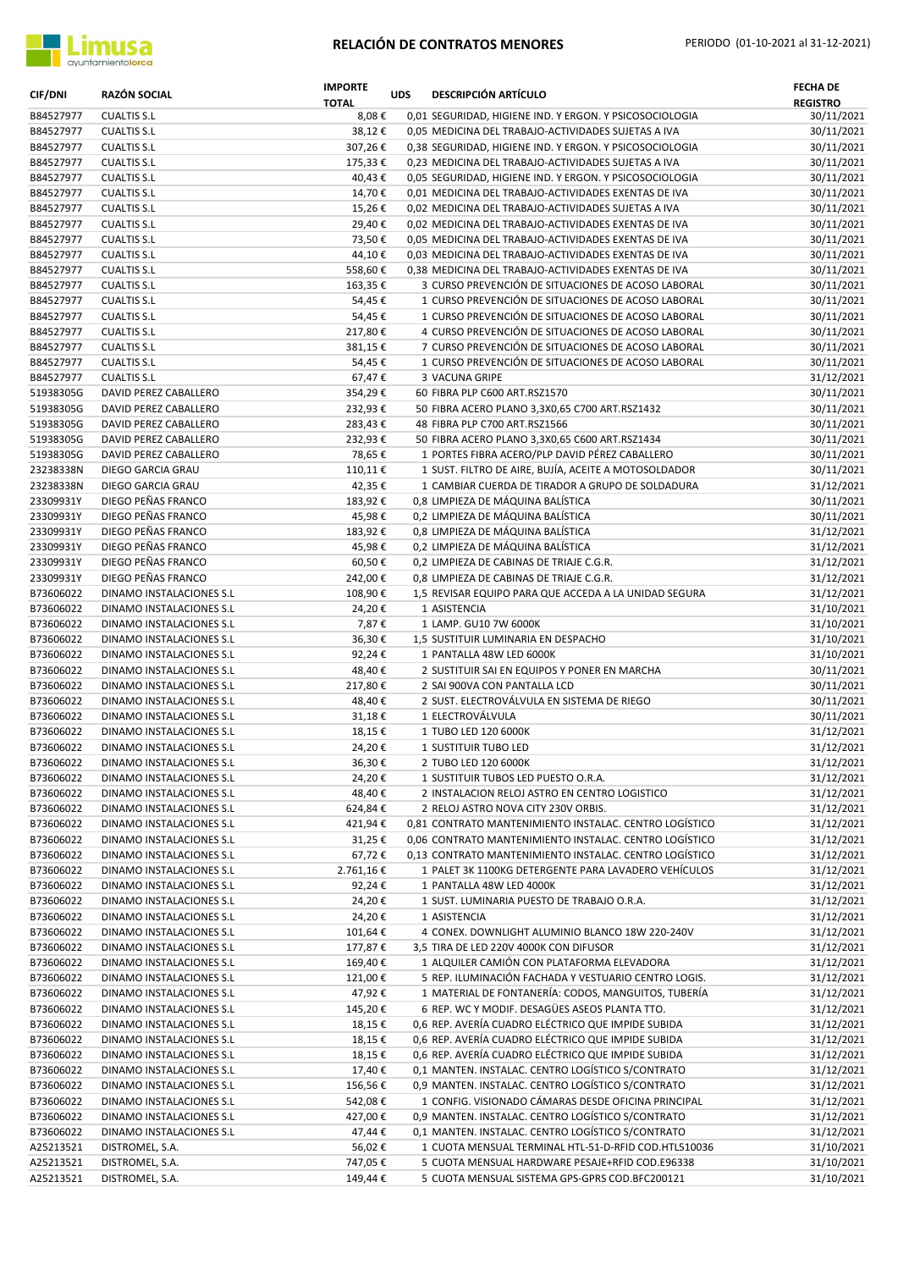

| <b>CIF/DNI</b>         | RAZÓN SOCIAL                                         | <b>IMPORTE</b><br><b>TOTAL</b> | <b>UDS</b> | <b>DESCRIPCIÓN ARTÍCULO</b>                                                                                    | <b>FECHA DE</b><br><b>REGISTRO</b> |
|------------------------|------------------------------------------------------|--------------------------------|------------|----------------------------------------------------------------------------------------------------------------|------------------------------------|
| B84527977              | <b>CUALTIS S.L</b>                                   | 8,08€                          |            | 0,01 SEGURIDAD, HIGIENE IND. Y ERGON. Y PSICOSOCIOLOGIA                                                        | 30/11/2021                         |
| B84527977              | <b>CUALTIS S.L</b>                                   | 38,12€                         |            | 0,05 MEDICINA DEL TRABAJO-ACTIVIDADES SUJETAS A IVA                                                            | 30/11/2021                         |
| B84527977              | <b>CUALTIS S.L</b>                                   | 307,26€                        |            | 0,38 SEGURIDAD, HIGIENE IND. Y ERGON. Y PSICOSOCIOLOGIA                                                        | 30/11/2021                         |
| B84527977              | <b>CUALTIS S.L</b>                                   | 175,33€                        |            | 0,23 MEDICINA DEL TRABAJO-ACTIVIDADES SUJETAS A IVA                                                            | 30/11/2021                         |
| B84527977              | <b>CUALTIS S.L</b>                                   | 40,43€<br>14,70€               |            | 0,05 SEGURIDAD, HIGIENE IND. Y ERGON. Y PSICOSOCIOLOGIA                                                        | 30/11/2021<br>30/11/2021           |
| B84527977<br>B84527977 | <b>CUALTIS S.L</b><br><b>CUALTIS S.L</b>             | 15,26€                         |            | 0,01 MEDICINA DEL TRABAJO-ACTIVIDADES EXENTAS DE IVA<br>0,02 MEDICINA DEL TRABAJO-ACTIVIDADES SUJETAS A IVA    | 30/11/2021                         |
| B84527977              | <b>CUALTIS S.L</b>                                   | 29,40€                         |            | 0,02 MEDICINA DEL TRABAJO-ACTIVIDADES EXENTAS DE IVA                                                           | 30/11/2021                         |
| B84527977              | <b>CUALTIS S.L</b>                                   | 73,50€                         |            | 0,05 MEDICINA DEL TRABAJO-ACTIVIDADES EXENTAS DE IVA                                                           | 30/11/2021                         |
| B84527977              | <b>CUALTIS S.L</b>                                   | 44,10€                         |            | 0,03 MEDICINA DEL TRABAJO-ACTIVIDADES EXENTAS DE IVA                                                           | 30/11/2021                         |
| B84527977              | <b>CUALTIS S.L</b>                                   | 558,60€                        |            | 0,38 MEDICINA DEL TRABAJO-ACTIVIDADES EXENTAS DE IVA                                                           | 30/11/2021                         |
| B84527977              | <b>CUALTIS S.L</b>                                   | 163,35€                        |            | 3 CURSO PREVENCIÓN DE SITUACIONES DE ACOSO LABORAL                                                             | 30/11/2021                         |
| B84527977              | <b>CUALTIS S.L</b>                                   | 54,45€                         |            | 1 CURSO PREVENCIÓN DE SITUACIONES DE ACOSO LABORAL                                                             | 30/11/2021                         |
| B84527977              | <b>CUALTIS S.L</b>                                   | 54,45€                         |            | 1 CURSO PREVENCIÓN DE SITUACIONES DE ACOSO LABORAL                                                             | 30/11/2021                         |
| B84527977              | <b>CUALTIS S.L</b>                                   | 217,80€                        |            | 4 CURSO PREVENCIÓN DE SITUACIONES DE ACOSO LABORAL                                                             | 30/11/2021                         |
| B84527977              | <b>CUALTIS S.L</b>                                   | 381,15€                        |            | 7 CURSO PREVENCIÓN DE SITUACIONES DE ACOSO LABORAL                                                             | 30/11/2021                         |
| B84527977              | <b>CUALTIS S.L</b>                                   | 54,45€                         |            | 1 CURSO PREVENCIÓN DE SITUACIONES DE ACOSO LABORAL                                                             | 30/11/2021                         |
| B84527977              | <b>CUALTIS S.L</b>                                   | 67,47€                         |            | 3 VACUNA GRIPE                                                                                                 | 31/12/2021                         |
| 51938305G              | DAVID PEREZ CABALLERO                                | 354,29€<br>232,93€             |            | 60 FIBRA PLP C600 ART.RSZ1570                                                                                  | 30/11/2021<br>30/11/2021           |
| 51938305G<br>51938305G | DAVID PEREZ CABALLERO<br>DAVID PEREZ CABALLERO       | 283,43€                        |            | 50 FIBRA ACERO PLANO 3,3X0,65 C700 ART.RSZ1432<br>48 FIBRA PLP C700 ART.RSZ1566                                | 30/11/2021                         |
| 51938305G              | DAVID PEREZ CABALLERO                                | 232,93€                        |            | 50 FIBRA ACERO PLANO 3,3X0,65 C600 ART.RSZ1434                                                                 | 30/11/2021                         |
| 51938305G              | DAVID PEREZ CABALLERO                                | 78,65€                         |            | 1 PORTES FIBRA ACERO/PLP DAVID PÉREZ CABALLERO                                                                 | 30/11/2021                         |
| 23238338N              | DIEGO GARCIA GRAU                                    | 110,11€                        |            | 1 SUST. FILTRO DE AIRE, BUJÍA, ACEITE A MOTOSOLDADOR                                                           | 30/11/2021                         |
| 23238338N              | DIEGO GARCIA GRAU                                    | 42,35€                         |            | 1 CAMBIAR CUERDA DE TIRADOR A GRUPO DE SOLDADURA                                                               | 31/12/2021                         |
| 23309931Y              | DIEGO PEÑAS FRANCO                                   | 183,92€                        |            | 0,8 LIMPIEZA DE MÁQUINA BALÍSTICA                                                                              | 30/11/2021                         |
| 23309931Y              | DIEGO PEÑAS FRANCO                                   | 45,98€                         |            | 0,2 LIMPIEZA DE MÁQUINA BALÍSTICA                                                                              | 30/11/2021                         |
| 23309931Y              | DIEGO PEÑAS FRANCO                                   | 183,92€                        |            | 0,8 LIMPIEZA DE MÁQUINA BALÍSTICA                                                                              | 31/12/2021                         |
| 23309931Y              | DIEGO PEÑAS FRANCO                                   | 45,98€                         |            | 0,2 LIMPIEZA DE MÁQUINA BALÍSTICA                                                                              | 31/12/2021                         |
| 23309931Y              | DIEGO PEÑAS FRANCO                                   | 60,50€                         |            | 0,2 LIMPIEZA DE CABINAS DE TRIAJE C.G.R.                                                                       | 31/12/2021                         |
| 23309931Y              | DIEGO PEÑAS FRANCO                                   | 242,00€                        |            | 0,8 LIMPIEZA DE CABINAS DE TRIAJE C.G.R.                                                                       | 31/12/2021                         |
| B73606022              | DINAMO INSTALACIONES S.L                             | 108,90€                        |            | 1,5 REVISAR EQUIPO PARA QUE ACCEDA A LA UNIDAD SEGURA                                                          | 31/12/2021                         |
| B73606022              | DINAMO INSTALACIONES S.L                             | 24,20€                         |            | 1 ASISTENCIA                                                                                                   | 31/10/2021                         |
| B73606022              | DINAMO INSTALACIONES S.L                             | 7,87€                          |            | 1 LAMP. GU10 7W 6000K                                                                                          | 31/10/2021                         |
| B73606022              | DINAMO INSTALACIONES S.L                             | 36,30€                         |            | 1,5 SUSTITUIR LUMINARIA EN DESPACHO                                                                            | 31/10/2021<br>31/10/2021           |
| B73606022<br>B73606022 | DINAMO INSTALACIONES S.L<br>DINAMO INSTALACIONES S.L | 92,24€<br>48,40€               |            | 1 PANTALLA 48W LED 6000K<br>2 SUSTITUIR SAI EN EQUIPOS Y PONER EN MARCHA                                       | 30/11/2021                         |
| B73606022              | DINAMO INSTALACIONES S.L                             | 217,80€                        |            | 2 SAI 900VA CON PANTALLA LCD                                                                                   | 30/11/2021                         |
| B73606022              | DINAMO INSTALACIONES S.L                             | 48,40€                         |            | 2 SUST. ELECTROVÁLVULA EN SISTEMA DE RIEGO                                                                     | 30/11/2021                         |
| B73606022              | DINAMO INSTALACIONES S.L                             | 31,18€                         |            | 1 ELECTROVÁLVULA                                                                                               | 30/11/2021                         |
| B73606022              | DINAMO INSTALACIONES S.L                             | 18,15€                         |            | 1 TUBO LED 120 6000K                                                                                           | 31/12/2021                         |
| B73606022              | DINAMO INSTALACIONES S.L                             | 24,20€                         |            | 1 SUSTITUIR TUBO LED                                                                                           | 31/12/2021                         |
| B73606022              | DINAMO INSTALACIONES S.L                             | 36,30€                         |            | 2 TUBO LED 120 6000K                                                                                           | 31/12/2021                         |
| B73606022              | DINAMO INSTALACIONES S.L                             | 24,20€                         |            | 1 SUSTITUIR TUBOS LED PUESTO O.R.A.                                                                            | 31/12/2021                         |
| B73606022              | DINAMO INSTALACIONES S.L                             | 48,40€                         |            | 2 INSTALACION RELOJ ASTRO EN CENTRO LOGISTICO                                                                  | 31/12/2021                         |
| B73606022              | DINAMO INSTALACIONES S.L                             | 624,84€                        |            | 2 RELOJ ASTRO NOVA CITY 230V ORBIS.                                                                            | 31/12/2021                         |
| B73606022              | DINAMO INSTALACIONES S.L                             | 421,94€                        |            | 0,81 CONTRATO MANTENIMIENTO INSTALAC. CENTRO LOGÍSTICO                                                         | 31/12/2021                         |
| B73606022              | DINAMO INSTALACIONES S.L                             | 31,25€                         |            | 0,06 CONTRATO MANTENIMIENTO INSTALAC. CENTRO LOGÍSTICO                                                         | 31/12/2021                         |
| B73606022<br>B73606022 | DINAMO INSTALACIONES S.L                             | 67,72€                         |            | 0,13 CONTRATO MANTENIMIENTO INSTALAC. CENTRO LOGÍSTICO<br>1 PALET 3K 1100KG DETERGENTE PARA LAVADERO VEHÍCULOS | 31/12/2021                         |
| B73606022              | DINAMO INSTALACIONES S.L<br>DINAMO INSTALACIONES S.L | 2.761,16€<br>92,24€            |            | 1 PANTALLA 48W LED 4000K                                                                                       | 31/12/2021<br>31/12/2021           |
| B73606022              | DINAMO INSTALACIONES S.L                             | 24,20€                         |            | 1 SUST. LUMINARIA PUESTO DE TRABAJO O.R.A.                                                                     | 31/12/2021                         |
| B73606022              | DINAMO INSTALACIONES S.L                             | 24,20€                         |            | 1 ASISTENCIA                                                                                                   | 31/12/2021                         |
| B73606022              | DINAMO INSTALACIONES S.L                             | 101,64€                        |            | 4 CONEX. DOWNLIGHT ALUMINIO BLANCO 18W 220-240V                                                                | 31/12/2021                         |
| B73606022              | DINAMO INSTALACIONES S.L                             | 177,87€                        |            | 3,5 TIRA DE LED 220V 4000K CON DIFUSOR                                                                         | 31/12/2021                         |
| B73606022              | DINAMO INSTALACIONES S.L                             | 169,40€                        |            | 1 ALQUILER CAMIÓN CON PLATAFORMA ELEVADORA                                                                     | 31/12/2021                         |
| B73606022              | DINAMO INSTALACIONES S.L                             | 121,00€                        |            | 5 REP. ILUMINACIÓN FACHADA Y VESTUARIO CENTRO LOGIS.                                                           | 31/12/2021                         |
| B73606022              | DINAMO INSTALACIONES S.L                             | 47,92€                         |            | 1 MATERIAL DE FONTANERÍA: CODOS, MANGUITOS, TUBERÍA                                                            | 31/12/2021                         |
| B73606022              | DINAMO INSTALACIONES S.L                             | 145,20€                        |            | 6 REP. WC Y MODIF. DESAGÜES ASEOS PLANTA TTO.                                                                  | 31/12/2021                         |
| B73606022              | DINAMO INSTALACIONES S.L                             | 18,15€                         |            | 0,6 REP. AVERÍA CUADRO ELÉCTRICO QUE IMPIDE SUBIDA                                                             | 31/12/2021                         |
| B73606022              | DINAMO INSTALACIONES S.L                             | 18,15€                         |            | 0,6 REP. AVERÍA CUADRO ELÉCTRICO QUE IMPIDE SUBIDA                                                             | 31/12/2021                         |
| B73606022              | DINAMO INSTALACIONES S.L                             | 18,15€                         |            | 0,6 REP. AVERÍA CUADRO ELÉCTRICO QUE IMPIDE SUBIDA                                                             | 31/12/2021                         |
| B73606022              | DINAMO INSTALACIONES S.L                             | 17,40€                         |            | 0,1 MANTEN. INSTALAC. CENTRO LOGÍSTICO S/CONTRATO                                                              | 31/12/2021                         |
| B73606022              | DINAMO INSTALACIONES S.L                             | 156,56€                        |            | 0,9 MANTEN. INSTALAC. CENTRO LOGÍSTICO S/CONTRATO                                                              | 31/12/2021                         |
| B73606022              | DINAMO INSTALACIONES S.L                             | 542,08€                        |            | 1 CONFIG. VISIONADO CÁMARAS DESDE OFICINA PRINCIPAL                                                            | 31/12/2021                         |
| B73606022<br>B73606022 | DINAMO INSTALACIONES S.L<br>DINAMO INSTALACIONES S.L | 427,00€<br>47,44 €             |            | 0,9 MANTEN. INSTALAC. CENTRO LOGÍSTICO S/CONTRATO<br>0,1 MANTEN. INSTALAC. CENTRO LOGÍSTICO S/CONTRATO         | 31/12/2021<br>31/12/2021           |
| A25213521              | DISTROMEL, S.A.                                      | 56,02€                         |            | 1 CUOTA MENSUAL TERMINAL HTL-51-D-RFID COD.HTL510036                                                           | 31/10/2021                         |
| A25213521              | DISTROMEL, S.A.                                      | 747,05€                        |            | 5 CUOTA MENSUAL HARDWARE PESAJE+RFID COD.E96338                                                                | 31/10/2021                         |
| A25213521              | DISTROMEL, S.A.                                      | 149,44€                        |            | 5 CUOTA MENSUAL SISTEMA GPS-GPRS COD.BFC200121                                                                 | 31/10/2021                         |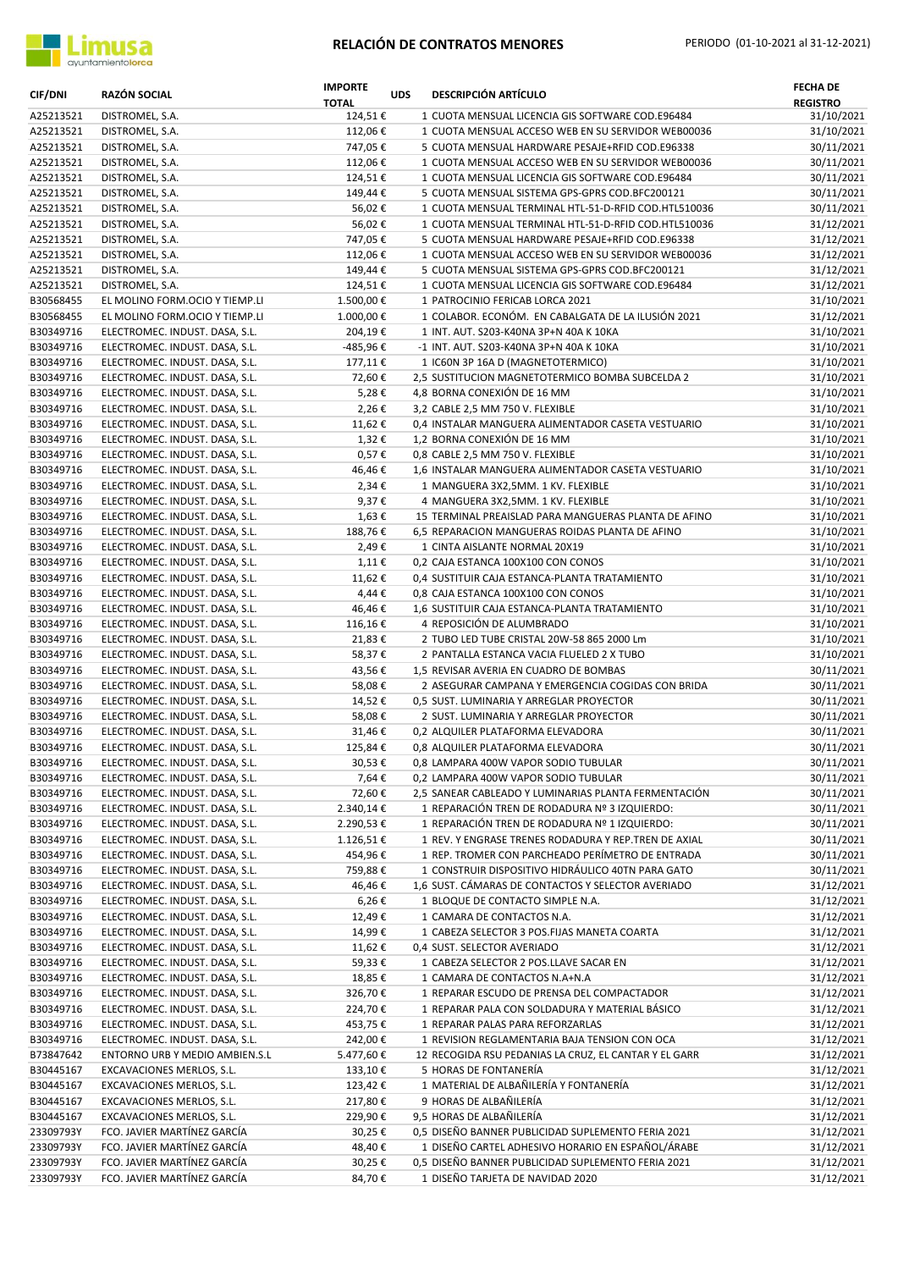

| <b>CIF/DNI</b>         | RAZÓN SOCIAL                                                     | <b>IMPORTE</b><br><b>TOTAL</b> | <b>UDS</b> | <b>DESCRIPCIÓN ARTÍCULO</b>                                                                        | <b>FECHA DE</b><br><b>REGISTRO</b> |
|------------------------|------------------------------------------------------------------|--------------------------------|------------|----------------------------------------------------------------------------------------------------|------------------------------------|
| A25213521              | DISTROMEL, S.A.                                                  | 124,51€                        |            | 1 CUOTA MENSUAL LICENCIA GIS SOFTWARE COD.E96484                                                   | 31/10/2021                         |
| A25213521              | DISTROMEL, S.A.                                                  | 112,06€                        |            | 1 CUOTA MENSUAL ACCESO WEB EN SU SERVIDOR WEB00036                                                 | 31/10/2021                         |
| A25213521              | DISTROMEL, S.A.                                                  | 747,05€                        |            | 5 CUOTA MENSUAL HARDWARE PESAJE+RFID COD.E96338                                                    | 30/11/2021                         |
| A25213521              | DISTROMEL, S.A.                                                  | 112,06€                        |            | 1 CUOTA MENSUAL ACCESO WEB EN SU SERVIDOR WEB00036                                                 | 30/11/2021                         |
| A25213521<br>A25213521 | DISTROMEL, S.A.<br>DISTROMEL, S.A.                               | 124,51€<br>149,44€             |            | 1 CUOTA MENSUAL LICENCIA GIS SOFTWARE COD.E96484<br>5 CUOTA MENSUAL SISTEMA GPS-GPRS COD.BFC200121 | 30/11/2021<br>30/11/2021           |
| A25213521              | DISTROMEL, S.A.                                                  | 56,02€                         |            | 1 CUOTA MENSUAL TERMINAL HTL-51-D-RFID COD.HTL510036                                               | 30/11/2021                         |
| A25213521              | DISTROMEL, S.A.                                                  | 56,02€                         |            | 1 CUOTA MENSUAL TERMINAL HTL-51-D-RFID COD.HTL510036                                               | 31/12/2021                         |
| A25213521              | DISTROMEL, S.A.                                                  | 747,05€                        |            | 5 CUOTA MENSUAL HARDWARE PESAJE+RFID COD.E96338                                                    | 31/12/2021                         |
| A25213521              | DISTROMEL, S.A.                                                  | 112,06€                        |            | 1 CUOTA MENSUAL ACCESO WEB EN SU SERVIDOR WEB00036                                                 | 31/12/2021                         |
| A25213521              | DISTROMEL, S.A.                                                  | 149,44€                        |            | 5 CUOTA MENSUAL SISTEMA GPS-GPRS COD.BFC200121                                                     | 31/12/2021                         |
| A25213521              | DISTROMEL, S.A.                                                  | 124,51€                        |            | 1 CUOTA MENSUAL LICENCIA GIS SOFTWARE COD.E96484                                                   | 31/12/2021                         |
| B30568455              | EL MOLINO FORM.OCIO Y TIEMP.LI                                   | 1.500,00€                      |            | 1 PATROCINIO FERICAB LORCA 2021                                                                    | 31/10/2021                         |
| B30568455              | EL MOLINO FORM.OCIO Y TIEMP.LI                                   | 1.000,00€                      |            | 1 COLABOR. ECONÓM. EN CABALGATA DE LA ILUSIÓN 2021                                                 | 31/12/2021                         |
| B30349716              | ELECTROMEC. INDUST. DASA, S.L.                                   | 204,19€                        |            | 1 INT. AUT. S203-K40NA 3P+N 40A K 10KA                                                             | 31/10/2021                         |
| B30349716              | ELECTROMEC. INDUST. DASA, S.L.                                   | -485,96€                       |            | -1 INT. AUT. S203-K40NA 3P+N 40A K 10KA                                                            | 31/10/2021                         |
| B30349716              | ELECTROMEC. INDUST. DASA, S.L.                                   | 177,11€                        |            | 1 IC60N 3P 16A D (MAGNETOTERMICO)                                                                  | 31/10/2021                         |
| B30349716              | ELECTROMEC. INDUST. DASA, S.L.                                   | 72,60€                         |            | 2,5 SUSTITUCION MAGNETOTERMICO BOMBA SUBCELDA 2                                                    | 31/10/2021                         |
| B30349716              | ELECTROMEC. INDUST. DASA, S.L.                                   | 5,28€                          |            | 4,8 BORNA CONEXIÓN DE 16 MM                                                                        | 31/10/2021                         |
| B30349716              | ELECTROMEC. INDUST. DASA, S.L.                                   | 2,26€                          |            | 3,2 CABLE 2,5 MM 750 V. FLEXIBLE                                                                   | 31/10/2021                         |
| B30349716              | ELECTROMEC. INDUST. DASA, S.L.                                   | 11,62€                         |            | 0,4 INSTALAR MANGUERA ALIMENTADOR CASETA VESTUARIO                                                 | 31/10/2021<br>31/10/2021           |
| B30349716<br>B30349716 | ELECTROMEC. INDUST. DASA, S.L.<br>ELECTROMEC. INDUST. DASA, S.L. | $1,32 \in$<br>$0,57 \in$       |            | 1,2 BORNA CONEXIÓN DE 16 MM<br>0,8 CABLE 2,5 MM 750 V. FLEXIBLE                                    | 31/10/2021                         |
| B30349716              | ELECTROMEC. INDUST. DASA, S.L.                                   | 46,46€                         |            | 1,6 INSTALAR MANGUERA ALIMENTADOR CASETA VESTUARIO                                                 | 31/10/2021                         |
| B30349716              | ELECTROMEC. INDUST. DASA, S.L.                                   | 2,34€                          |            | 1 MANGUERA 3X2,5MM. 1 KV. FLEXIBLE                                                                 | 31/10/2021                         |
| B30349716              | ELECTROMEC. INDUST. DASA, S.L.                                   | 9,37€                          |            | 4 MANGUERA 3X2,5MM. 1 KV. FLEXIBLE                                                                 | 31/10/2021                         |
| B30349716              | ELECTROMEC. INDUST. DASA, S.L.                                   | 1,63€                          |            | 15 TERMINAL PREAISLAD PARA MANGUERAS PLANTA DE AFINO                                               | 31/10/2021                         |
| B30349716              | ELECTROMEC. INDUST. DASA, S.L.                                   | 188,76€                        |            | 6,5 REPARACION MANGUERAS ROIDAS PLANTA DE AFINO                                                    | 31/10/2021                         |
| B30349716              | ELECTROMEC. INDUST. DASA, S.L.                                   | 2,49€                          |            | 1 CINTA AISLANTE NORMAL 20X19                                                                      | 31/10/2021                         |
| B30349716              | ELECTROMEC. INDUST. DASA, S.L.                                   | $1,11$ €                       |            | 0,2 CAJA ESTANCA 100X100 CON CONOS                                                                 | 31/10/2021                         |
| B30349716              | ELECTROMEC. INDUST. DASA, S.L.                                   | 11,62€                         |            | 0,4 SUSTITUIR CAJA ESTANCA-PLANTA TRATAMIENTO                                                      | 31/10/2021                         |
| B30349716              | ELECTROMEC. INDUST. DASA, S.L.                                   | 4,44€                          |            | 0,8 CAJA ESTANCA 100X100 CON CONOS                                                                 | 31/10/2021                         |
| B30349716              | ELECTROMEC. INDUST. DASA, S.L.                                   | 46,46€                         |            | 1,6 SUSTITUIR CAJA ESTANCA-PLANTA TRATAMIENTO                                                      | 31/10/2021                         |
| B30349716              | ELECTROMEC. INDUST. DASA, S.L.                                   | 116,16€                        |            | 4 REPOSICIÓN DE ALUMBRADO                                                                          | 31/10/2021                         |
| B30349716              | ELECTROMEC. INDUST. DASA, S.L.                                   | 21,83€                         |            | 2 TUBO LED TUBE CRISTAL 20W-58 865 2000 Lm                                                         | 31/10/2021                         |
| B30349716              | ELECTROMEC. INDUST. DASA, S.L.                                   | 58,37€                         |            | 2 PANTALLA ESTANCA VACIA FLUELED 2 X TUBO                                                          | 31/10/2021                         |
| B30349716              | ELECTROMEC. INDUST. DASA, S.L.                                   | 43,56€                         |            | 1,5 REVISAR AVERIA EN CUADRO DE BOMBAS                                                             | 30/11/2021                         |
| B30349716<br>B30349716 | ELECTROMEC. INDUST. DASA, S.L.<br>ELECTROMEC. INDUST. DASA, S.L. | 58,08€                         |            | 2 ASEGURAR CAMPANA Y EMERGENCIA COGIDAS CON BRIDA                                                  | 30/11/2021                         |
| B30349716              | ELECTROMEC. INDUST. DASA, S.L.                                   | 14,52€<br>58,08€               |            | 0,5 SUST. LUMINARIA Y ARREGLAR PROYECTOR<br>2 SUST. LUMINARIA Y ARREGLAR PROYECTOR                 | 30/11/2021<br>30/11/2021           |
| B30349716              | ELECTROMEC. INDUST. DASA, S.L.                                   | 31,46€                         |            | 0,2 ALQUILER PLATAFORMA ELEVADORA                                                                  | 30/11/2021                         |
| B30349716              | ELECTROMEC. INDUST. DASA, S.L.                                   | 125,84€                        |            | 0,8 ALQUILER PLATAFORMA ELEVADORA                                                                  | 30/11/2021                         |
| B30349716              | ELECTROMEC. INDUST. DASA, S.L.                                   | 30,53€                         |            | 0,8 LAMPARA 400W VAPOR SODIO TUBULAR                                                               | 30/11/2021                         |
| B30349716              | ELECTROMEC. INDUST. DASA, S.L.                                   | 7,64€                          |            | 0,2 LAMPARA 400W VAPOR SODIO TUBULAR                                                               | 30/11/2021                         |
| B30349716              | ELECTROMEC. INDUST. DASA, S.L.                                   | 72,60€                         |            | 2,5 SANEAR CABLEADO Y LUMINARIAS PLANTA FERMENTACIÓN                                               | 30/11/2021                         |
| B30349716              | ELECTROMEC. INDUST. DASA, S.L.                                   | 2.340,14€                      |            | 1 REPARACIÓN TREN DE RODADURA Nº 3 IZQUIERDO:                                                      | 30/11/2021                         |
| B30349716              | ELECTROMEC. INDUST. DASA, S.L.                                   | 2.290,53€                      |            | 1 REPARACIÓN TREN DE RODADURA Nº 1 IZQUIERDO:                                                      | 30/11/2021                         |
| B30349716              | ELECTROMEC. INDUST. DASA, S.L.                                   | 1.126,51€                      |            | 1 REV. Y ENGRASE TRENES RODADURA Y REP. TREN DE AXIAL                                              | 30/11/2021                         |
| B30349716              | ELECTROMEC. INDUST. DASA, S.L.                                   | 454,96€                        |            | 1 REP. TROMER CON PARCHEADO PERÍMETRO DE ENTRADA                                                   | 30/11/2021                         |
| B30349716              | ELECTROMEC. INDUST. DASA, S.L.                                   | 759,88€                        |            | 1 CONSTRUIR DISPOSITIVO HIDRÁULICO 40TN PARA GATO                                                  | 30/11/2021                         |
| B30349716              | ELECTROMEC. INDUST. DASA, S.L.                                   | 46,46€                         |            | 1,6 SUST. CÁMARAS DE CONTACTOS Y SELECTOR AVERIADO                                                 | 31/12/2021                         |
| B30349716              | ELECTROMEC. INDUST. DASA, S.L.                                   | 6,26€                          |            | 1 BLOQUE DE CONTACTO SIMPLE N.A.                                                                   | 31/12/2021                         |
| B30349716              | ELECTROMEC. INDUST. DASA, S.L.                                   | 12,49€                         |            | 1 CAMARA DE CONTACTOS N.A.                                                                         | 31/12/2021                         |
| B30349716              | ELECTROMEC. INDUST. DASA, S.L.                                   | 14,99€                         |            | 1 CABEZA SELECTOR 3 POS.FIJAS MANETA COARTA                                                        | 31/12/2021                         |
| B30349716              | ELECTROMEC. INDUST. DASA, S.L.                                   | 11,62€                         |            | 0,4 SUST. SELECTOR AVERIADO                                                                        | 31/12/2021                         |
| B30349716<br>B30349716 | ELECTROMEC. INDUST. DASA, S.L.<br>ELECTROMEC. INDUST. DASA, S.L. | 59,33€                         |            | 1 CABEZA SELECTOR 2 POS.LLAVE SACAR EN                                                             | 31/12/2021<br>31/12/2021           |
| B30349716              | ELECTROMEC. INDUST. DASA, S.L.                                   | 18,85€<br>326,70€              |            | 1 CAMARA DE CONTACTOS N.A+N.A<br>1 REPARAR ESCUDO DE PRENSA DEL COMPACTADOR                        | 31/12/2021                         |
| B30349716              | ELECTROMEC. INDUST. DASA, S.L.                                   | 224,70€                        |            | 1 REPARAR PALA CON SOLDADURA Y MATERIAL BÁSICO                                                     | 31/12/2021                         |
| B30349716              | ELECTROMEC. INDUST. DASA, S.L.                                   | 453,75€                        |            | 1 REPARAR PALAS PARA REFORZARLAS                                                                   | 31/12/2021                         |
| B30349716              | ELECTROMEC. INDUST. DASA, S.L.                                   | 242,00€                        |            | 1 REVISION REGLAMENTARIA BAJA TENSION CON OCA                                                      | 31/12/2021                         |
| B73847642              | ENTORNO URB Y MEDIO AMBIEN.S.L                                   | 5.477,60€                      |            | 12 RECOGIDA RSU PEDANIAS LA CRUZ, EL CANTAR Y EL GARR                                              | 31/12/2021                         |
| B30445167              | EXCAVACIONES MERLOS, S.L.                                        | 133,10€                        |            | 5 HORAS DE FONTANERÍA                                                                              | 31/12/2021                         |
| B30445167              | EXCAVACIONES MERLOS, S.L.                                        | 123,42€                        |            | 1 MATERIAL DE ALBAÑILERÍA Y FONTANERÍA                                                             | 31/12/2021                         |
| B30445167              | EXCAVACIONES MERLOS, S.L.                                        | 217,80€                        |            | 9 HORAS DE ALBAÑILERÍA                                                                             | 31/12/2021                         |
| B30445167              | EXCAVACIONES MERLOS, S.L.                                        | 229,90€                        |            | 9,5 HORAS DE ALBAÑILERÍA                                                                           | 31/12/2021                         |
| 23309793Y              | FCO. JAVIER MARTÍNEZ GARCÍA                                      | 30,25€                         |            | 0,5 DISEÑO BANNER PUBLICIDAD SUPLEMENTO FERIA 2021                                                 | 31/12/2021                         |
| 23309793Y              | FCO. JAVIER MARTÍNEZ GARCÍA                                      | 48,40€                         |            | 1 DISEÑO CARTEL ADHESIVO HORARIO EN ESPAÑOL/ÁRABE                                                  | 31/12/2021                         |
| 23309793Y              | FCO. JAVIER MARTÍNEZ GARCÍA                                      | 30,25€                         |            | 0,5 DISEÑO BANNER PUBLICIDAD SUPLEMENTO FERIA 2021                                                 | 31/12/2021                         |
| 23309793Y              | FCO. JAVIER MARTÍNEZ GARCÍA                                      | 84,70€                         |            | 1 DISEÑO TARJETA DE NAVIDAD 2020                                                                   | 31/12/2021                         |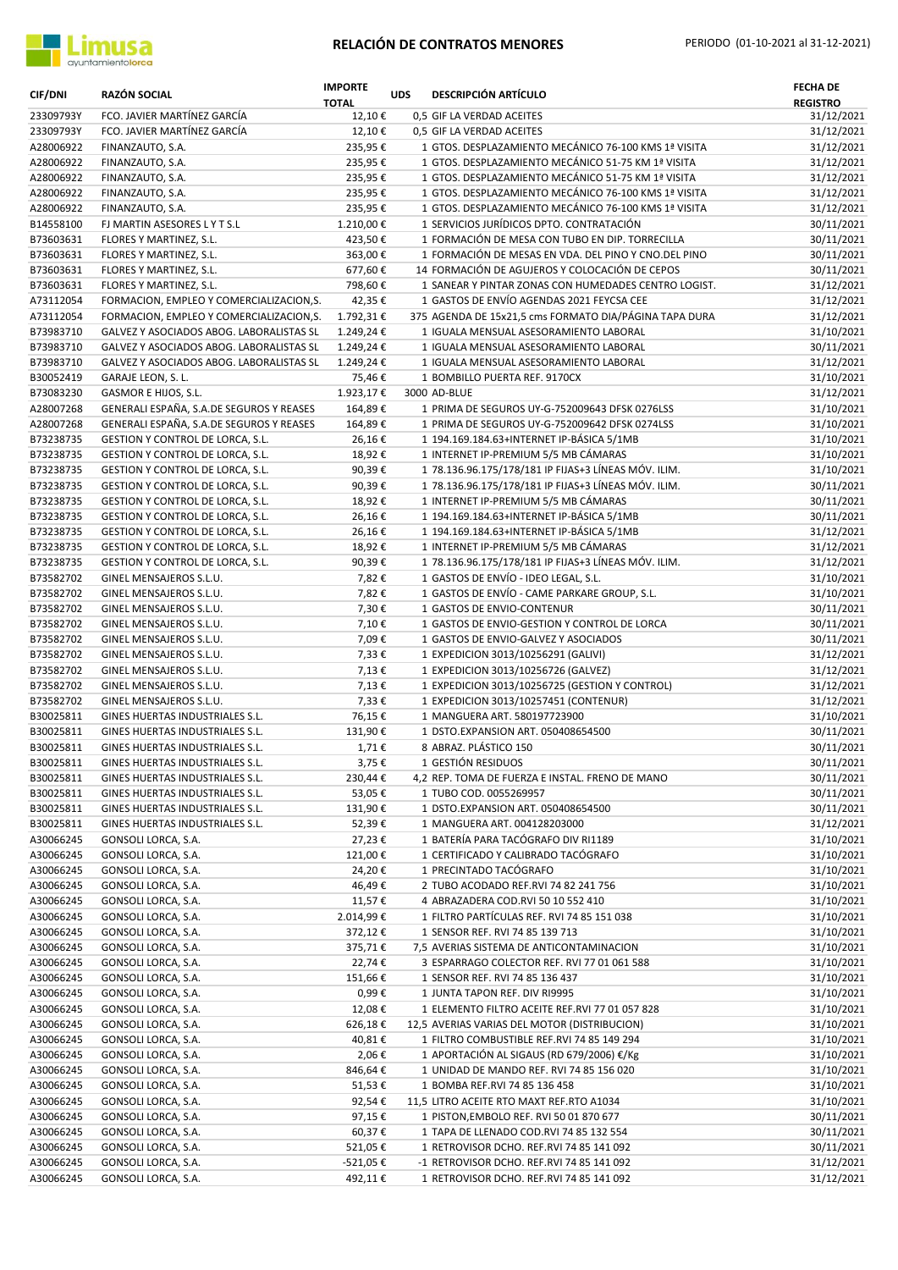

| <b>CIF/DNI</b>         | <b>RAZÓN SOCIAL</b>                                                          | <b>IMPORTE</b><br><b>TOTAL</b> | <b>UDS</b> | <b>DESCRIPCIÓN ARTÍCULO</b>                                                                      | <b>FECHA DE</b><br><b>REGISTRO</b> |
|------------------------|------------------------------------------------------------------------------|--------------------------------|------------|--------------------------------------------------------------------------------------------------|------------------------------------|
| 23309793Y              | FCO. JAVIER MARTÍNEZ GARCÍA                                                  | 12,10€                         |            | 0,5 GIF LA VERDAD ACEITES                                                                        | 31/12/2021                         |
| 23309793Y              | FCO. JAVIER MARTÍNEZ GARCÍA                                                  | 12,10€                         |            | 0,5 GIF LA VERDAD ACEITES                                                                        | 31/12/2021                         |
| A28006922              | FINANZAUTO, S.A.                                                             | 235,95€                        |            | 1 GTOS. DESPLAZAMIENTO MECÁNICO 76-100 KMS 1ª VISITA                                             | 31/12/2021                         |
| A28006922              | FINANZAUTO, S.A.                                                             | 235,95€                        |            | 1 GTOS. DESPLAZAMIENTO MECÁNICO 51-75 KM 1ª VISITA                                               | 31/12/2021                         |
| A28006922              | FINANZAUTO, S.A.                                                             | 235,95€                        |            | 1 GTOS. DESPLAZAMIENTO MECÁNICO 51-75 KM 1ª VISITA                                               | 31/12/2021                         |
| A28006922              | FINANZAUTO, S.A.                                                             | 235,95€                        |            | 1 GTOS. DESPLAZAMIENTO MECÁNICO 76-100 KMS 1ª VISITA                                             | 31/12/2021                         |
| A28006922<br>B14558100 | FINANZAUTO, S.A.<br>FJ MARTIN ASESORES LYTS.L                                | 235,95€<br>1.210,00€           |            | 1 GTOS. DESPLAZAMIENTO MECÁNICO 76-100 KMS 1ª VISITA<br>1 SERVICIOS JURÍDICOS DPTO. CONTRATACIÓN | 31/12/2021<br>30/11/2021           |
| B73603631              | FLORES Y MARTINEZ, S.L.                                                      | 423,50€                        |            | 1 FORMACIÓN DE MESA CON TUBO EN DIP. TORRECILLA                                                  | 30/11/2021                         |
| B73603631              | FLORES Y MARTINEZ, S.L.                                                      | 363,00€                        |            | 1 FORMACIÓN DE MESAS EN VDA. DEL PINO Y CNO. DEL PINO                                            | 30/11/2021                         |
| B73603631              | FLORES Y MARTINEZ, S.L.                                                      | 677,60€                        |            | 14 FORMACIÓN DE AGUJEROS Y COLOCACIÓN DE CEPOS                                                   | 30/11/2021                         |
| B73603631              | FLORES Y MARTINEZ, S.L.                                                      | 798,60€                        |            | 1 SANEAR Y PINTAR ZONAS CON HUMEDADES CENTRO LOGIST.                                             | 31/12/2021                         |
| A73112054              | FORMACION, EMPLEO Y COMERCIALIZACION, S.                                     | 42,35€                         |            | 1 GASTOS DE ENVÍO AGENDAS 2021 FEYCSA CEE                                                        | 31/12/2021                         |
| A73112054              | FORMACION, EMPLEO Y COMERCIALIZACION, S.                                     | 1.792,31€                      |            | 375 AGENDA DE 15x21,5 cms FORMATO DIA/PÁGINA TAPA DURA                                           | 31/12/2021                         |
| B73983710              | GALVEZ Y ASOCIADOS ABOG. LABORALISTAS SL                                     | 1.249,24€                      |            | 1 IGUALA MENSUAL ASESORAMIENTO LABORAL                                                           | 31/10/2021                         |
| B73983710              | GALVEZ Y ASOCIADOS ABOG. LABORALISTAS SL                                     | 1.249,24€                      |            | 1 IGUALA MENSUAL ASESORAMIENTO LABORAL                                                           | 30/11/2021                         |
| B73983710              | GALVEZ Y ASOCIADOS ABOG. LABORALISTAS SL                                     | 1.249,24€                      |            | 1 IGUALA MENSUAL ASESORAMIENTO LABORAL                                                           | 31/12/2021                         |
| B30052419              | GARAJE LEON, S. L.                                                           | 75,46€                         |            | 1 BOMBILLO PUERTA REF. 9170CX                                                                    | 31/10/2021                         |
| B73083230              | GASMOR E HIJOS, S.L.                                                         | 1.923,17€                      |            | 3000 AD-BLUE                                                                                     | 31/12/2021                         |
| A28007268<br>A28007268 | GENERALI ESPAÑA, S.A.DE SEGUROS Y REASES                                     | 164,89€<br>164,89€             |            | 1 PRIMA DE SEGUROS UY-G-752009643 DFSK 0276LSS<br>1 PRIMA DE SEGUROS UY-G-752009642 DFSK 0274LSS | 31/10/2021<br>31/10/2021           |
| B73238735              | GENERALI ESPAÑA, S.A.DE SEGUROS Y REASES<br>GESTION Y CONTROL DE LORCA, S.L. | 26,16€                         |            | 1 194.169.184.63+INTERNET IP-BÁSICA 5/1MB                                                        | 31/10/2021                         |
| B73238735              | GESTION Y CONTROL DE LORCA, S.L.                                             | 18,92€                         |            | 1 INTERNET IP-PREMIUM 5/5 MB CÁMARAS                                                             | 31/10/2021                         |
| B73238735              | GESTION Y CONTROL DE LORCA, S.L.                                             | 90,39€                         |            | 1 78.136.96.175/178/181 IP FIJAS+3 LÍNEAS MÓV. ILIM.                                             | 31/10/2021                         |
| B73238735              | GESTION Y CONTROL DE LORCA, S.L.                                             | 90,39€                         |            | 1 78.136.96.175/178/181 IP FIJAS+3 LÍNEAS MÓV. ILIM.                                             | 30/11/2021                         |
| B73238735              | GESTION Y CONTROL DE LORCA, S.L.                                             | 18,92€                         |            | 1 INTERNET IP-PREMIUM 5/5 MB CÁMARAS                                                             | 30/11/2021                         |
| B73238735              | GESTION Y CONTROL DE LORCA, S.L.                                             | 26,16€                         |            | 1 194.169.184.63+INTERNET IP-BÁSICA 5/1MB                                                        | 30/11/2021                         |
| B73238735              | GESTION Y CONTROL DE LORCA, S.L.                                             | 26,16€                         |            | 1 194.169.184.63+INTERNET IP-BÁSICA 5/1MB                                                        | 31/12/2021                         |
| B73238735              | GESTION Y CONTROL DE LORCA, S.L.                                             | 18,92€                         |            | 1 INTERNET IP-PREMIUM 5/5 MB CÁMARAS                                                             | 31/12/2021                         |
| B73238735              | GESTION Y CONTROL DE LORCA, S.L.                                             | 90,39€                         |            | 1 78.136.96.175/178/181 IP FIJAS+3 LÍNEAS MÓV. ILIM.                                             | 31/12/2021                         |
| B73582702              | GINEL MENSAJEROS S.L.U.                                                      | 7,82€                          |            | 1 GASTOS DE ENVÍO - IDEO LEGAL, S.L.                                                             | 31/10/2021                         |
| B73582702              | GINEL MENSAJEROS S.L.U.                                                      | 7,82€                          |            | 1 GASTOS DE ENVÍO - CAME PARKARE GROUP, S.L.                                                     | 31/10/2021                         |
| B73582702              | GINEL MENSAJEROS S.L.U.                                                      | 7,30€                          |            | 1 GASTOS DE ENVIO-CONTENUR                                                                       | 30/11/2021                         |
| B73582702              | GINEL MENSAJEROS S.L.U.                                                      | 7,10€                          |            | 1 GASTOS DE ENVIO-GESTION Y CONTROL DE LORCA                                                     | 30/11/2021                         |
| B73582702              | GINEL MENSAJEROS S.L.U.                                                      | 7,09€                          |            | 1 GASTOS DE ENVIO-GALVEZ Y ASOCIADOS                                                             | 30/11/2021                         |
| B73582702<br>B73582702 | GINEL MENSAJEROS S.L.U.<br>GINEL MENSAJEROS S.L.U.                           | 7,33€<br>7,13€                 |            | 1 EXPEDICION 3013/10256291 (GALIVI)<br>1 EXPEDICION 3013/10256726 (GALVEZ)                       | 31/12/2021<br>31/12/2021           |
| B73582702              | GINEL MENSAJEROS S.L.U.                                                      | 7,13€                          |            | 1 EXPEDICION 3013/10256725 (GESTION Y CONTROL)                                                   | 31/12/2021                         |
| B73582702              | GINEL MENSAJEROS S.L.U.                                                      | 7,33€                          |            | 1 EXPEDICION 3013/10257451 (CONTENUR)                                                            | 31/12/2021                         |
| B30025811              | GINES HUERTAS INDUSTRIALES S.L.                                              | 76,15€                         |            | 1 MANGUERA ART. 580197723900                                                                     | 31/10/2021                         |
| B30025811              | GINES HUERTAS INDUSTRIALES S.L.                                              | 131,90€                        |            | 1 DSTO.EXPANSION ART. 050408654500                                                               | 30/11/2021                         |
| B30025811              | GINES HUERTAS INDUSTRIALES S.L.                                              | 1,71€                          |            | 8 ABRAZ. PLÁSTICO 150                                                                            | 30/11/2021                         |
| B30025811              | GINES HUERTAS INDUSTRIALES S.L.                                              | 3,75€                          |            | 1 GESTIÓN RESIDUOS                                                                               | 30/11/2021                         |
| B30025811              | GINES HUERTAS INDUSTRIALES S.L.                                              | 230,44€                        |            | 4,2 REP. TOMA DE FUERZA E INSTAL. FRENO DE MANO                                                  | 30/11/2021                         |
| B30025811              | GINES HUERTAS INDUSTRIALES S.L.                                              | 53,05€                         |            | 1 TUBO COD. 0055269957                                                                           | 30/11/2021                         |
| B30025811              | GINES HUERTAS INDUSTRIALES S.L.                                              | 131,90€                        |            | 1 DSTO.EXPANSION ART. 050408654500                                                               | 30/11/2021                         |
| B30025811              | GINES HUERTAS INDUSTRIALES S.L.                                              | 52,39€                         |            | 1 MANGUERA ART. 004128203000                                                                     | 31/12/2021                         |
| A30066245              | GONSOLI LORCA, S.A.                                                          | 27,23€                         |            | 1 BATERÍA PARA TACÓGRAFO DIV RI1189                                                              | 31/10/2021                         |
| A30066245              | GONSOLI LORCA, S.A.                                                          | 121,00€<br>24,20€              |            | 1 CERTIFICADO Y CALIBRADO TACÓGRAFO<br>1 PRECINTADO TACÓGRAFO                                    | 31/10/2021<br>31/10/2021           |
| A30066245<br>A30066245 | GONSOLI LORCA, S.A.<br>GONSOLI LORCA, S.A.                                   | 46,49€                         |            | 2 TUBO ACODADO REF.RVI 74 82 241 756                                                             | 31/10/2021                         |
| A30066245              | GONSOLI LORCA, S.A.                                                          | 11,57€                         |            | 4 ABRAZADERA COD.RVI 50 10 552 410                                                               | 31/10/2021                         |
| A30066245              | GONSOLI LORCA, S.A.                                                          | 2.014,99€                      |            | 1 FILTRO PARTÍCULAS REF. RVI 74 85 151 038                                                       | 31/10/2021                         |
| A30066245              | GONSOLI LORCA, S.A.                                                          | 372,12€                        |            | 1 SENSOR REF. RVI 74 85 139 713                                                                  | 31/10/2021                         |
| A30066245              | GONSOLI LORCA, S.A.                                                          | 375,71€                        |            | 7,5 AVERIAS SISTEMA DE ANTICONTAMINACION                                                         | 31/10/2021                         |
| A30066245              | GONSOLI LORCA, S.A.                                                          | 22,74€                         |            | 3 ESPARRAGO COLECTOR REF. RVI 77 01 061 588                                                      | 31/10/2021                         |
| A30066245              | GONSOLI LORCA, S.A.                                                          | 151,66€                        |            | 1 SENSOR REF. RVI 74 85 136 437                                                                  | 31/10/2021                         |
| A30066245              | GONSOLI LORCA, S.A.                                                          | 0,99€                          |            | 1 JUNTA TAPON REF. DIV RI9995                                                                    | 31/10/2021                         |
| A30066245              | GONSOLI LORCA, S.A.                                                          | 12,08€                         |            | 1 ELEMENTO FILTRO ACEITE REF.RVI 77 01 057 828                                                   | 31/10/2021                         |
| A30066245              | GONSOLI LORCA, S.A.                                                          | 626,18€                        |            | 12,5 AVERIAS VARIAS DEL MOTOR (DISTRIBUCION)                                                     | 31/10/2021                         |
| A30066245              | GONSOLI LORCA, S.A.                                                          | 40,81€                         |            | 1 FILTRO COMBUSTIBLE REF.RVI 74 85 149 294                                                       | 31/10/2021                         |
| A30066245              | GONSOLI LORCA, S.A.                                                          | 2,06€                          |            | 1 APORTACIÓN AL SIGAUS (RD 679/2006) €/Kg                                                        | 31/10/2021                         |
| A30066245              | GONSOLI LORCA, S.A.                                                          | 846,64€                        |            | 1 UNIDAD DE MANDO REF. RVI 74 85 156 020                                                         | 31/10/2021<br>31/10/2021           |
| A30066245<br>A30066245 | GONSOLI LORCA, S.A.<br>GONSOLI LORCA, S.A.                                   | 51,53€<br>92,54€               |            | 1 BOMBA REF.RVI 74 85 136 458<br>11,5 LITRO ACEITE RTO MAXT REF.RTO A1034                        | 31/10/2021                         |
| A30066245              | GONSOLI LORCA, S.A.                                                          | 97,15€                         |            | 1 PISTON, EMBOLO REF. RVI 50 01 870 677                                                          | 30/11/2021                         |
| A30066245              | GONSOLI LORCA, S.A.                                                          | 60,37€                         |            | 1 TAPA DE LLENADO COD.RVI 74 85 132 554                                                          | 30/11/2021                         |
| A30066245              | GONSOLI LORCA, S.A.                                                          | 521,05€                        |            | 1 RETROVISOR DCHO. REF.RVI 74 85 141 092                                                         | 30/11/2021                         |
| A30066245              | GONSOLI LORCA, S.A.                                                          | -521,05€                       |            | -1 RETROVISOR DCHO. REF.RVI 74 85 141 092                                                        | 31/12/2021                         |
| A30066245              | GONSOLI LORCA, S.A.                                                          | 492,11€                        |            | 1 RETROVISOR DCHO. REF.RVI 74 85 141 092                                                         | 31/12/2021                         |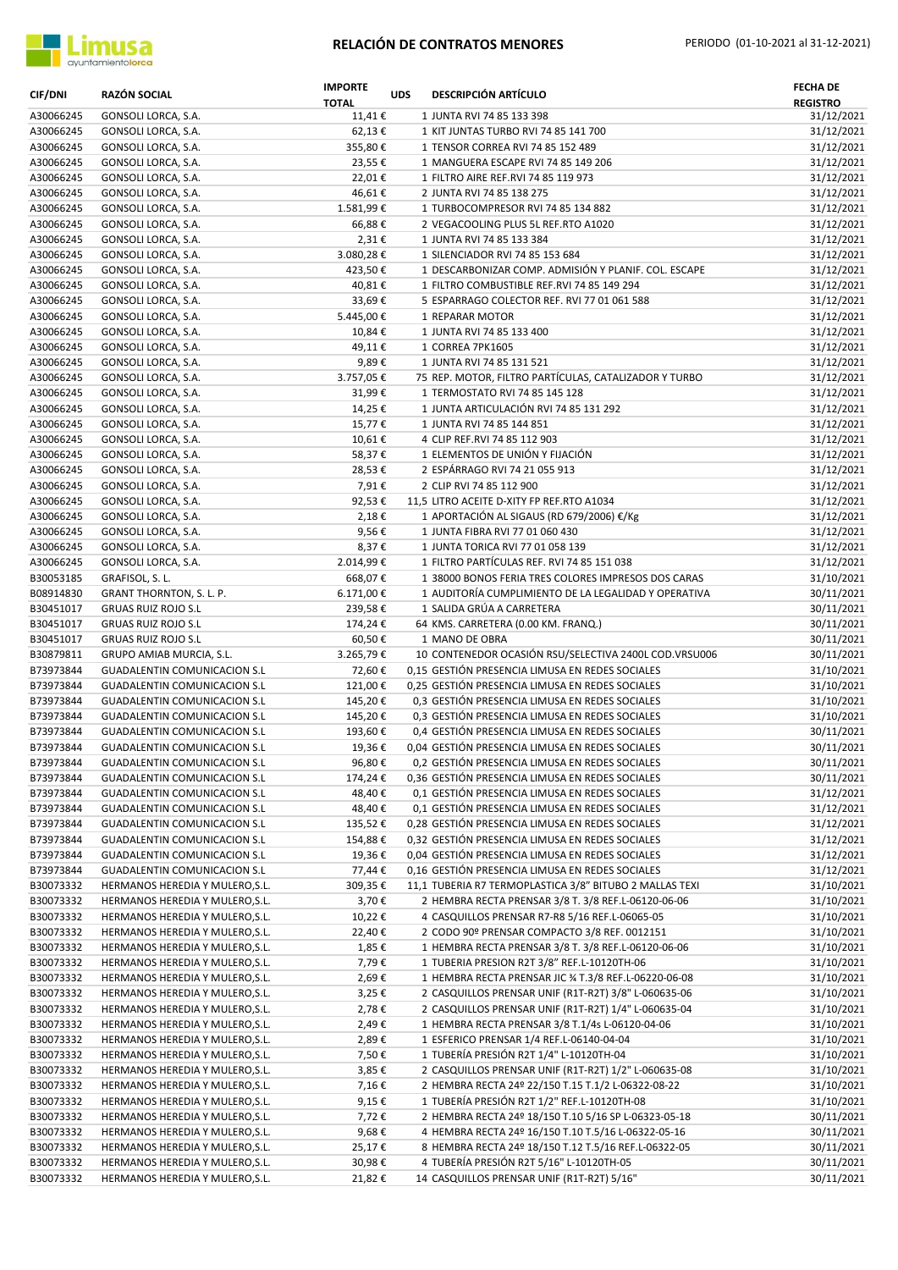

| <b>CIF/DNI</b>         | <b>RAZÓN SOCIAL</b>                                                 | <b>IMPORTE</b><br><b>TOTAL</b> | <b>UDS</b> | <b>DESCRIPCIÓN ARTÍCULO</b>                                                                       | <b>FECHA DE</b><br><b>REGISTRO</b> |
|------------------------|---------------------------------------------------------------------|--------------------------------|------------|---------------------------------------------------------------------------------------------------|------------------------------------|
| A30066245              | GONSOLI LORCA, S.A.                                                 | 11,41€                         |            | 1 JUNTA RVI 74 85 133 398                                                                         | 31/12/2021                         |
| A30066245              | GONSOLI LORCA, S.A.                                                 | 62,13€                         |            | 1 KIT JUNTAS TURBO RVI 74 85 141 700                                                              | 31/12/2021                         |
| A30066245              | GONSOLI LORCA, S.A.                                                 | 355,80€                        |            | 1 TENSOR CORREA RVI 74 85 152 489                                                                 | 31/12/2021                         |
| A30066245              | GONSOLI LORCA, S.A.                                                 | 23,55€                         |            | 1 MANGUERA ESCAPE RVI 74 85 149 206                                                               | 31/12/2021                         |
| A30066245              | GONSOLI LORCA, S.A.                                                 | 22,01€                         |            | 1 FILTRO AIRE REF.RVI 74 85 119 973                                                               | 31/12/2021                         |
| A30066245              | GONSOLI LORCA, S.A.                                                 | 46,61€                         |            | 2 JUNTA RVI 74 85 138 275                                                                         | 31/12/2021<br>31/12/2021           |
| A30066245<br>A30066245 | GONSOLI LORCA, S.A.<br>GONSOLI LORCA, S.A.                          | 1.581,99€                      |            | 1 TURBOCOMPRESOR RVI 74 85 134 882<br>2 VEGACOOLING PLUS 5L REF.RTO A1020                         |                                    |
| A30066245              | GONSOLI LORCA, S.A.                                                 | 66,88€<br>2,31€                |            | 1 JUNTA RVI 74 85 133 384                                                                         | 31/12/2021<br>31/12/2021           |
| A30066245              | GONSOLI LORCA, S.A.                                                 | 3.080,28€                      |            | 1 SILENCIADOR RVI 74 85 153 684                                                                   | 31/12/2021                         |
| A30066245              | GONSOLI LORCA, S.A.                                                 | 423,50€                        |            | 1 DESCARBONIZAR COMP. ADMISIÓN Y PLANIF. COL. ESCAPE                                              | 31/12/2021                         |
| A30066245              | GONSOLI LORCA, S.A.                                                 | 40,81€                         |            | 1 FILTRO COMBUSTIBLE REF.RVI 74 85 149 294                                                        | 31/12/2021                         |
| A30066245              | GONSOLI LORCA, S.A.                                                 | 33,69€                         |            | 5 ESPARRAGO COLECTOR REF. RVI 77 01 061 588                                                       | 31/12/2021                         |
| A30066245              | GONSOLI LORCA, S.A.                                                 | 5.445,00€                      |            | 1 REPARAR MOTOR                                                                                   | 31/12/2021                         |
| A30066245              | GONSOLI LORCA, S.A.                                                 | 10,84€                         |            | 1 JUNTA RVI 74 85 133 400                                                                         | 31/12/2021                         |
| A30066245              | GONSOLI LORCA, S.A.                                                 | 49,11€                         |            | 1 CORREA 7PK1605                                                                                  | 31/12/2021                         |
| A30066245              | GONSOLI LORCA, S.A.                                                 | 9,89€                          |            | 1 JUNTA RVI 74 85 131 521                                                                         | 31/12/2021                         |
| A30066245              | GONSOLI LORCA, S.A.                                                 | 3.757,05€                      |            | 75 REP. MOTOR, FILTRO PARTÍCULAS, CATALIZADOR Y TURBO                                             | 31/12/2021                         |
| A30066245              | GONSOLI LORCA, S.A.                                                 | 31,99€                         |            | 1 TERMOSTATO RVI 74 85 145 128                                                                    | 31/12/2021                         |
| A30066245              | GONSOLI LORCA, S.A.                                                 | 14,25€                         |            | 1 JUNTA ARTICULACIÓN RVI 74 85 131 292                                                            | 31/12/2021                         |
| A30066245              | GONSOLI LORCA, S.A.                                                 | 15,77€                         |            | 1 JUNTA RVI 74 85 144 851                                                                         | 31/12/2021                         |
| A30066245              | GONSOLI LORCA, S.A.                                                 | 10,61€                         |            | 4 CLIP REF.RVI 74 85 112 903                                                                      | 31/12/2021                         |
| A30066245              | GONSOLI LORCA, S.A.                                                 | 58,37€                         |            | 1 ELEMENTOS DE UNIÓN Y FIJACIÓN                                                                   | 31/12/2021                         |
| A30066245              | GONSOLI LORCA, S.A.                                                 | 28,53€                         |            | 2 ESPÁRRAGO RVI 74 21 055 913                                                                     | 31/12/2021                         |
| A30066245              | GONSOLI LORCA, S.A.                                                 | 7,91€<br>92,53€                |            | 2 CLIP RVI 74 85 112 900<br>11,5 LITRO ACEITE D-XITY FP REF.RTO A1034                             | 31/12/2021<br>31/12/2021           |
| A30066245<br>A30066245 | GONSOLI LORCA, S.A.<br>GONSOLI LORCA, S.A.                          | 2,18€                          |            | 1 APORTACIÓN AL SIGAUS (RD 679/2006) €/Kg                                                         | 31/12/2021                         |
| A30066245              | GONSOLI LORCA, S.A.                                                 | 9,56€                          |            | 1 JUNTA FIBRA RVI 77 01 060 430                                                                   | 31/12/2021                         |
| A30066245              | GONSOLI LORCA, S.A.                                                 | 8,37€                          |            | 1 JUNTA TORICA RVI 77 01 058 139                                                                  | 31/12/2021                         |
| A30066245              | GONSOLI LORCA, S.A.                                                 | 2.014,99€                      |            | 1 FILTRO PARTÍCULAS REF. RVI 74 85 151 038                                                        | 31/12/2021                         |
| B30053185              | GRAFISOL, S. L.                                                     | 668,07€                        |            | 1 38000 BONOS FERIA TRES COLORES IMPRESOS DOS CARAS                                               | 31/10/2021                         |
| B08914830              | GRANT THORNTON, S. L. P.                                            | 6.171,00€                      |            | 1 AUDITORÍA CUMPLIMIENTO DE LA LEGALIDAD Y OPERATIVA                                              | 30/11/2021                         |
| B30451017              | <b>GRUAS RUIZ ROJO S.L</b>                                          | 239,58€                        |            | 1 SALIDA GRÚA A CARRETERA                                                                         | 30/11/2021                         |
| B30451017              | <b>GRUAS RUIZ ROJO S.L</b>                                          | 174,24€                        |            | 64 KMS. CARRETERA (0.00 KM. FRANQ.)                                                               | 30/11/2021                         |
| B30451017              | <b>GRUAS RUIZ ROJO S.L</b>                                          | 60,50€                         |            | 1 MANO DE OBRA                                                                                    | 30/11/2021                         |
| B30879811              | GRUPO AMIAB MURCIA, S.L.                                            | 3.265,79€                      |            | 10 CONTENEDOR OCASIÓN RSU/SELECTIVA 2400L COD.VRSU006                                             | 30/11/2021                         |
| B73973844              | <b>GUADALENTIN COMUNICACION S.L</b>                                 | 72,60€                         |            | 0,15 GESTIÓN PRESENCIA LIMUSA EN REDES SOCIALES                                                   | 31/10/2021                         |
| B73973844              | <b>GUADALENTIN COMUNICACION S.L</b>                                 | 121,00€                        |            | 0,25 GESTIÓN PRESENCIA LIMUSA EN REDES SOCIALES                                                   | 31/10/2021                         |
| B73973844              | GUADALENTIN COMUNICACION S.L                                        | 145,20€                        |            | 0,3 GESTIÓN PRESENCIA LIMUSA EN REDES SOCIALES                                                    | 31/10/2021                         |
| B73973844              | GUADALENTIN COMUNICACION S.L<br><b>GUADALENTIN COMUNICACION S.L</b> | 145,20€                        |            | 0,3 GESTIÓN PRESENCIA LIMUSA EN REDES SOCIALES                                                    | 31/10/2021                         |
| B73973844<br>B73973844 | <b>GUADALENTIN COMUNICACION S.L</b>                                 | 193,60€<br>19,36€              |            | 0,4 GESTIÓN PRESENCIA LIMUSA EN REDES SOCIALES<br>0,04 GESTIÓN PRESENCIA LIMUSA EN REDES SOCIALES | 30/11/2021<br>30/11/2021           |
| B73973844              | <b>GUADALENTIN COMUNICACION S.L</b>                                 | 96,80€                         |            | 0,2 GESTIÓN PRESENCIA LIMUSA EN REDES SOCIALES                                                    | 30/11/2021                         |
| B73973844              | <b>GUADALENTIN COMUNICACION S.L</b>                                 | 174,24€                        |            | 0,36 GESTIÓN PRESENCIA LIMUSA EN REDES SOCIALES                                                   | 30/11/2021                         |
| B73973844              | <b>GUADALENTIN COMUNICACION S.L</b>                                 | 48,40€                         |            | 0,1 GESTIÓN PRESENCIA LIMUSA EN REDES SOCIALES                                                    | 31/12/2021                         |
| B73973844              | GUADALENTIN COMUNICACION S.L                                        | 48,40€                         |            | 0,1 GESTIÓN PRESENCIA LIMUSA EN REDES SOCIALES                                                    | 31/12/2021                         |
| B73973844              | <b>GUADALENTIN COMUNICACION S.L</b>                                 | 135,52€                        |            | 0,28 GESTIÓN PRESENCIA LIMUSA EN REDES SOCIALES                                                   | 31/12/2021                         |
| B73973844              | <b>GUADALENTIN COMUNICACION S.L</b>                                 | 154,88€                        |            | 0.32 GESTIÓN PRESENCIA LIMUSA EN REDES SOCIALES                                                   | 31/12/2021                         |
| B73973844              | <b>GUADALENTIN COMUNICACION S.L</b>                                 | 19,36€                         |            | 0,04 GESTIÓN PRESENCIA LIMUSA EN REDES SOCIALES                                                   | 31/12/2021                         |
| B73973844              | <b>GUADALENTIN COMUNICACION S.L</b>                                 | 77,44€                         |            | 0,16 GESTIÓN PRESENCIA LIMUSA EN REDES SOCIALES                                                   | 31/12/2021                         |
| B30073332              | HERMANOS HEREDIA Y MULERO, S.L.                                     | 309,35€                        |            | 11,1 TUBERIA R7 TERMOPLASTICA 3/8" BITUBO 2 MALLAS TEXI                                           | 31/10/2021                         |
| B30073332              | HERMANOS HEREDIA Y MULERO, S.L.                                     | 3,70€                          |            | 2 HEMBRA RECTA PRENSAR 3/8 T. 3/8 REF.L-06120-06-06                                               | 31/10/2021                         |
| B30073332              | HERMANOS HEREDIA Y MULERO, S.L.                                     | 10,22€                         |            | 4 CASQUILLOS PRENSAR R7-R8 5/16 REF.L-06065-05                                                    | 31/10/2021                         |
| B30073332              | HERMANOS HEREDIA Y MULERO, S.L.                                     | 22,40€                         |            | 2 CODO 90º PRENSAR COMPACTO 3/8 REF. 0012151                                                      | 31/10/2021                         |
| B30073332              | HERMANOS HEREDIA Y MULERO, S.L.                                     | 1,85€                          |            | 1 HEMBRA RECTA PRENSAR 3/8 T. 3/8 REF.L-06120-06-06                                               | 31/10/2021                         |
| B30073332              | HERMANOS HEREDIA Y MULERO, S.L.                                     | 7,79€                          |            | 1 TUBERIA PRESION R2T 3/8" REF.L-10120TH-06                                                       | 31/10/2021                         |
| B30073332              | HERMANOS HEREDIA Y MULERO, S.L.                                     | 2,69€                          |            | 1 HEMBRA RECTA PRENSAR JIC % T.3/8 REF.L-06220-06-08                                              | 31/10/2021                         |
| B30073332              | HERMANOS HEREDIA Y MULERO, S.L.                                     | 3,25€                          |            | 2 CASQUILLOS PRENSAR UNIF (R1T-R2T) 3/8" L-060635-06                                              | 31/10/2021                         |
| B30073332              | HERMANOS HEREDIA Y MULERO, S.L.                                     | 2,78€                          |            | 2 CASQUILLOS PRENSAR UNIF (R1T-R2T) 1/4" L-060635-04                                              | 31/10/2021                         |
| B30073332<br>B30073332 | HERMANOS HEREDIA Y MULERO, S.L.<br>HERMANOS HEREDIA Y MULERO, S.L.  | 2,49€<br>2,89€                 |            | 1 HEMBRA RECTA PRENSAR 3/8 T.1/4s L-06120-04-06<br>1 ESFERICO PRENSAR 1/4 REF.L-06140-04-04       | 31/10/2021<br>31/10/2021           |
| B30073332              | HERMANOS HEREDIA Y MULERO, S.L.                                     | 7,50€                          |            | 1 TUBERÍA PRESIÓN R2T 1/4" L-10120TH-04                                                           | 31/10/2021                         |
| B30073332              | HERMANOS HEREDIA Y MULERO, S.L.                                     | 3,85€                          |            | 2 CASQUILLOS PRENSAR UNIF (R1T-R2T) 1/2" L-060635-08                                              | 31/10/2021                         |
| B30073332              | HERMANOS HEREDIA Y MULERO, S.L.                                     | 7,16€                          |            | 2 HEMBRA RECTA 24º 22/150 T.15 T.1/2 L-06322-08-22                                                | 31/10/2021                         |
| B30073332              | HERMANOS HEREDIA Y MULERO, S.L.                                     | 9,15€                          |            | 1 TUBERÍA PRESIÓN R2T 1/2" REF.L-10120TH-08                                                       | 31/10/2021                         |
| B30073332              | HERMANOS HEREDIA Y MULERO, S.L.                                     | 7,72€                          |            | 2 HEMBRA RECTA 24º 18/150 T.10 5/16 SP L-06323-05-18                                              | 30/11/2021                         |
| B30073332              | HERMANOS HEREDIA Y MULERO, S.L.                                     | 9,68€                          |            | 4 HEMBRA RECTA 24º 16/150 T.10 T.5/16 L-06322-05-16                                               | 30/11/2021                         |
| B30073332              | HERMANOS HEREDIA Y MULERO, S.L.                                     | 25,17€                         |            | 8 HEMBRA RECTA 24º 18/150 T.12 T.5/16 REF.L-06322-05                                              | 30/11/2021                         |
| B30073332              | HERMANOS HEREDIA Y MULERO, S.L.                                     | 30,98€                         |            | 4 TUBERÍA PRESIÓN R2T 5/16" L-10120TH-05                                                          | 30/11/2021                         |
| B30073332              | HERMANOS HEREDIA Y MULERO, S.L.                                     | 21,82€                         |            | 14 CASQUILLOS PRENSAR UNIF (R1T-R2T) 5/16"                                                        | 30/11/2021                         |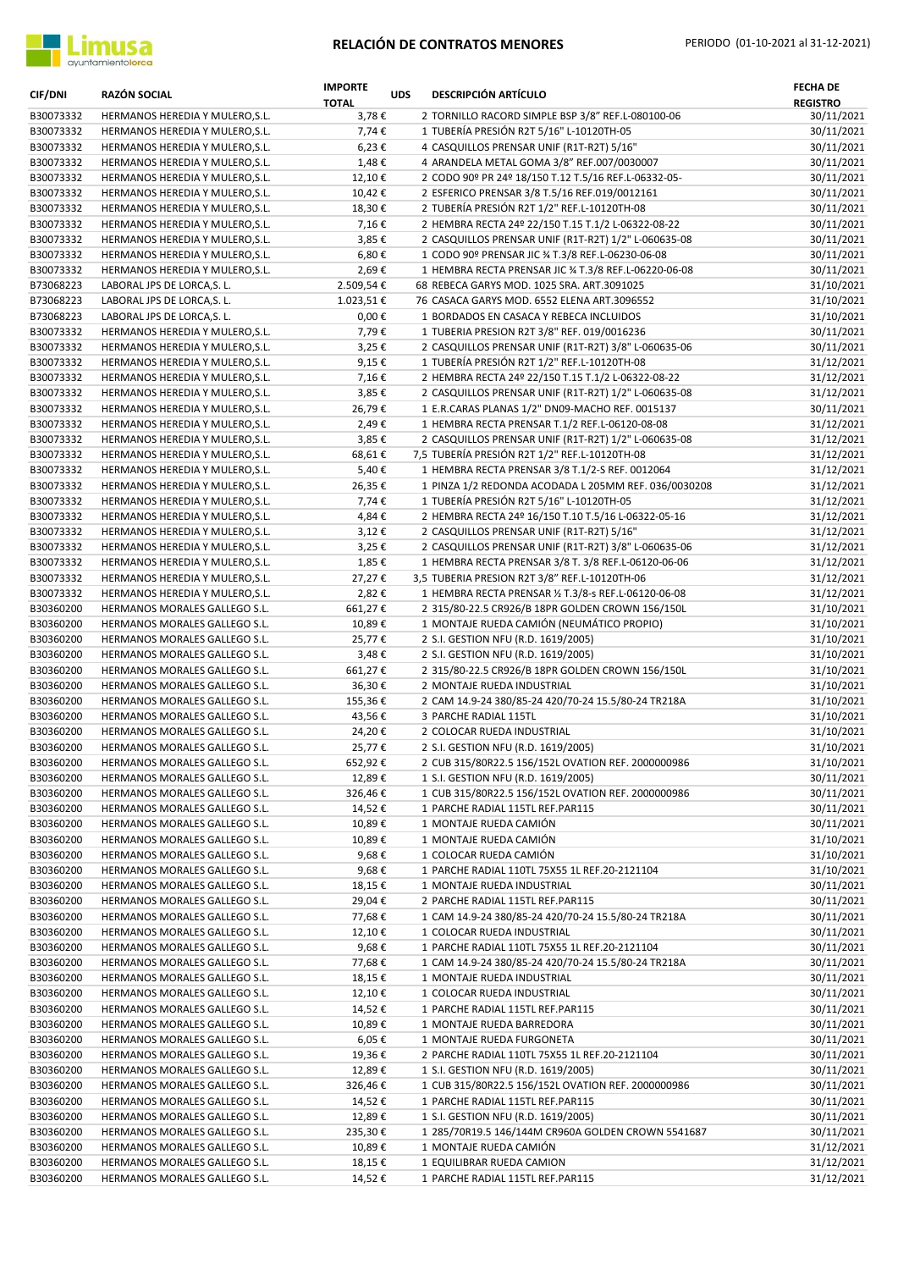

| <b>CIF/DNI</b>         | <b>RAZÓN SOCIAL</b>                                                | <b>IMPORTE</b><br><b>TOTAL</b> | <b>UDS</b> | <b>DESCRIPCIÓN ARTÍCULO</b>                                                                              | <b>FECHA DE</b><br><b>REGISTRO</b> |
|------------------------|--------------------------------------------------------------------|--------------------------------|------------|----------------------------------------------------------------------------------------------------------|------------------------------------|
| B30073332              | HERMANOS HEREDIA Y MULERO, S.L.                                    | 3,78€                          |            | 2 TORNILLO RACORD SIMPLE BSP 3/8" REF.L-080100-06                                                        | 30/11/2021                         |
| B30073332              | HERMANOS HEREDIA Y MULERO, S.L.                                    | 7,74€                          |            | 1 TUBERÍA PRESIÓN R2T 5/16" L-10120TH-05                                                                 | 30/11/2021                         |
| B30073332              | HERMANOS HEREDIA Y MULERO, S.L.                                    | 6,23€                          |            | 4 CASQUILLOS PRENSAR UNIF (R1T-R2T) 5/16"                                                                | 30/11/2021                         |
| B30073332              | HERMANOS HEREDIA Y MULERO, S.L.                                    | 1,48€                          |            | 4 ARANDELA METAL GOMA 3/8" REF.007/0030007                                                               | 30/11/2021                         |
| B30073332              | HERMANOS HEREDIA Y MULERO, S.L.                                    | 12,10€                         |            | 2 CODO 90º PR 24º 18/150 T.12 T.5/16 REF.L-06332-05-                                                     | 30/11/2021                         |
| B30073332              | HERMANOS HEREDIA Y MULERO, S.L.                                    | 10,42€                         |            | 2 ESFERICO PRENSAR 3/8 T.5/16 REF.019/0012161                                                            | 30/11/2021                         |
| B30073332              | HERMANOS HEREDIA Y MULERO, S.L.                                    | 18,30€                         |            | 2 TUBERÍA PRESIÓN R2T 1/2" REF.L-10120TH-08                                                              | 30/11/2021                         |
| B30073332              | HERMANOS HEREDIA Y MULERO, S.L.                                    | 7,16€                          |            | 2 HEMBRA RECTA 24º 22/150 T.15 T.1/2 L-06322-08-22                                                       | 30/11/2021                         |
| B30073332<br>B30073332 | HERMANOS HEREDIA Y MULERO, S.L.<br>HERMANOS HEREDIA Y MULERO, S.L. | 3,85€<br>6,80€                 |            | 2 CASQUILLOS PRENSAR UNIF (R1T-R2T) 1/2" L-060635-08                                                     | 30/11/2021<br>30/11/2021           |
| B30073332              | HERMANOS HEREDIA Y MULERO, S.L.                                    | 2,69€                          |            | 1 CODO 90º PRENSAR JIC % T.3/8 REF.L-06230-06-08<br>1 HEMBRA RECTA PRENSAR JIC % T.3/8 REF.L-06220-06-08 | 30/11/2021                         |
| B73068223              | LABORAL JPS DE LORCA, S. L.                                        | 2.509,54€                      |            | 68 REBECA GARYS MOD. 1025 SRA. ART.3091025                                                               | 31/10/2021                         |
| B73068223              | LABORAL JPS DE LORCA, S. L.                                        | 1.023,51€                      |            | 76 CASACA GARYS MOD. 6552 ELENA ART.3096552                                                              | 31/10/2021                         |
| B73068223              | LABORAL JPS DE LORCA, S. L.                                        | $0,00 \in$                     |            | 1 BORDADOS EN CASACA Y REBECA INCLUIDOS                                                                  | 31/10/2021                         |
| B30073332              | HERMANOS HEREDIA Y MULERO, S.L.                                    | 7,79€                          |            | 1 TUBERIA PRESION R2T 3/8" REF. 019/0016236                                                              | 30/11/2021                         |
| B30073332              | HERMANOS HEREDIA Y MULERO, S.L.                                    | 3,25€                          |            | 2 CASQUILLOS PRENSAR UNIF (R1T-R2T) 3/8" L-060635-06                                                     | 30/11/2021                         |
| B30073332              | HERMANOS HEREDIA Y MULERO, S.L.                                    | 9,15€                          |            | 1 TUBERÍA PRESIÓN R2T 1/2" REF.L-10120TH-08                                                              | 31/12/2021                         |
| B30073332              | HERMANOS HEREDIA Y MULERO, S.L.                                    | 7,16€                          |            | 2 HEMBRA RECTA 24º 22/150 T.15 T.1/2 L-06322-08-22                                                       | 31/12/2021                         |
| B30073332              | HERMANOS HEREDIA Y MULERO, S.L.                                    | 3,85€                          |            | 2 CASQUILLOS PRENSAR UNIF (R1T-R2T) 1/2" L-060635-08                                                     | 31/12/2021                         |
| B30073332              | HERMANOS HEREDIA Y MULERO, S.L.                                    | 26,79€                         |            | 1 E.R.CARAS PLANAS 1/2" DN09-MACHO REF. 0015137                                                          | 30/11/2021                         |
| B30073332              | HERMANOS HEREDIA Y MULERO, S.L.                                    | 2,49€                          |            | 1 HEMBRA RECTA PRENSAR T.1/2 REF.L-06120-08-08                                                           | 31/12/2021                         |
| B30073332              | HERMANOS HEREDIA Y MULERO, S.L.                                    | 3,85€                          |            | 2 CASQUILLOS PRENSAR UNIF (R1T-R2T) 1/2" L-060635-08                                                     | 31/12/2021                         |
| B30073332              | HERMANOS HEREDIA Y MULERO, S.L.                                    | 68,61€                         |            | 7,5 TUBERÍA PRESIÓN R2T 1/2" REF.L-10120TH-08                                                            | 31/12/2021                         |
| B30073332              | HERMANOS HEREDIA Y MULERO, S.L.                                    | 5,40€                          |            | 1 HEMBRA RECTA PRENSAR 3/8 T.1/2-S REF. 0012064                                                          | 31/12/2021                         |
| B30073332              | HERMANOS HEREDIA Y MULERO, S.L.                                    | 26,35€                         |            | 1 PINZA 1/2 REDONDA ACODADA L 205MM REF. 036/0030208                                                     | 31/12/2021                         |
| B30073332              | HERMANOS HEREDIA Y MULERO, S.L.                                    | 7,74€                          |            | 1 TUBERÍA PRESIÓN R2T 5/16" L-10120TH-05                                                                 | 31/12/2021                         |
| B30073332              | HERMANOS HEREDIA Y MULERO, S.L.                                    | 4,84€                          |            | 2 HEMBRA RECTA 24º 16/150 T.10 T.5/16 L-06322-05-16                                                      | 31/12/2021                         |
| B30073332              | HERMANOS HEREDIA Y MULERO, S.L.                                    | 3,12€                          |            | 2 CASQUILLOS PRENSAR UNIF (R1T-R2T) 5/16"                                                                | 31/12/2021                         |
| B30073332              | HERMANOS HEREDIA Y MULERO, S.L.                                    | 3,25€                          |            | 2 CASQUILLOS PRENSAR UNIF (R1T-R2T) 3/8" L-060635-06                                                     | 31/12/2021                         |
| B30073332              | HERMANOS HEREDIA Y MULERO, S.L.                                    | 1,85€                          |            | 1 HEMBRA RECTA PRENSAR 3/8 T. 3/8 REF.L-06120-06-06                                                      | 31/12/2021                         |
| B30073332              | HERMANOS HEREDIA Y MULERO, S.L.                                    | 27,27€                         |            | 3,5 TUBERIA PRESION R2T 3/8" REF.L-10120TH-06                                                            | 31/12/2021                         |
| B30073332              | HERMANOS HEREDIA Y MULERO, S.L.                                    | 2,82€                          |            | 1 HEMBRA RECTA PRENSAR 1/2 T.3/8-s REF.L-06120-06-08                                                     | 31/12/2021                         |
| B30360200              | HERMANOS MORALES GALLEGO S.L.                                      | 661,27€                        |            | 2 315/80-22.5 CR926/B 18PR GOLDEN CROWN 156/150L                                                         | 31/10/2021                         |
| B30360200              | HERMANOS MORALES GALLEGO S.L.                                      | 10,89€                         |            | 1 MONTAJE RUEDA CAMIÓN (NEUMÁTICO PROPIO)                                                                | 31/10/2021                         |
| B30360200<br>B30360200 | HERMANOS MORALES GALLEGO S.L.<br>HERMANOS MORALES GALLEGO S.L.     | 25,77€<br>3,48€                |            | 2 S.I. GESTION NFU (R.D. 1619/2005)                                                                      | 31/10/2021<br>31/10/2021           |
| B30360200              | HERMANOS MORALES GALLEGO S.L.                                      | 661,27€                        |            | 2 S.I. GESTION NFU (R.D. 1619/2005)<br>2 315/80-22.5 CR926/B 18PR GOLDEN CROWN 156/150L                  | 31/10/2021                         |
| B30360200              | HERMANOS MORALES GALLEGO S.L.                                      | 36,30€                         |            | 2 MONTAJE RUEDA INDUSTRIAL                                                                               | 31/10/2021                         |
| B30360200              | HERMANOS MORALES GALLEGO S.L.                                      | 155,36€                        |            | 2 CAM 14.9-24 380/85-24 420/70-24 15.5/80-24 TR218A                                                      | 31/10/2021                         |
| B30360200              | HERMANOS MORALES GALLEGO S.L.                                      | 43,56€                         |            | 3 PARCHE RADIAL 115TL                                                                                    | 31/10/2021                         |
| B30360200              | HERMANOS MORALES GALLEGO S.L.                                      | 24,20€                         |            | 2 COLOCAR RUEDA INDUSTRIAL                                                                               | 31/10/2021                         |
| B30360200              | HERMANOS MORALES GALLEGO S.L.                                      | 25,77€                         |            | 2 S.I. GESTION NFU (R.D. 1619/2005)                                                                      | 31/10/2021                         |
| B30360200              | HERMANOS MORALES GALLEGO S.L.                                      | 652,92€                        |            | 2 CUB 315/80R22.5 156/152L OVATION REF. 2000000986                                                       | 31/10/2021                         |
| B30360200              | HERMANOS MORALES GALLEGO S.L.                                      | 12,89€                         |            | 1 S.I. GESTION NFU (R.D. 1619/2005)                                                                      | 30/11/2021                         |
| B30360200              | HERMANOS MORALES GALLEGO S.L.                                      | 326,46€                        |            | 1 CUB 315/80R22.5 156/152L OVATION REF. 2000000986                                                       | 30/11/2021                         |
| B30360200              | HERMANOS MORALES GALLEGO S.L.                                      | 14,52€                         |            | 1 PARCHE RADIAL 115TL REF.PAR115                                                                         | 30/11/2021                         |
| B30360200              | HERMANOS MORALES GALLEGO S.L.                                      | 10,89€                         |            | 1 MONTAJE RUEDA CAMIÓN                                                                                   | 30/11/2021                         |
| B30360200              | HERMANOS MORALES GALLEGO S.L.                                      | 10,89€                         |            | 1 MONTAJE RUEDA CAMIÓN                                                                                   | 31/10/2021                         |
| B30360200              | HERMANOS MORALES GALLEGO S.L.                                      | 9,68€                          |            | 1 COLOCAR RUEDA CAMIÓN                                                                                   | 31/10/2021                         |
| B30360200              | HERMANOS MORALES GALLEGO S.L.                                      | 9,68€                          |            | 1 PARCHE RADIAL 110TL 75X55 1L REF.20-2121104                                                            | 31/10/2021                         |
| B30360200              | HERMANOS MORALES GALLEGO S.L.                                      | 18,15€                         |            | 1 MONTAJE RUEDA INDUSTRIAL                                                                               | 30/11/2021                         |
| B30360200              | HERMANOS MORALES GALLEGO S.L.                                      | 29,04€                         |            | 2 PARCHE RADIAL 115TL REF.PAR115                                                                         | 30/11/2021                         |
| B30360200              | HERMANOS MORALES GALLEGO S.L.                                      | 77,68€                         |            | 1 CAM 14.9-24 380/85-24 420/70-24 15.5/80-24 TR218A                                                      | 30/11/2021                         |
| B30360200              | HERMANOS MORALES GALLEGO S.L.                                      | 12,10€                         |            | 1 COLOCAR RUEDA INDUSTRIAL                                                                               | 30/11/2021                         |
| B30360200              | HERMANOS MORALES GALLEGO S.L.                                      | 9,68€                          |            | 1 PARCHE RADIAL 110TL 75X55 1L REF.20-2121104                                                            | 30/11/2021                         |
| B30360200              | HERMANOS MORALES GALLEGO S.L.                                      | 77,68€                         |            | 1 CAM 14.9-24 380/85-24 420/70-24 15.5/80-24 TR218A                                                      | 30/11/2021                         |
| B30360200              | HERMANOS MORALES GALLEGO S.L.                                      | 18,15€                         |            | 1 MONTAJE RUEDA INDUSTRIAL                                                                               | 30/11/2021                         |
| B30360200              | HERMANOS MORALES GALLEGO S.L.                                      | 12,10€                         |            | 1 COLOCAR RUEDA INDUSTRIAL                                                                               | 30/11/2021                         |
| B30360200              | HERMANOS MORALES GALLEGO S.L.                                      | 14,52€                         |            | 1 PARCHE RADIAL 115TL REF. PAR115                                                                        | 30/11/2021                         |
| B30360200<br>B30360200 | HERMANOS MORALES GALLEGO S.L.<br>HERMANOS MORALES GALLEGO S.L.     | 10,89€                         |            | 1 MONTAJE RUEDA BARREDORA<br>1 MONTAJE RUEDA FURGONETA                                                   | 30/11/2021                         |
| B30360200              | HERMANOS MORALES GALLEGO S.L.                                      | 6,05 €<br>19,36€               |            | 2 PARCHE RADIAL 110TL 75X55 1L REF.20-2121104                                                            | 30/11/2021<br>30/11/2021           |
| B30360200              | HERMANOS MORALES GALLEGO S.L.                                      | 12,89€                         |            | 1 S.I. GESTION NFU (R.D. 1619/2005)                                                                      | 30/11/2021                         |
| B30360200              | HERMANOS MORALES GALLEGO S.L.                                      | 326,46€                        |            | 1 CUB 315/80R22.5 156/152L OVATION REF. 2000000986                                                       | 30/11/2021                         |
| B30360200              | HERMANOS MORALES GALLEGO S.L.                                      | 14,52€                         |            | 1 PARCHE RADIAL 115TL REF. PAR115                                                                        | 30/11/2021                         |
| B30360200              | HERMANOS MORALES GALLEGO S.L.                                      | 12,89€                         |            | 1 S.I. GESTION NFU (R.D. 1619/2005)                                                                      | 30/11/2021                         |
| B30360200              | HERMANOS MORALES GALLEGO S.L.                                      | 235,30€                        |            | 1 285/70R19.5 146/144M CR960A GOLDEN CROWN 5541687                                                       | 30/11/2021                         |
| B30360200              | HERMANOS MORALES GALLEGO S.L.                                      | 10,89€                         |            | 1 MONTAJE RUEDA CAMIÓN                                                                                   | 31/12/2021                         |
| B30360200              | HERMANOS MORALES GALLEGO S.L.                                      | 18,15€                         |            | 1 EQUILIBRAR RUEDA CAMION                                                                                | 31/12/2021                         |
| B30360200              | HERMANOS MORALES GALLEGO S.L.                                      | 14,52€                         |            | 1 PARCHE RADIAL 115TL REF.PAR115                                                                         | 31/12/2021                         |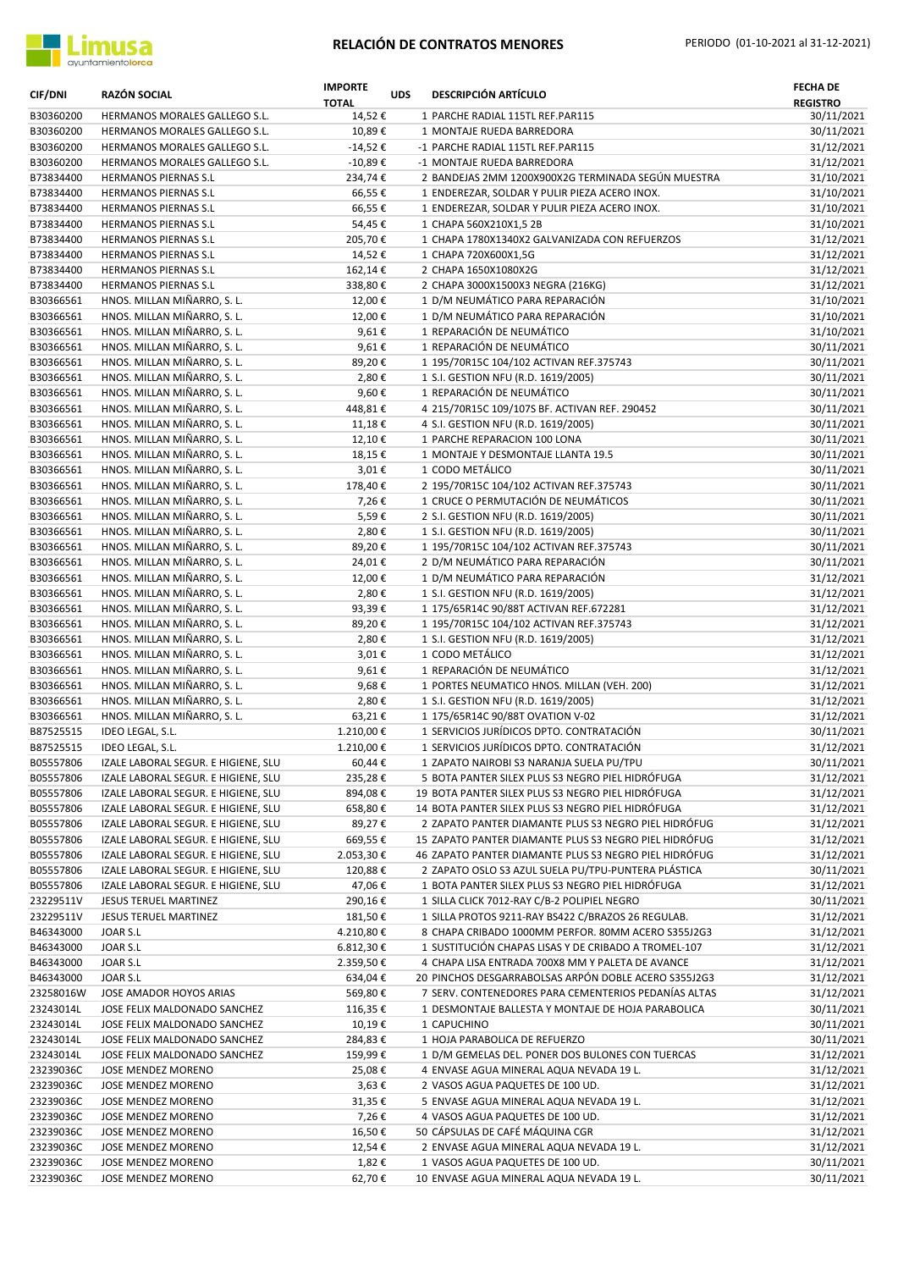

| <b>CIF/DNI</b>         | RAZÓN SOCIAL                                                               | <b>IMPORTE</b><br><b>TOTAL</b> | <b>UDS</b> | <b>DESCRIPCIÓN ARTÍCULO</b>                                                                              | <b>FECHA DE</b><br><b>REGISTRO</b> |
|------------------------|----------------------------------------------------------------------------|--------------------------------|------------|----------------------------------------------------------------------------------------------------------|------------------------------------|
| B30360200              | HERMANOS MORALES GALLEGO S.L.                                              | 14,52€                         |            | 1 PARCHE RADIAL 115TL REF.PAR115                                                                         | 30/11/2021                         |
| B30360200              | HERMANOS MORALES GALLEGO S.L.                                              | 10,89€                         |            | 1 MONTAJE RUEDA BARREDORA                                                                                | 30/11/2021                         |
| B30360200              | HERMANOS MORALES GALLEGO S.L.                                              | $-14,52€$                      |            | -1 PARCHE RADIAL 115TL REF.PAR115                                                                        | 31/12/2021                         |
| B30360200<br>B73834400 | HERMANOS MORALES GALLEGO S.L.<br>HERMANOS PIERNAS S.L                      | $-10,89€$<br>234,74€           |            | -1 MONTAJE RUEDA BARREDORA<br>2 BANDEJAS 2MM 1200X900X2G TERMINADA SEGÚN MUESTRA                         | 31/12/2021<br>31/10/2021           |
| B73834400              | HERMANOS PIERNAS S.L                                                       | 66,55€                         |            | 1 ENDEREZAR, SOLDAR Y PULIR PIEZA ACERO INOX.                                                            | 31/10/2021                         |
| B73834400              | HERMANOS PIERNAS S.L                                                       | 66,55€                         |            | 1 ENDEREZAR, SOLDAR Y PULIR PIEZA ACERO INOX.                                                            | 31/10/2021                         |
| B73834400              | <b>HERMANOS PIERNAS S.L</b>                                                | 54,45€                         |            | 1 CHAPA 560X210X1,5 2B                                                                                   | 31/10/2021                         |
| B73834400              | HERMANOS PIERNAS S.L                                                       | 205,70€                        |            | 1 CHAPA 1780X1340X2 GALVANIZADA CON REFUERZOS                                                            | 31/12/2021                         |
| B73834400              | HERMANOS PIERNAS S.L                                                       | 14,52€                         |            | 1 CHAPA 720X600X1,5G                                                                                     | 31/12/2021                         |
| B73834400              | HERMANOS PIERNAS S.L                                                       | 162,14€                        |            | 2 CHAPA 1650X1080X2G                                                                                     | 31/12/2021                         |
| B73834400              | <b>HERMANOS PIERNAS S.L</b>                                                | 338,80€                        |            | 2 CHAPA 3000X1500X3 NEGRA (216KG)                                                                        | 31/12/2021                         |
| B30366561<br>B30366561 | HNOS. MILLAN MIÑARRO, S. L.<br>HNOS. MILLAN MIÑARRO, S. L.                 | 12,00€<br>12,00€               |            | 1 D/M NEUMÁTICO PARA REPARACIÓN<br>1 D/M NEUMÁTICO PARA REPARACIÓN                                       | 31/10/2021<br>31/10/2021           |
| B30366561              | HNOS. MILLAN MIÑARRO, S. L.                                                | 9,61€                          |            | 1 REPARACIÓN DE NEUMÁTICO                                                                                | 31/10/2021                         |
| B30366561              | HNOS. MILLAN MIÑARRO, S. L.                                                | 9,61€                          |            | 1 REPARACIÓN DE NEUMÁTICO                                                                                | 30/11/2021                         |
| B30366561              | HNOS. MILLAN MIÑARRO, S. L.                                                | 89,20€                         |            | 1 195/70R15C 104/102 ACTIVAN REF.375743                                                                  | 30/11/2021                         |
| B30366561              | HNOS. MILLAN MIÑARRO, S. L.                                                | 2,80€                          |            | 1 S.I. GESTION NFU (R.D. 1619/2005)                                                                      | 30/11/2021                         |
| B30366561              | HNOS. MILLAN MIÑARRO, S. L.                                                | 9,60€                          |            | 1 REPARACIÓN DE NEUMÁTICO                                                                                | 30/11/2021                         |
| B30366561              | HNOS. MILLAN MIÑARRO, S. L.                                                | 448,81€                        |            | 4 215/70R15C 109/107S BF. ACTIVAN REF. 290452                                                            | 30/11/2021                         |
| B30366561              | HNOS. MILLAN MIÑARRO, S. L.                                                | 11,18€                         |            | 4 S.I. GESTION NFU (R.D. 1619/2005)                                                                      | 30/11/2021                         |
| B30366561              | HNOS. MILLAN MIÑARRO, S. L.                                                | 12,10€                         |            | 1 PARCHE REPARACION 100 LONA                                                                             | 30/11/2021                         |
| B30366561              | HNOS. MILLAN MIÑARRO, S. L.                                                | 18,15€                         |            | 1 MONTAJE Y DESMONTAJE LLANTA 19.5                                                                       | 30/11/2021                         |
| B30366561<br>B30366561 | HNOS. MILLAN MIÑARRO, S. L.<br>HNOS. MILLAN MIÑARRO, S. L.                 | 3,01€<br>178,40€               |            | 1 CODO METÁLICO<br>2 195/70R15C 104/102 ACTIVAN REF.375743                                               | 30/11/2021<br>30/11/2021           |
| B30366561              | HNOS. MILLAN MIÑARRO, S. L.                                                | 7,26€                          |            | 1 CRUCE O PERMUTACIÓN DE NEUMÁTICOS                                                                      | 30/11/2021                         |
| B30366561              | HNOS. MILLAN MIÑARRO, S. L.                                                | 5,59€                          |            | 2 S.I. GESTION NFU (R.D. 1619/2005)                                                                      | 30/11/2021                         |
| B30366561              | HNOS. MILLAN MIÑARRO, S. L.                                                | 2,80€                          |            | 1 S.I. GESTION NFU (R.D. 1619/2005)                                                                      | 30/11/2021                         |
| B30366561              | HNOS. MILLAN MIÑARRO, S. L.                                                | 89,20€                         |            | 1 195/70R15C 104/102 ACTIVAN REF.375743                                                                  | 30/11/2021                         |
| B30366561              | HNOS. MILLAN MIÑARRO, S. L.                                                | 24,01€                         |            | 2 D/M NEUMÁTICO PARA REPARACIÓN                                                                          | 30/11/2021                         |
| B30366561              | HNOS. MILLAN MIÑARRO, S. L.                                                | 12,00€                         |            | 1 D/M NEUMÁTICO PARA REPARACIÓN                                                                          | 31/12/2021                         |
| B30366561              | HNOS. MILLAN MIÑARRO, S. L.                                                | 2,80€                          |            | 1 S.I. GESTION NFU (R.D. 1619/2005)                                                                      | 31/12/2021                         |
| B30366561              | HNOS. MILLAN MIÑARRO, S. L.                                                | 93,39€                         |            | 1 175/65R14C 90/88T ACTIVAN REF.672281                                                                   | 31/12/2021                         |
| B30366561<br>B30366561 | HNOS. MILLAN MIÑARRO, S. L.<br>HNOS. MILLAN MIÑARRO, S. L.                 | 89,20€<br>2,80€                |            | 1 195/70R15C 104/102 ACTIVAN REF.375743<br>1 S.I. GESTION NFU (R.D. 1619/2005)                           | 31/12/2021<br>31/12/2021           |
| B30366561              | HNOS. MILLAN MIÑARRO, S. L.                                                | 3,01€                          |            | 1 CODO METÁLICO                                                                                          | 31/12/2021                         |
| B30366561              | HNOS. MILLAN MIÑARRO, S. L.                                                | 9,61€                          |            | 1 REPARACIÓN DE NEUMÁTICO                                                                                | 31/12/2021                         |
| B30366561              | HNOS. MILLAN MIÑARRO, S. L.                                                | 9,68€                          |            | 1 PORTES NEUMATICO HNOS. MILLAN (VEH. 200)                                                               | 31/12/2021                         |
| B30366561              | HNOS. MILLAN MIÑARRO, S. L.                                                | 2,80€                          |            | 1 S.I. GESTION NFU (R.D. 1619/2005)                                                                      | 31/12/2021                         |
| B30366561              | HNOS. MILLAN MIÑARRO, S. L.                                                | 63,21€                         |            | 1 175/65R14C 90/88T OVATION V-02                                                                         | 31/12/2021                         |
| B87525515              | IDEO LEGAL, S.L.                                                           | 1.210,00€                      |            | 1 SERVICIOS JURÍDICOS DPTO. CONTRATACIÓN                                                                 | 30/11/2021                         |
| B87525515              | IDEO LEGAL, S.L.                                                           | 1.210,00€                      |            | 1 SERVICIOS JURÍDICOS DPTO. CONTRATACIÓN                                                                 | 31/12/2021                         |
| B05557806              | IZALE LABORAL SEGUR. E HIGIENE, SLU                                        | 60,44€                         |            | 1 ZAPATO NAIROBI S3 NARANJA SUELA PU/TPU                                                                 | 30/11/2021                         |
| B05557806<br>B05557806 | IZALE LABORAL SEGUR. E HIGIENE, SLU<br>IZALE LABORAL SEGUR. E HIGIENE, SLU | 235,28€<br>894,08€             |            | 5 BOTA PANTER SILEX PLUS S3 NEGRO PIEL HIDRÓFUGA<br>19 BOTA PANTER SILEX PLUS S3 NEGRO PIEL HIDRÓFUGA    | 31/12/2021<br>31/12/2021           |
| B05557806              | IZALE LABORAL SEGUR. E HIGIENE, SLU                                        | 658,80€                        |            | 14 BOTA PANTER SILEX PLUS S3 NEGRO PIEL HIDRÓFUGA                                                        | 31/12/2021                         |
| B05557806              | IZALE LABORAL SEGUR. E HIGIENE, SLU                                        | 89,27€                         |            | 2 ZAPATO PANTER DIAMANTE PLUS S3 NEGRO PIEL HIDRÓFUG                                                     | 31/12/2021                         |
| B05557806              | IZALE LABORAL SEGUR. E HIGIENE, SLU                                        | 669,55€                        |            | 15 ZAPATO PANTER DIAMANTE PLUS S3 NEGRO PIEL HIDRÓFUG                                                    | 31/12/2021                         |
| B05557806              | IZALE LABORAL SEGUR. E HIGIENE, SLU                                        | 2.053,30€                      |            | 46 ZAPATO PANTER DIAMANTE PLUS S3 NEGRO PIEL HIDRÓFUG                                                    | 31/12/2021                         |
| B05557806              | IZALE LABORAL SEGUR. E HIGIENE, SLU                                        | 120,88€                        |            | 2 ZAPATO OSLO S3 AZUL SUELA PU/TPU-PUNTERA PLÁSTICA                                                      | 30/11/2021                         |
| B05557806              | IZALE LABORAL SEGUR. E HIGIENE, SLU                                        | 47,06€                         |            | 1 BOTA PANTER SILEX PLUS S3 NEGRO PIEL HIDRÓFUGA                                                         | 31/12/2021                         |
| 23229511V              | JESUS TERUEL MARTINEZ                                                      | 290,16€                        |            | 1 SILLA CLICK 7012-RAY C/B-2 POLIPIEL NEGRO                                                              | 30/11/2021                         |
| 23229511V              | JESUS TERUEL MARTINEZ<br>JOAR S.L                                          | 181,50€                        |            | 1 SILLA PROTOS 9211-RAY BS422 C/BRAZOS 26 REGULAB.<br>8 CHAPA CRIBADO 1000MM PERFOR. 80MM ACERO S355J2G3 | 31/12/2021<br>31/12/2021           |
| B46343000<br>B46343000 | JOAR S.L                                                                   | 4.210,80€<br>6.812,30€         |            | 1 SUSTITUCIÓN CHAPAS LISAS Y DE CRIBADO A TROMEL-107                                                     | 31/12/2021                         |
| B46343000              | JOAR S.L                                                                   | 2.359,50€                      |            | 4 CHAPA LISA ENTRADA 700X8 MM Y PALETA DE AVANCE                                                         | 31/12/2021                         |
| B46343000              | JOAR S.L                                                                   | 634,04€                        |            | 20 PINCHOS DESGARRABOLSAS ARPÓN DOBLE ACERO S355J2G3                                                     | 31/12/2021                         |
| 23258016W              | JOSE AMADOR HOYOS ARIAS                                                    | 569,80€                        |            | 7 SERV. CONTENEDORES PARA CEMENTERIOS PEDANÍAS ALTAS                                                     | 31/12/2021                         |
| 23243014L              | JOSE FELIX MALDONADO SANCHEZ                                               | 116,35€                        |            | 1 DESMONTAJE BALLESTA Y MONTAJE DE HOJA PARABOLICA                                                       | 30/11/2021                         |
| 23243014L              | JOSE FELIX MALDONADO SANCHEZ                                               | 10,19€                         |            | 1 CAPUCHINO                                                                                              | 30/11/2021                         |
| 23243014L              | JOSE FELIX MALDONADO SANCHEZ                                               | 284,83€                        |            | 1 HOJA PARABOLICA DE REFUERZO                                                                            | 30/11/2021                         |
| 23243014L              | JOSE FELIX MALDONADO SANCHEZ                                               | 159,99€                        |            | 1 D/M GEMELAS DEL. PONER DOS BULONES CON TUERCAS                                                         | 31/12/2021                         |
| 23239036C<br>23239036C | JOSE MENDEZ MORENO<br>JOSE MENDEZ MORENO                                   | 25,08€<br>3,63€                |            | 4 ENVASE AGUA MINERAL AQUA NEVADA 19 L.<br>2 VASOS AGUA PAQUETES DE 100 UD.                              | 31/12/2021<br>31/12/2021           |
| 23239036C              | JOSE MENDEZ MORENO                                                         | 31,35€                         |            | 5 ENVASE AGUA MINERAL AQUA NEVADA 19 L.                                                                  | 31/12/2021                         |
| 23239036C              | JOSE MENDEZ MORENO                                                         | 7,26€                          |            | 4 VASOS AGUA PAQUETES DE 100 UD.                                                                         | 31/12/2021                         |
| 23239036C              | JOSE MENDEZ MORENO                                                         | 16,50€                         |            | 50 CÁPSULAS DE CAFÉ MÁQUINA CGR                                                                          | 31/12/2021                         |
| 23239036C              | JOSE MENDEZ MORENO                                                         | 12,54€                         |            | 2 ENVASE AGUA MINERAL AQUA NEVADA 19 L.                                                                  | 31/12/2021                         |
| 23239036C              | JOSE MENDEZ MORENO                                                         | 1,82€                          |            | 1 VASOS AGUA PAQUETES DE 100 UD.                                                                         | 30/11/2021                         |
| 23239036C              | JOSE MENDEZ MORENO                                                         | 62,70€                         |            | 10 ENVASE AGUA MINERAL AQUA NEVADA 19 L.                                                                 | 30/11/2021                         |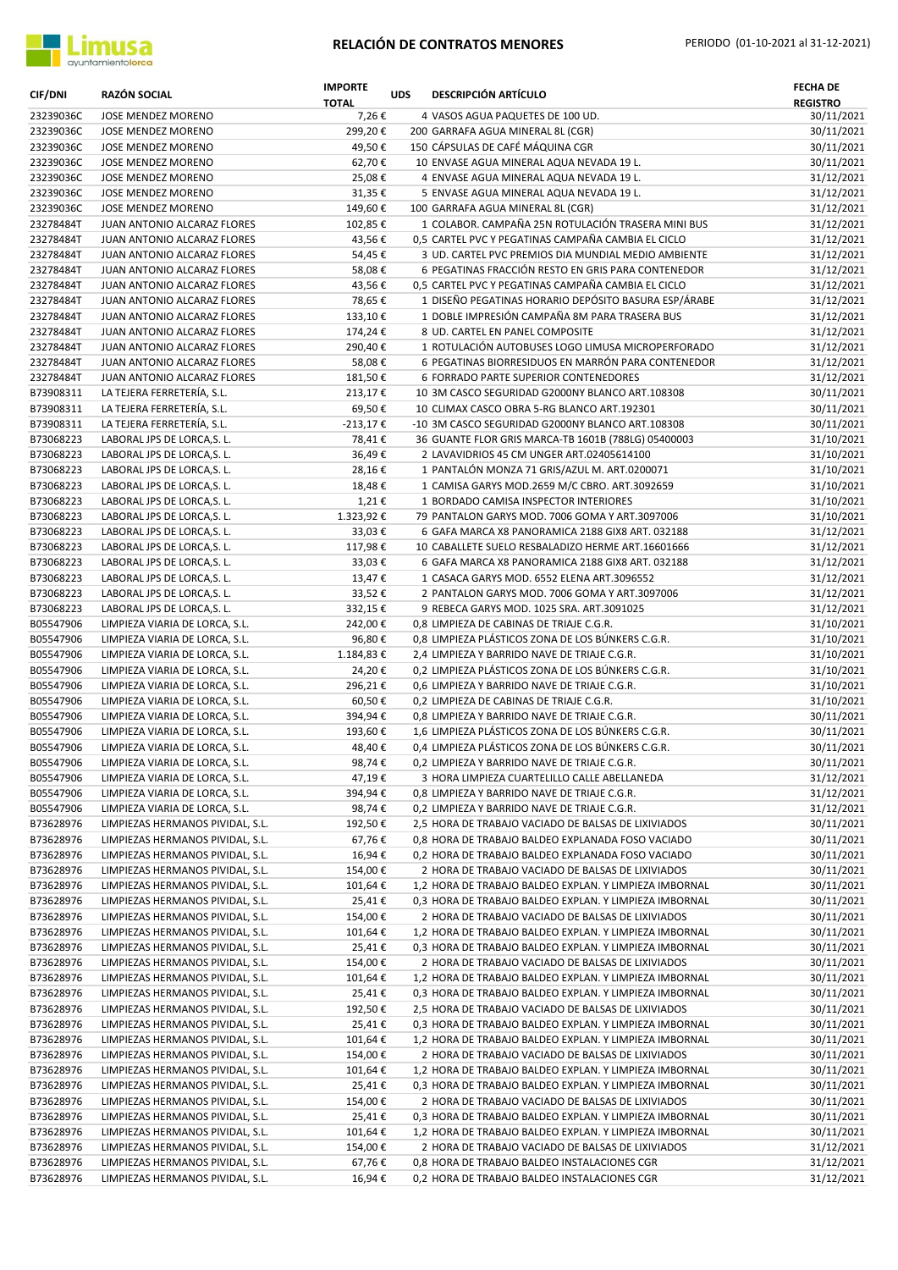

| <b>CIF/DNI</b>         | <b>RAZÓN SOCIAL</b>                                                  | <b>IMPORTE</b><br><b>TOTAL</b> | <b>UDS</b> | <b>DESCRIPCIÓN ARTÍCULO</b>                                                                                   | <b>FECHA DE</b><br><b>REGISTRO</b> |
|------------------------|----------------------------------------------------------------------|--------------------------------|------------|---------------------------------------------------------------------------------------------------------------|------------------------------------|
| 23239036C              | JOSE MENDEZ MORENO                                                   | 7,26€                          |            | 4 VASOS AGUA PAQUETES DE 100 UD.                                                                              | 30/11/2021                         |
| 23239036C              | JOSE MENDEZ MORENO                                                   | 299,20€                        |            | 200 GARRAFA AGUA MINERAL 8L (CGR)                                                                             | 30/11/2021                         |
| 23239036C              | JOSE MENDEZ MORENO                                                   | 49,50€                         |            | 150 CÁPSULAS DE CAFÉ MÁQUINA CGR                                                                              | 30/11/2021                         |
| 23239036C<br>23239036C | JOSE MENDEZ MORENO                                                   | 62,70€<br>25,08€               |            | 10 ENVASE AGUA MINERAL AQUA NEVADA 19 L.<br>4 ENVASE AGUA MINERAL AQUA NEVADA 19 L.                           | 30/11/2021                         |
| 23239036C              | JOSE MENDEZ MORENO<br>JOSE MENDEZ MORENO                             | 31,35€                         |            | 5 ENVASE AGUA MINERAL AQUA NEVADA 19 L.                                                                       | 31/12/2021<br>31/12/2021           |
| 23239036C              | JOSE MENDEZ MORENO                                                   | 149,60€                        |            | 100 GARRAFA AGUA MINERAL 8L (CGR)                                                                             | 31/12/2021                         |
| 23278484T              | JUAN ANTONIO ALCARAZ FLORES                                          | 102,85€                        |            | 1 COLABOR. CAMPAÑA 25N ROTULACIÓN TRASERA MINI BUS                                                            | 31/12/2021                         |
| 23278484T              | JUAN ANTONIO ALCARAZ FLORES                                          | 43,56€                         |            | 0.5 CARTEL PVC Y PEGATINAS CAMPAÑA CAMBIA EL CICLO                                                            | 31/12/2021                         |
| 23278484T              | JUAN ANTONIO ALCARAZ FLORES                                          | 54,45€                         |            | 3 UD. CARTEL PVC PREMIOS DIA MUNDIAL MEDIO AMBIENTE                                                           | 31/12/2021                         |
| 23278484T              | JUAN ANTONIO ALCARAZ FLORES                                          | 58,08€                         |            | 6 PEGATINAS FRACCIÓN RESTO EN GRIS PARA CONTENEDOR                                                            | 31/12/2021                         |
| 23278484T              | JUAN ANTONIO ALCARAZ FLORES                                          | 43,56€                         |            | 0,5 CARTEL PVC Y PEGATINAS CAMPAÑA CAMBIA EL CICLO                                                            | 31/12/2021                         |
| 23278484T              | JUAN ANTONIO ALCARAZ FLORES                                          | 78,65€                         |            | 1 DISEÑO PEGATINAS HORARIO DEPÓSITO BASURA ESP/ÁRABE                                                          | 31/12/2021                         |
| 23278484T              | JUAN ANTONIO ALCARAZ FLORES                                          | 133,10€                        |            | 1 DOBLE IMPRESIÓN CAMPAÑA 8M PARA TRASERA BUS                                                                 | 31/12/2021                         |
| 23278484T<br>23278484T | JUAN ANTONIO ALCARAZ FLORES<br>JUAN ANTONIO ALCARAZ FLORES           | 174,24€<br>290,40€             |            | 8 UD. CARTEL EN PANEL COMPOSITE<br>1 ROTULACIÓN AUTOBUSES LOGO LIMUSA MICROPERFORADO                          | 31/12/2021<br>31/12/2021           |
| 23278484T              | JUAN ANTONIO ALCARAZ FLORES                                          | 58,08€                         |            | 6 PEGATINAS BIORRESIDUOS EN MARRÓN PARA CONTENEDOR                                                            | 31/12/2021                         |
| 23278484T              | JUAN ANTONIO ALCARAZ FLORES                                          | 181,50€                        |            | 6 FORRADO PARTE SUPERIOR CONTENEDORES                                                                         | 31/12/2021                         |
| B73908311              | LA TEJERA FERRETERÍA, S.L.                                           | 213,17€                        |            | 10 3M CASCO SEGURIDAD G2000NY BLANCO ART.108308                                                               | 30/11/2021                         |
| B73908311              | LA TEJERA FERRETERÍA, S.L.                                           | 69,50€                         |            | 10 CLIMAX CASCO OBRA 5-RG BLANCO ART.192301                                                                   | 30/11/2021                         |
| B73908311              | LA TEJERA FERRETERÍA, S.L.                                           | $-213,17€$                     |            | -10 3M CASCO SEGURIDAD G2000NY BLANCO ART.108308                                                              | 30/11/2021                         |
| B73068223              | LABORAL JPS DE LORCA, S. L.                                          | 78,41€                         |            | 36 GUANTE FLOR GRIS MARCA-TB 1601B (788LG) 05400003                                                           | 31/10/2021                         |
| B73068223              | LABORAL JPS DE LORCA, S. L.                                          | 36,49€                         |            | 2 LAVAVIDRIOS 45 CM UNGER ART.02405614100                                                                     | 31/10/2021                         |
| B73068223              | LABORAL JPS DE LORCA, S. L.                                          | 28,16€                         |            | 1 PANTALÓN MONZA 71 GRIS/AZUL M. ART.0200071                                                                  | 31/10/2021                         |
| B73068223              | LABORAL JPS DE LORCA, S. L.                                          | 18,48€                         |            | 1 CAMISA GARYS MOD.2659 M/C CBRO. ART.3092659                                                                 | 31/10/2021                         |
| B73068223<br>B73068223 | LABORAL JPS DE LORCA, S. L.<br>LABORAL JPS DE LORCA, S. L.           | 1,21€<br>1.323,92€             |            | 1 BORDADO CAMISA INSPECTOR INTERIORES<br>79 PANTALON GARYS MOD. 7006 GOMA Y ART.3097006                       | 31/10/2021                         |
| B73068223              | LABORAL JPS DE LORCA, S. L.                                          | 33,03€                         |            | 6 GAFA MARCA X8 PANORAMICA 2188 GIX8 ART. 032188                                                              | 31/10/2021<br>31/12/2021           |
| B73068223              | LABORAL JPS DE LORCA, S. L.                                          | 117,98€                        |            | 10 CABALLETE SUELO RESBALADIZO HERME ART.16601666                                                             | 31/12/2021                         |
| B73068223              | LABORAL JPS DE LORCA, S. L.                                          | 33,03€                         |            | 6 GAFA MARCA X8 PANORAMICA 2188 GIX8 ART. 032188                                                              | 31/12/2021                         |
| B73068223              | LABORAL JPS DE LORCA, S. L.                                          | 13,47€                         |            | 1 CASACA GARYS MOD. 6552 ELENA ART.3096552                                                                    | 31/12/2021                         |
| B73068223              | LABORAL JPS DE LORCA, S. L.                                          | 33,52€                         |            | 2 PANTALON GARYS MOD. 7006 GOMA Y ART.3097006                                                                 | 31/12/2021                         |
| B73068223              | LABORAL JPS DE LORCA, S. L.                                          | 332,15€                        |            | 9 REBECA GARYS MOD. 1025 SRA. ART.3091025                                                                     | 31/12/2021                         |
| B05547906              | LIMPIEZA VIARIA DE LORCA, S.L.                                       | 242,00€                        |            | 0,8 LIMPIEZA DE CABINAS DE TRIAJE C.G.R.                                                                      | 31/10/2021                         |
| B05547906              | LIMPIEZA VIARIA DE LORCA, S.L.                                       | 96,80€                         |            | 0,8 LIMPIEZA PLÁSTICOS ZONA DE LOS BÚNKERS C.G.R.                                                             | 31/10/2021                         |
| B05547906              | LIMPIEZA VIARIA DE LORCA, S.L.                                       | 1.184,83 €                     |            | 2,4 LIMPIEZA Y BARRIDO NAVE DE TRIAJE C.G.R.                                                                  | 31/10/2021                         |
| B05547906<br>B05547906 | LIMPIEZA VIARIA DE LORCA, S.L.<br>LIMPIEZA VIARIA DE LORCA, S.L.     | 24,20€<br>296,21€              |            | 0,2 LIMPIEZA PLÁSTICOS ZONA DE LOS BÚNKERS C.G.R.<br>0,6 LIMPIEZA Y BARRIDO NAVE DE TRIAJE C.G.R.             | 31/10/2021<br>31/10/2021           |
| B05547906              | LIMPIEZA VIARIA DE LORCA, S.L.                                       | 60,50€                         |            | 0,2 LIMPIEZA DE CABINAS DE TRIAJE C.G.R.                                                                      | 31/10/2021                         |
| B05547906              | LIMPIEZA VIARIA DE LORCA, S.L.                                       | 394,94€                        |            | 0,8 LIMPIEZA Y BARRIDO NAVE DE TRIAJE C.G.R.                                                                  | 30/11/2021                         |
| B05547906              | LIMPIEZA VIARIA DE LORCA, S.L.                                       | 193,60€                        |            | 1,6 LIMPIEZA PLÁSTICOS ZONA DE LOS BÚNKERS C.G.R.                                                             | 30/11/2021                         |
| B05547906              | LIMPIEZA VIARIA DE LORCA, S.L.                                       | 48,40€                         |            | 0,4 LIMPIEZA PLÁSTICOS ZONA DE LOS BÚNKERS C.G.R.                                                             | 30/11/2021                         |
| B05547906              | LIMPIEZA VIARIA DE LORCA, S.L.                                       | 98,74€                         |            | 0,2 LIMPIEZA Y BARRIDO NAVE DE TRIAJE C.G.R.                                                                  | 30/11/2021                         |
| B05547906              | LIMPIEZA VIARIA DE LORCA, S.L.                                       | 47,19€                         |            | 3 HORA LIMPIEZA CUARTELILLO CALLE ABELLANEDA                                                                  | 31/12/2021                         |
| B05547906              | LIMPIEZA VIARIA DE LORCA, S.L.                                       | 394,94€                        |            | 0,8 LIMPIEZA Y BARRIDO NAVE DE TRIAJE C.G.R.                                                                  | 31/12/2021                         |
| B05547906              | LIMPIEZA VIARIA DE LORCA, S.L.                                       | 98,74€                         |            | 0,2 LIMPIEZA Y BARRIDO NAVE DE TRIAJE C.G.R.                                                                  | 31/12/2021                         |
| B73628976              | LIMPIEZAS HERMANOS PIVIDAL, S.L.                                     | 192,50€                        |            | 2,5 HORA DE TRABAJO VACIADO DE BALSAS DE LIXIVIADOS<br>0,8 HORA DE TRABAJO BALDEO EXPLANADA FOSO VACIADO      | 30/11/2021                         |
| B73628976<br>B73628976 | LIMPIEZAS HERMANOS PIVIDAL, S.L.<br>LIMPIEZAS HERMANOS PIVIDAL, S.L. | 67,76€<br>16,94€               |            | 0,2 HORA DE TRABAJO BALDEO EXPLANADA FOSO VACIADO                                                             | 30/11/2021<br>30/11/2021           |
| B73628976              | LIMPIEZAS HERMANOS PIVIDAL, S.L.                                     | 154,00€                        |            | 2 HORA DE TRABAJO VACIADO DE BALSAS DE LIXIVIADOS                                                             | 30/11/2021                         |
| B73628976              | LIMPIEZAS HERMANOS PIVIDAL, S.L.                                     | 101,64€                        |            | 1,2 HORA DE TRABAJO BALDEO EXPLAN. Y LIMPIEZA IMBORNAL                                                        | 30/11/2021                         |
| B73628976              | LIMPIEZAS HERMANOS PIVIDAL, S.L.                                     | 25,41€                         |            | 0,3 HORA DE TRABAJO BALDEO EXPLAN. Y LIMPIEZA IMBORNAL                                                        | 30/11/2021                         |
| B73628976              | LIMPIEZAS HERMANOS PIVIDAL, S.L.                                     | 154,00€                        |            | 2 HORA DE TRABAJO VACIADO DE BALSAS DE LIXIVIADOS                                                             | 30/11/2021                         |
| B73628976              | LIMPIEZAS HERMANOS PIVIDAL, S.L.                                     | 101,64 €                       |            | 1,2 HORA DE TRABAJO BALDEO EXPLAN. Y LIMPIEZA IMBORNAL                                                        | 30/11/2021                         |
| B73628976              | LIMPIEZAS HERMANOS PIVIDAL, S.L.                                     | 25,41€                         |            | 0,3 HORA DE TRABAJO BALDEO EXPLAN. Y LIMPIEZA IMBORNAL                                                        | 30/11/2021                         |
| B73628976              | LIMPIEZAS HERMANOS PIVIDAL, S.L.                                     | 154,00€                        |            | 2 HORA DE TRABAJO VACIADO DE BALSAS DE LIXIVIADOS                                                             | 30/11/2021                         |
| B73628976              | LIMPIEZAS HERMANOS PIVIDAL, S.L.                                     | 101,64€                        |            | 1,2 HORA DE TRABAJO BALDEO EXPLAN. Y LIMPIEZA IMBORNAL                                                        | 30/11/2021                         |
| B73628976              | LIMPIEZAS HERMANOS PIVIDAL, S.L.                                     | 25,41€                         |            | 0,3 HORA DE TRABAJO BALDEO EXPLAN. Y LIMPIEZA IMBORNAL                                                        | 30/11/2021                         |
| B73628976<br>B73628976 | LIMPIEZAS HERMANOS PIVIDAL, S.L.<br>LIMPIEZAS HERMANOS PIVIDAL, S.L. | 192,50€<br>25,41€              |            | 2,5 HORA DE TRABAJO VACIADO DE BALSAS DE LIXIVIADOS<br>0,3 HORA DE TRABAJO BALDEO EXPLAN. Y LIMPIEZA IMBORNAL | 30/11/2021<br>30/11/2021           |
| B73628976              | LIMPIEZAS HERMANOS PIVIDAL, S.L.                                     | 101,64€                        |            | 1,2 HORA DE TRABAJO BALDEO EXPLAN. Y LIMPIEZA IMBORNAL                                                        | 30/11/2021                         |
| B73628976              | LIMPIEZAS HERMANOS PIVIDAL, S.L.                                     | 154,00€                        |            | 2 HORA DE TRABAJO VACIADO DE BALSAS DE LIXIVIADOS                                                             | 30/11/2021                         |
| B73628976              | LIMPIEZAS HERMANOS PIVIDAL, S.L.                                     | 101,64€                        |            | 1,2 HORA DE TRABAJO BALDEO EXPLAN. Y LIMPIEZA IMBORNAL                                                        | 30/11/2021                         |
| B73628976              | LIMPIEZAS HERMANOS PIVIDAL, S.L.                                     | 25,41€                         |            | 0,3 HORA DE TRABAJO BALDEO EXPLAN. Y LIMPIEZA IMBORNAL                                                        | 30/11/2021                         |
| B73628976              | LIMPIEZAS HERMANOS PIVIDAL, S.L.                                     | 154,00€                        |            | 2 HORA DE TRABAJO VACIADO DE BALSAS DE LIXIVIADOS                                                             | 30/11/2021                         |
| B73628976              | LIMPIEZAS HERMANOS PIVIDAL, S.L.                                     | 25,41€                         |            | 0,3 HORA DE TRABAJO BALDEO EXPLAN. Y LIMPIEZA IMBORNAL                                                        | 30/11/2021                         |
| B73628976              | LIMPIEZAS HERMANOS PIVIDAL, S.L.                                     | 101,64€                        |            | 1,2 HORA DE TRABAJO BALDEO EXPLAN. Y LIMPIEZA IMBORNAL                                                        | 30/11/2021                         |
| B73628976              | LIMPIEZAS HERMANOS PIVIDAL, S.L.                                     | 154,00€                        |            | 2 HORA DE TRABAJO VACIADO DE BALSAS DE LIXIVIADOS                                                             | 31/12/2021                         |
| B73628976              | LIMPIEZAS HERMANOS PIVIDAL, S.L.                                     | 67,76€                         |            | 0,8 HORA DE TRABAJO BALDEO INSTALACIONES CGR                                                                  | 31/12/2021                         |
| B73628976              | LIMPIEZAS HERMANOS PIVIDAL, S.L.                                     | 16,94€                         |            | 0,2 HORA DE TRABAJO BALDEO INSTALACIONES CGR                                                                  | 31/12/2021                         |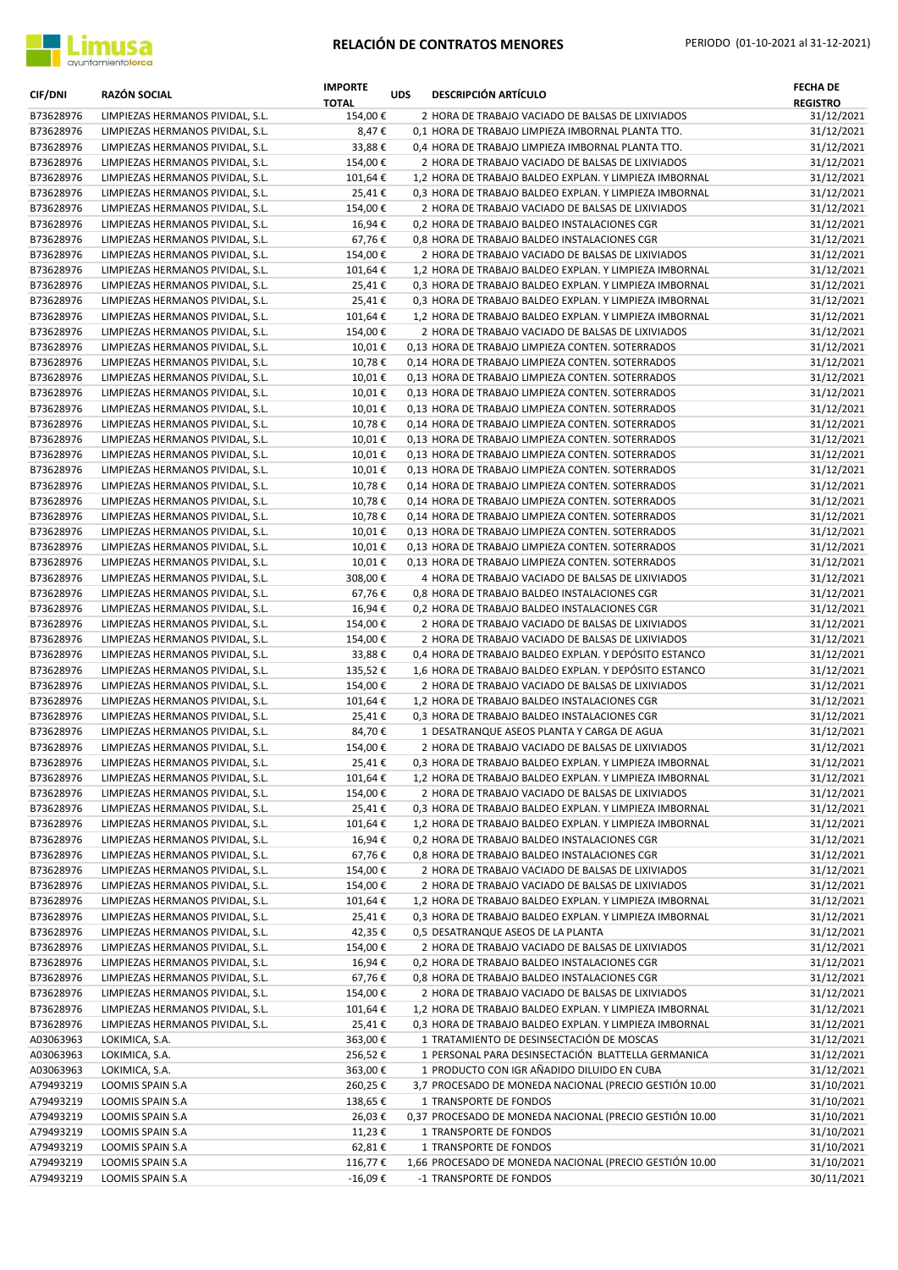

| <b>CIF/DNI</b>         | <b>RAZÓN SOCIAL</b>                                                  | <b>IMPORTE</b><br><b>TOTAL</b> | <b>UDS</b> | <b>DESCRIPCIÓN ARTÍCULO</b>                                                                                      | <b>FECHA DE</b><br><b>REGISTRO</b> |
|------------------------|----------------------------------------------------------------------|--------------------------------|------------|------------------------------------------------------------------------------------------------------------------|------------------------------------|
| B73628976              | LIMPIEZAS HERMANOS PIVIDAL, S.L.                                     | 154,00€                        |            | 2 HORA DE TRABAJO VACIADO DE BALSAS DE LIXIVIADOS                                                                | 31/12/2021                         |
| B73628976              | LIMPIEZAS HERMANOS PIVIDAL, S.L.                                     | 8,47€                          |            | 0,1 HORA DE TRABAJO LIMPIEZA IMBORNAL PLANTA TTO.                                                                | 31/12/2021                         |
| B73628976              | LIMPIEZAS HERMANOS PIVIDAL, S.L.                                     | 33,88€                         |            | 0,4 HORA DE TRABAJO LIMPIEZA IMBORNAL PLANTA TTO.                                                                | 31/12/2021                         |
| B73628976              | LIMPIEZAS HERMANOS PIVIDAL, S.L.                                     | 154,00€                        |            | 2 HORA DE TRABAJO VACIADO DE BALSAS DE LIXIVIADOS                                                                | 31/12/2021                         |
| B73628976<br>B73628976 | LIMPIEZAS HERMANOS PIVIDAL, S.L.<br>LIMPIEZAS HERMANOS PIVIDAL, S.L. | 101,64€<br>25,41€              |            | 1,2 HORA DE TRABAJO BALDEO EXPLAN. Y LIMPIEZA IMBORNAL<br>0,3 HORA DE TRABAJO BALDEO EXPLAN. Y LIMPIEZA IMBORNAL | 31/12/2021<br>31/12/2021           |
| B73628976              | LIMPIEZAS HERMANOS PIVIDAL, S.L.                                     | 154,00€                        |            | 2 HORA DE TRABAJO VACIADO DE BALSAS DE LIXIVIADOS                                                                | 31/12/2021                         |
| B73628976              | LIMPIEZAS HERMANOS PIVIDAL, S.L.                                     | 16,94€                         |            | 0,2 HORA DE TRABAJO BALDEO INSTALACIONES CGR                                                                     | 31/12/2021                         |
| B73628976              | LIMPIEZAS HERMANOS PIVIDAL, S.L.                                     | 67,76€                         |            | 0,8 HORA DE TRABAJO BALDEO INSTALACIONES CGR                                                                     | 31/12/2021                         |
| B73628976              | LIMPIEZAS HERMANOS PIVIDAL, S.L.                                     | 154,00€                        |            | 2 HORA DE TRABAJO VACIADO DE BALSAS DE LIXIVIADOS                                                                | 31/12/2021                         |
| B73628976              | LIMPIEZAS HERMANOS PIVIDAL, S.L.                                     | 101,64€                        |            | 1,2 HORA DE TRABAJO BALDEO EXPLAN. Y LIMPIEZA IMBORNAL                                                           | 31/12/2021                         |
| B73628976              | LIMPIEZAS HERMANOS PIVIDAL, S.L.                                     | 25,41€                         |            | 0,3 HORA DE TRABAJO BALDEO EXPLAN. Y LIMPIEZA IMBORNAL                                                           | 31/12/2021                         |
| B73628976<br>B73628976 | LIMPIEZAS HERMANOS PIVIDAL, S.L.<br>LIMPIEZAS HERMANOS PIVIDAL, S.L. | 25,41€<br>101,64€              |            | 0,3 HORA DE TRABAJO BALDEO EXPLAN. Y LIMPIEZA IMBORNAL<br>1,2 HORA DE TRABAJO BALDEO EXPLAN. Y LIMPIEZA IMBORNAL | 31/12/2021<br>31/12/2021           |
| B73628976              | LIMPIEZAS HERMANOS PIVIDAL, S.L.                                     | 154,00€                        |            | 2 HORA DE TRABAJO VACIADO DE BALSAS DE LIXIVIADOS                                                                | 31/12/2021                         |
| B73628976              | LIMPIEZAS HERMANOS PIVIDAL, S.L.                                     | 10,01€                         |            | 0,13 HORA DE TRABAJO LIMPIEZA CONTEN. SOTERRADOS                                                                 | 31/12/2021                         |
| B73628976              | LIMPIEZAS HERMANOS PIVIDAL, S.L.                                     | 10,78€                         |            | 0,14 HORA DE TRABAJO LIMPIEZA CONTEN. SOTERRADOS                                                                 | 31/12/2021                         |
| B73628976              | LIMPIEZAS HERMANOS PIVIDAL, S.L.                                     | 10,01€                         |            | 0,13 HORA DE TRABAJO LIMPIEZA CONTEN. SOTERRADOS                                                                 | 31/12/2021                         |
| B73628976              | LIMPIEZAS HERMANOS PIVIDAL, S.L.                                     | 10,01€                         |            | 0,13 HORA DE TRABAJO LIMPIEZA CONTEN. SOTERRADOS                                                                 | 31/12/2021                         |
| B73628976              | LIMPIEZAS HERMANOS PIVIDAL, S.L.                                     | 10,01€                         |            | 0,13 HORA DE TRABAJO LIMPIEZA CONTEN. SOTERRADOS                                                                 | 31/12/2021                         |
| B73628976              | LIMPIEZAS HERMANOS PIVIDAL, S.L.                                     | 10,78€                         |            | 0,14 HORA DE TRABAJO LIMPIEZA CONTEN. SOTERRADOS                                                                 | 31/12/2021                         |
| B73628976<br>B73628976 | LIMPIEZAS HERMANOS PIVIDAL, S.L.<br>LIMPIEZAS HERMANOS PIVIDAL, S.L. | 10,01€<br>10,01€               |            | 0,13 HORA DE TRABAJO LIMPIEZA CONTEN. SOTERRADOS<br>0,13 HORA DE TRABAJO LIMPIEZA CONTEN. SOTERRADOS             | 31/12/2021<br>31/12/2021           |
| B73628976              | LIMPIEZAS HERMANOS PIVIDAL, S.L.                                     | 10,01€                         |            | 0,13 HORA DE TRABAJO LIMPIEZA CONTEN. SOTERRADOS                                                                 | 31/12/2021                         |
| B73628976              | LIMPIEZAS HERMANOS PIVIDAL, S.L.                                     | 10,78€                         |            | 0.14 HORA DE TRABAJO LIMPIEZA CONTEN. SOTERRADOS                                                                 | 31/12/2021                         |
| B73628976              | LIMPIEZAS HERMANOS PIVIDAL, S.L.                                     | 10,78€                         |            | 0,14 HORA DE TRABAJO LIMPIEZA CONTEN. SOTERRADOS                                                                 | 31/12/2021                         |
| B73628976              | LIMPIEZAS HERMANOS PIVIDAL, S.L.                                     | 10,78€                         |            | 0,14 HORA DE TRABAJO LIMPIEZA CONTEN. SOTERRADOS                                                                 | 31/12/2021                         |
| B73628976              | LIMPIEZAS HERMANOS PIVIDAL, S.L.                                     | 10,01€                         |            | 0,13 HORA DE TRABAJO LIMPIEZA CONTEN. SOTERRADOS                                                                 | 31/12/2021                         |
| B73628976              | LIMPIEZAS HERMANOS PIVIDAL, S.L.                                     | 10,01€                         |            | 0,13 HORA DE TRABAJO LIMPIEZA CONTEN. SOTERRADOS                                                                 | 31/12/2021                         |
| B73628976<br>B73628976 | LIMPIEZAS HERMANOS PIVIDAL, S.L.<br>LIMPIEZAS HERMANOS PIVIDAL, S.L. | 10,01€<br>308,00€              |            | 0,13 HORA DE TRABAJO LIMPIEZA CONTEN. SOTERRADOS<br>4 HORA DE TRABAJO VACIADO DE BALSAS DE LIXIVIADOS            | 31/12/2021<br>31/12/2021           |
| B73628976              | LIMPIEZAS HERMANOS PIVIDAL, S.L.                                     | 67,76€                         |            | 0,8 HORA DE TRABAJO BALDEO INSTALACIONES CGR                                                                     | 31/12/2021                         |
| B73628976              | LIMPIEZAS HERMANOS PIVIDAL, S.L.                                     | 16,94€                         |            | 0,2 HORA DE TRABAJO BALDEO INSTALACIONES CGR                                                                     | 31/12/2021                         |
| B73628976              | LIMPIEZAS HERMANOS PIVIDAL, S.L.                                     | 154,00€                        |            | 2 HORA DE TRABAJO VACIADO DE BALSAS DE LIXIVIADOS                                                                | 31/12/2021                         |
| B73628976              | LIMPIEZAS HERMANOS PIVIDAL, S.L.                                     | 154,00€                        |            | 2 HORA DE TRABAJO VACIADO DE BALSAS DE LIXIVIADOS                                                                | 31/12/2021                         |
| B73628976              | LIMPIEZAS HERMANOS PIVIDAL, S.L.                                     | 33,88€                         |            | 0,4 HORA DE TRABAJO BALDEO EXPLAN. Y DEPÓSITO ESTANCO                                                            | 31/12/2021                         |
| B73628976              | LIMPIEZAS HERMANOS PIVIDAL, S.L.                                     | 135,52€                        |            | 1,6 HORA DE TRABAJO BALDEO EXPLAN. Y DEPÓSITO ESTANCO                                                            | 31/12/2021                         |
| B73628976              | LIMPIEZAS HERMANOS PIVIDAL, S.L.                                     | 154,00€                        |            | 2 HORA DE TRABAJO VACIADO DE BALSAS DE LIXIVIADOS                                                                | 31/12/2021                         |
| B73628976<br>B73628976 | LIMPIEZAS HERMANOS PIVIDAL, S.L.<br>LIMPIEZAS HERMANOS PIVIDAL, S.L. | 101,64€<br>25,41€              |            | 1,2 HORA DE TRABAJO BALDEO INSTALACIONES CGR<br>0,3 HORA DE TRABAJO BALDEO INSTALACIONES CGR                     | 31/12/2021<br>31/12/2021           |
| B73628976              | LIMPIEZAS HERMANOS PIVIDAL, S.L.                                     | 84,70€                         |            | 1 DESATRANQUE ASEOS PLANTA Y CARGA DE AGUA                                                                       | 31/12/2021                         |
| B73628976              | LIMPIEZAS HERMANOS PIVIDAL, S.L.                                     | 154,00€                        |            | 2 HORA DE TRABAJO VACIADO DE BALSAS DE LIXIVIADOS                                                                | 31/12/2021                         |
| B73628976              | LIMPIEZAS HERMANOS PIVIDAL, S.L.                                     | 25,41€                         |            | 0,3 HORA DE TRABAJO BALDEO EXPLAN. Y LIMPIEZA IMBORNAL                                                           | 31/12/2021                         |
| B73628976              | LIMPIEZAS HERMANOS PIVIDAL, S.L.                                     | 101,64€                        |            | 1,2 HORA DE TRABAJO BALDEO EXPLAN. Y LIMPIEZA IMBORNAL                                                           | 31/12/2021                         |
| B73628976              | LIMPIEZAS HERMANOS PIVIDAL, S.L.                                     | 154,00€                        |            | 2 HORA DE TRABAJO VACIADO DE BALSAS DE LIXIVIADOS                                                                | 31/12/2021                         |
| B73628976              | LIMPIEZAS HERMANOS PIVIDAL, S.L.                                     | 25,41€                         |            | 0,3 HORA DE TRABAJO BALDEO EXPLAN. Y LIMPIEZA IMBORNAL                                                           | 31/12/2021                         |
| B73628976<br>B73628976 | LIMPIEZAS HERMANOS PIVIDAL, S.L.<br>LIMPIEZAS HERMANOS PIVIDAL, S.L. | 101,64€<br>16,94€              |            | 1,2 HORA DE TRABAJO BALDEO EXPLAN. Y LIMPIEZA IMBORNAL<br>0,2 HORA DE TRABAJO BALDEO INSTALACIONES CGR           | 31/12/2021<br>31/12/2021           |
| B73628976              | LIMPIEZAS HERMANOS PIVIDAL, S.L.                                     | 67,76€                         |            | 0,8 HORA DE TRABAJO BALDEO INSTALACIONES CGR                                                                     | 31/12/2021                         |
| B73628976              | LIMPIEZAS HERMANOS PIVIDAL, S.L.                                     | 154,00€                        |            | 2 HORA DE TRABAJO VACIADO DE BALSAS DE LIXIVIADOS                                                                | 31/12/2021                         |
| B73628976              | LIMPIEZAS HERMANOS PIVIDAL, S.L.                                     | 154,00€                        |            | 2 HORA DE TRABAJO VACIADO DE BALSAS DE LIXIVIADOS                                                                | 31/12/2021                         |
| B73628976              | LIMPIEZAS HERMANOS PIVIDAL, S.L.                                     | 101,64€                        |            | 1,2 HORA DE TRABAJO BALDEO EXPLAN. Y LIMPIEZA IMBORNAL                                                           | 31/12/2021                         |
| B73628976              | LIMPIEZAS HERMANOS PIVIDAL, S.L.                                     | 25,41€                         |            | 0,3 HORA DE TRABAJO BALDEO EXPLAN. Y LIMPIEZA IMBORNAL                                                           | 31/12/2021                         |
| B73628976              | LIMPIEZAS HERMANOS PIVIDAL, S.L.                                     | 42,35€                         |            | 0,5 DESATRANQUE ASEOS DE LA PLANTA                                                                               | 31/12/2021                         |
| B73628976              | LIMPIEZAS HERMANOS PIVIDAL, S.L.                                     | 154,00€                        |            | 2 HORA DE TRABAJO VACIADO DE BALSAS DE LIXIVIADOS                                                                | 31/12/2021                         |
| B73628976<br>B73628976 | LIMPIEZAS HERMANOS PIVIDAL, S.L.<br>LIMPIEZAS HERMANOS PIVIDAL, S.L. | 16,94€<br>67,76€               |            | 0,2 HORA DE TRABAJO BALDEO INSTALACIONES CGR<br>0,8 HORA DE TRABAJO BALDEO INSTALACIONES CGR                     | 31/12/2021<br>31/12/2021           |
| B73628976              | LIMPIEZAS HERMANOS PIVIDAL, S.L.                                     | 154,00€                        |            | 2 HORA DE TRABAJO VACIADO DE BALSAS DE LIXIVIADOS                                                                | 31/12/2021                         |
| B73628976              | LIMPIEZAS HERMANOS PIVIDAL, S.L.                                     | 101,64€                        |            | 1,2 HORA DE TRABAJO BALDEO EXPLAN. Y LIMPIEZA IMBORNAL                                                           | 31/12/2021                         |
| B73628976              | LIMPIEZAS HERMANOS PIVIDAL, S.L.                                     | 25,41€                         |            | 0,3 HORA DE TRABAJO BALDEO EXPLAN. Y LIMPIEZA IMBORNAL                                                           | 31/12/2021                         |
| A03063963              | LOKIMICA, S.A.                                                       | 363,00€                        |            | 1 TRATAMIENTO DE DESINSECTACIÓN DE MOSCAS                                                                        | 31/12/2021                         |
| A03063963              | LOKIMICA, S.A.                                                       | 256,52€                        |            | 1 PERSONAL PARA DESINSECTACIÓN BLATTELLA GERMANICA                                                               | 31/12/2021                         |
| A03063963              | LOKIMICA, S.A.                                                       | 363,00€                        |            | 1 PRODUCTO CON IGR AÑADIDO DILUIDO EN CUBA                                                                       | 31/12/2021                         |
| A79493219              | LOOMIS SPAIN S.A                                                     | 260,25€                        |            | 3,7 PROCESADO DE MONEDA NACIONAL (PRECIO GESTIÓN 10.00                                                           | 31/10/2021                         |
| A79493219<br>A79493219 | LOOMIS SPAIN S.A<br>LOOMIS SPAIN S.A                                 | 138,65€<br>26,03€              |            | 1 TRANSPORTE DE FONDOS<br>0,37 PROCESADO DE MONEDA NACIONAL (PRECIO GESTIÓN 10.00                                | 31/10/2021<br>31/10/2021           |
| A79493219              | LOOMIS SPAIN S.A                                                     | 11,23€                         |            | 1 TRANSPORTE DE FONDOS                                                                                           | 31/10/2021                         |
| A79493219              | LOOMIS SPAIN S.A                                                     | 62,81€                         |            | 1 TRANSPORTE DE FONDOS                                                                                           | 31/10/2021                         |
| A79493219              | LOOMIS SPAIN S.A                                                     | 116,77€                        |            | 1,66 PROCESADO DE MONEDA NACIONAL (PRECIO GESTIÓN 10.00                                                          | 31/10/2021                         |
| A79493219              | LOOMIS SPAIN S.A                                                     | -16,09€                        |            | -1 TRANSPORTE DE FONDOS                                                                                          | 30/11/2021                         |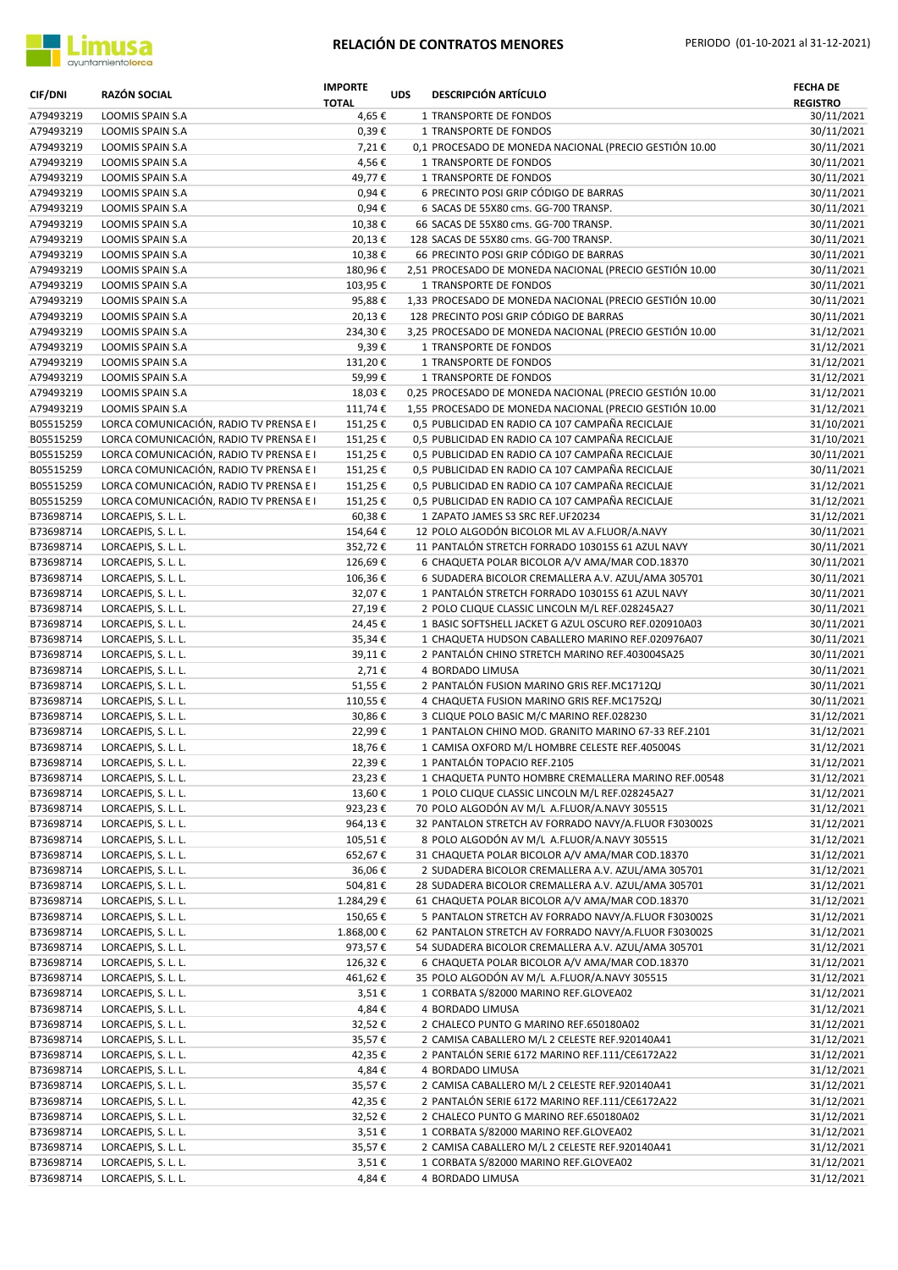

| <b>CIF/DNI</b>         | <b>RAZÓN SOCIAL</b>                                                                | <b>IMPORTE</b><br><b>TOTAL</b> | <b>UDS</b> | <b>DESCRIPCIÓN ARTÍCULO</b>                                                                           | <b>FECHA DE</b><br><b>REGISTRO</b> |
|------------------------|------------------------------------------------------------------------------------|--------------------------------|------------|-------------------------------------------------------------------------------------------------------|------------------------------------|
| A79493219              | LOOMIS SPAIN S.A                                                                   | 4,65€                          |            | 1 TRANSPORTE DE FONDOS                                                                                | 30/11/2021                         |
| A79493219              | LOOMIS SPAIN S.A                                                                   | 0,39€                          |            | 1 TRANSPORTE DE FONDOS                                                                                | 30/11/2021                         |
| A79493219              | LOOMIS SPAIN S.A                                                                   | 7,21€                          |            | 0,1 PROCESADO DE MONEDA NACIONAL (PRECIO GESTIÓN 10.00                                                | 30/11/2021                         |
| A79493219              | LOOMIS SPAIN S.A                                                                   | 4,56€                          |            | 1 TRANSPORTE DE FONDOS                                                                                | 30/11/2021                         |
| A79493219<br>A79493219 | LOOMIS SPAIN S.A<br>LOOMIS SPAIN S.A                                               | 49,77€<br>$0,94 \in$           |            | 1 TRANSPORTE DE FONDOS<br>6 PRECINTO POSI GRIP CÓDIGO DE BARRAS                                       | 30/11/2021<br>30/11/2021           |
| A79493219              | LOOMIS SPAIN S.A                                                                   | 0,94€                          |            | 6 SACAS DE 55X80 cms. GG-700 TRANSP.                                                                  | 30/11/2021                         |
| A79493219              | LOOMIS SPAIN S.A                                                                   | 10,38€                         |            | 66 SACAS DE 55X80 cms. GG-700 TRANSP.                                                                 | 30/11/2021                         |
| A79493219              | LOOMIS SPAIN S.A                                                                   | 20,13€                         |            | 128 SACAS DE 55X80 cms. GG-700 TRANSP.                                                                | 30/11/2021                         |
| A79493219              | LOOMIS SPAIN S.A                                                                   | 10,38€                         |            | 66 PRECINTO POSI GRIP CÓDIGO DE BARRAS                                                                | 30/11/2021                         |
| A79493219              | LOOMIS SPAIN S.A                                                                   | 180,96€                        |            | 2,51 PROCESADO DE MONEDA NACIONAL (PRECIO GESTIÓN 10.00                                               | 30/11/2021                         |
| A79493219              | LOOMIS SPAIN S.A                                                                   | 103,95€                        |            | 1 TRANSPORTE DE FONDOS                                                                                | 30/11/2021                         |
| A79493219              | LOOMIS SPAIN S.A                                                                   | 95,88€                         |            | 1,33 PROCESADO DE MONEDA NACIONAL (PRECIO GESTIÓN 10.00                                               | 30/11/2021                         |
| A79493219<br>A79493219 | LOOMIS SPAIN S.A<br>LOOMIS SPAIN S.A                                               | 20,13€<br>234,30€              |            | 128 PRECINTO POSI GRIP CÓDIGO DE BARRAS<br>3,25 PROCESADO DE MONEDA NACIONAL (PRECIO GESTIÓN 10.00    | 30/11/2021<br>31/12/2021           |
| A79493219              | LOOMIS SPAIN S.A                                                                   | 9,39€                          |            | 1 TRANSPORTE DE FONDOS                                                                                | 31/12/2021                         |
| A79493219              | LOOMIS SPAIN S.A                                                                   | 131,20€                        |            | 1 TRANSPORTE DE FONDOS                                                                                | 31/12/2021                         |
| A79493219              | <b>LOOMIS SPAIN S.A</b>                                                            | 59,99€                         |            | 1 TRANSPORTE DE FONDOS                                                                                | 31/12/2021                         |
| A79493219              | LOOMIS SPAIN S.A                                                                   | 18,03€                         |            | 0,25 PROCESADO DE MONEDA NACIONAL (PRECIO GESTIÓN 10.00                                               | 31/12/2021                         |
| A79493219              | LOOMIS SPAIN S.A                                                                   | 111,74€                        |            | 1,55 PROCESADO DE MONEDA NACIONAL (PRECIO GESTIÓN 10.00                                               | 31/12/2021                         |
| B05515259              | LORCA COMUNICACIÓN, RADIO TV PRENSA E I                                            | 151,25€                        |            | 0,5 PUBLICIDAD EN RADIO CA 107 CAMPAÑA RECICLAJE                                                      | 31/10/2021                         |
| B05515259<br>B05515259 | LORCA COMUNICACIÓN, RADIO TV PRENSA E I<br>LORCA COMUNICACIÓN, RADIO TV PRENSA E I | 151,25€<br>151,25€             |            | 0,5 PUBLICIDAD EN RADIO CA 107 CAMPAÑA RECICLAJE<br>0,5 PUBLICIDAD EN RADIO CA 107 CAMPAÑA RECICLAJE  | 31/10/2021<br>30/11/2021           |
| B05515259              | LORCA COMUNICACIÓN, RADIO TV PRENSA E I                                            | 151,25€                        |            | 0,5 PUBLICIDAD EN RADIO CA 107 CAMPAÑA RECICLAJE                                                      | 30/11/2021                         |
| B05515259              | LORCA COMUNICACIÓN, RADIO TV PRENSA E I                                            | 151,25€                        |            | 0,5 PUBLICIDAD EN RADIO CA 107 CAMPAÑA RECICLAJE                                                      | 31/12/2021                         |
| B05515259              | LORCA COMUNICACIÓN, RADIO TV PRENSA E I                                            | 151,25€                        |            | 0,5 PUBLICIDAD EN RADIO CA 107 CAMPAÑA RECICLAJE                                                      | 31/12/2021                         |
| B73698714              | LORCAEPIS, S. L. L.                                                                | 60,38€                         |            | 1 ZAPATO JAMES S3 SRC REF.UF20234                                                                     | 31/12/2021                         |
| B73698714              | LORCAEPIS, S. L. L.                                                                | 154,64€                        |            | 12 POLO ALGODÓN BICOLOR ML AV A.FLUOR/A.NAVY                                                          | 30/11/2021                         |
| B73698714              | LORCAEPIS, S. L. L.                                                                | 352,72€                        |            | 11 PANTALÓN STRETCH FORRADO 103015S 61 AZUL NAVY                                                      | 30/11/2021                         |
| B73698714              | LORCAEPIS, S. L. L.                                                                | 126,69€                        |            | 6 CHAQUETA POLAR BICOLOR A/V AMA/MAR COD.18370                                                        | 30/11/2021                         |
| B73698714<br>B73698714 | LORCAEPIS, S. L. L.<br>LORCAEPIS, S. L. L.                                         | 106,36€<br>32,07€              |            | 6 SUDADERA BICOLOR CREMALLERA A.V. AZUL/AMA 305701<br>1 PANTALÓN STRETCH FORRADO 103015S 61 AZUL NAVY | 30/11/2021<br>30/11/2021           |
| B73698714              | LORCAEPIS, S. L. L.                                                                | 27,19€                         |            | 2 POLO CLIQUE CLASSIC LINCOLN M/L REF.028245A27                                                       | 30/11/2021                         |
| B73698714              | LORCAEPIS, S. L. L.                                                                | 24,45€                         |            | 1 BASIC SOFTSHELL JACKET G AZUL OSCURO REF.020910A03                                                  | 30/11/2021                         |
| B73698714              | LORCAEPIS, S. L. L.                                                                | 35,34€                         |            | 1 CHAQUETA HUDSON CABALLERO MARINO REF.020976A07                                                      | 30/11/2021                         |
| B73698714              | LORCAEPIS, S. L. L.                                                                | 39,11€                         |            | 2 PANTALÓN CHINO STRETCH MARINO REF.403004SA25                                                        | 30/11/2021                         |
| B73698714              | LORCAEPIS, S. L. L.                                                                | 2,71€                          |            | 4 BORDADO LIMUSA                                                                                      | 30/11/2021                         |
| B73698714              | LORCAEPIS, S. L. L.                                                                | 51,55€                         |            | 2 PANTALÓN FUSION MARINO GRIS REF.MC1712QJ                                                            | 30/11/2021                         |
| B73698714<br>B73698714 | LORCAEPIS, S. L. L.<br>LORCAEPIS, S. L. L.                                         | 110,55€<br>30,86€              |            | 4 CHAQUETA FUSION MARINO GRIS REF.MC1752QJ<br>3 CLIQUE POLO BASIC M/C MARINO REF.028230               | 30/11/2021<br>31/12/2021           |
| B73698714              | LORCAEPIS, S. L. L.                                                                | 22,99€                         |            | 1 PANTALON CHINO MOD. GRANITO MARINO 67-33 REF.2101                                                   | 31/12/2021                         |
| B73698714              | LORCAEPIS, S. L. L.                                                                | 18,76€                         |            | 1 CAMISA OXFORD M/L HOMBRE CELESTE REF.405004S                                                        | 31/12/2021                         |
| B73698714              | LORCAEPIS, S. L. L.                                                                | 22,39€                         |            | 1 PANTALON TOPACIO REF.2105                                                                           | 31/12/2021                         |
| B73698714              | LORCAEPIS, S. L. L.                                                                | 23,23€                         |            | 1 CHAQUETA PUNTO HOMBRE CREMALLERA MARINO REF.00548                                                   | 31/12/2021                         |
| B73698714              | LORCAEPIS, S. L. L.                                                                | 13,60€                         |            | 1 POLO CLIQUE CLASSIC LINCOLN M/L REF.028245A27                                                       | 31/12/2021                         |
| B73698714              | LORCAEPIS, S. L. L.                                                                | 923,23€                        |            | 70 POLO ALGODÓN AV M/L A.FLUOR/A.NAVY 305515                                                          | 31/12/2021                         |
| B73698714              | LORCAEPIS, S. L. L.<br>LORCAEPIS, S. L. L.                                         | 964,13€                        |            | 32 PANTALON STRETCH AV FORRADO NAVY/A.FLUOR F303002S<br>8 POLO ALGODÓN AV M/L A.FLUOR/A.NAVY 305515   | 31/12/2021                         |
| B73698714<br>B73698714 | LORCAEPIS, S. L. L.                                                                | 105,51€<br>652,67€             |            | 31 CHAQUETA POLAR BICOLOR A/V AMA/MAR COD.18370                                                       | 31/12/2021<br>31/12/2021           |
| B73698714              | LORCAEPIS, S. L. L.                                                                | 36,06€                         |            | 2 SUDADERA BICOLOR CREMALLERA A.V. AZUL/AMA 305701                                                    | 31/12/2021                         |
| B73698714              | LORCAEPIS, S. L. L.                                                                | 504,81€                        |            | 28 SUDADERA BICOLOR CREMALLERA A.V. AZUL/AMA 305701                                                   | 31/12/2021                         |
| B73698714              | LORCAEPIS, S. L. L.                                                                | 1.284,29€                      |            | 61 CHAQUETA POLAR BICOLOR A/V AMA/MAR COD.18370                                                       | 31/12/2021                         |
| B73698714              | LORCAEPIS, S. L. L.                                                                | 150,65€                        |            | 5 PANTALON STRETCH AV FORRADO NAVY/A.FLUOR F303002S                                                   | 31/12/2021                         |
| B73698714              | LORCAEPIS, S. L. L.                                                                | 1.868,00€                      |            | 62 PANTALON STRETCH AV FORRADO NAVY/A.FLUOR F303002S                                                  | 31/12/2021                         |
| B73698714              | LORCAEPIS, S. L. L.                                                                | 973,57€                        |            | 54 SUDADERA BICOLOR CREMALLERA A.V. AZUL/AMA 305701                                                   | 31/12/2021                         |
| B73698714<br>B73698714 | LORCAEPIS, S. L. L.                                                                | 126,32€<br>461,62€             |            | 6 CHAQUETA POLAR BICOLOR A/V AMA/MAR COD.18370<br>35 POLO ALGODÓN AV M/L A.FLUOR/A.NAVY 305515        | 31/12/2021<br>31/12/2021           |
| B73698714              | LORCAEPIS, S. L. L.<br>LORCAEPIS, S. L. L.                                         | 3,51€                          |            | 1 CORBATA S/82000 MARINO REF.GLOVEA02                                                                 | 31/12/2021                         |
| B73698714              | LORCAEPIS, S. L. L.                                                                | 4,84€                          |            | 4 BORDADO LIMUSA                                                                                      | 31/12/2021                         |
| B73698714              | LORCAEPIS, S. L. L.                                                                | 32,52€                         |            | 2 CHALECO PUNTO G MARINO REF.650180A02                                                                | 31/12/2021                         |
| B73698714              | LORCAEPIS, S. L. L.                                                                | 35,57€                         |            | 2 CAMISA CABALLERO M/L 2 CELESTE REF.920140A41                                                        | 31/12/2021                         |
| B73698714              | LORCAEPIS, S. L. L.                                                                | 42,35€                         |            | 2 PANTALÓN SERIE 6172 MARINO REF.111/CE6172A22                                                        | 31/12/2021                         |
| B73698714              | LORCAEPIS, S. L. L.                                                                | 4,84€                          |            | 4 BORDADO LIMUSA                                                                                      | 31/12/2021                         |
| B73698714              | LORCAEPIS, S. L. L.                                                                | 35,57€                         |            | 2 CAMISA CABALLERO M/L 2 CELESTE REF.920140A41                                                        | 31/12/2021                         |
| B73698714              | LORCAEPIS, S. L. L.                                                                | 42,35€                         |            | 2 PANTALÓN SERIE 6172 MARINO REF.111/CE6172A22<br>2 CHALECO PUNTO G MARINO REF.650180A02              | 31/12/2021<br>31/12/2021           |
| B73698714<br>B73698714 | LORCAEPIS, S. L. L.<br>LORCAEPIS, S. L. L.                                         | 32,52€<br>3,51€                |            | 1 CORBATA S/82000 MARINO REF.GLOVEA02                                                                 | 31/12/2021                         |
| B73698714              | LORCAEPIS, S. L. L.                                                                | 35,57€                         |            | 2 CAMISA CABALLERO M/L 2 CELESTE REF.920140A41                                                        | 31/12/2021                         |
| B73698714              | LORCAEPIS, S. L. L.                                                                | 3,51€                          |            | 1 CORBATA S/82000 MARINO REF.GLOVEA02                                                                 | 31/12/2021                         |
| B73698714              | LORCAEPIS, S. L. L.                                                                | 4,84€                          |            | 4 BORDADO LIMUSA                                                                                      | 31/12/2021                         |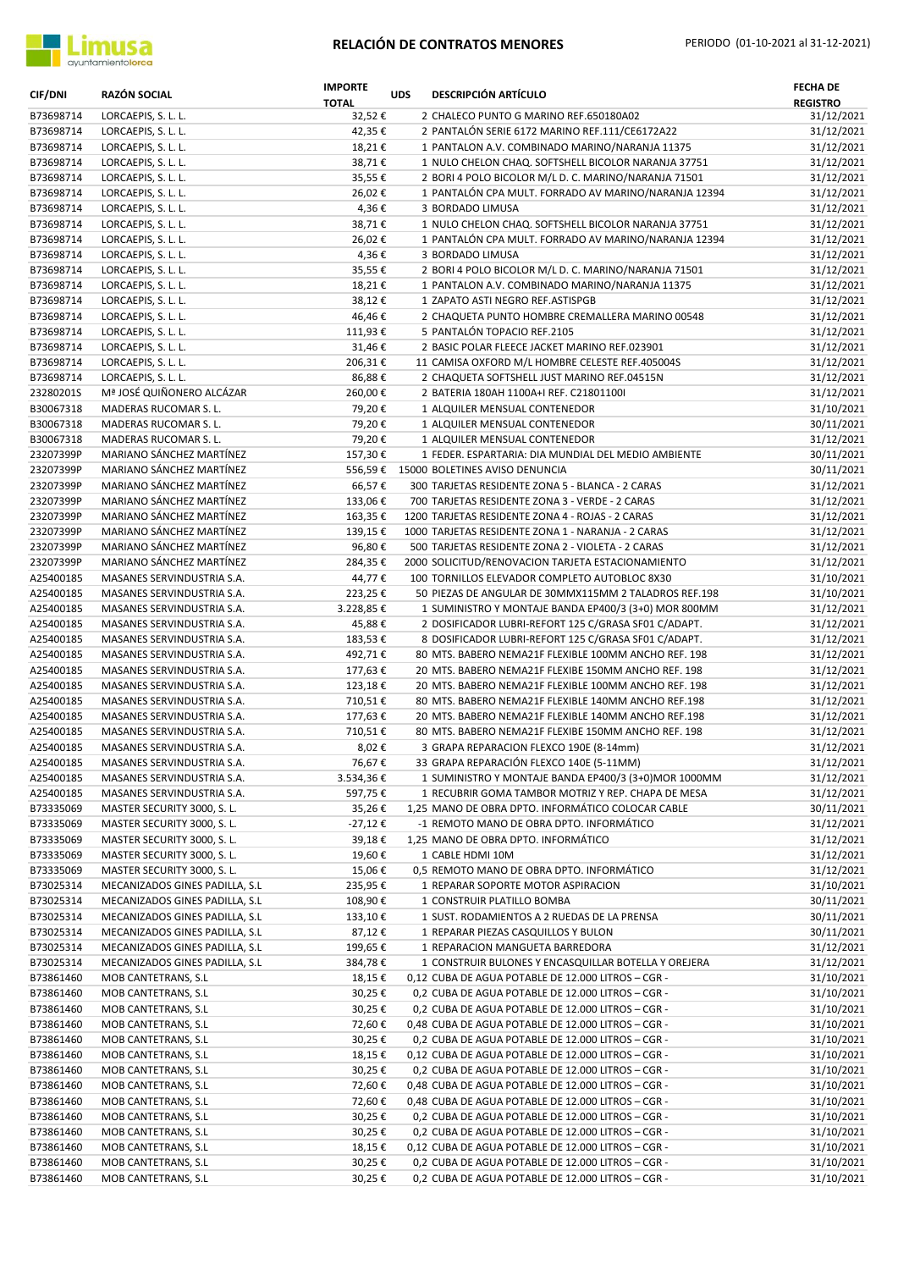

| <b>CIF/DNI</b>         | RAZÓN SOCIAL                                             | <b>IMPORTE</b><br><b>TOTAL</b> | <b>UDS</b> | <b>DESCRIPCIÓN ARTÍCULO</b>                                                                                  | <b>FECHA DE</b><br><b>REGISTRO</b> |
|------------------------|----------------------------------------------------------|--------------------------------|------------|--------------------------------------------------------------------------------------------------------------|------------------------------------|
| B73698714              | LORCAEPIS, S. L. L.                                      | 32,52€                         |            | 2 CHALECO PUNTO G MARINO REF.650180A02                                                                       | 31/12/2021                         |
| B73698714              | LORCAEPIS, S. L. L.                                      | 42,35€                         |            | 2 PANTALÓN SERIE 6172 MARINO REF.111/CE6172A22                                                               | 31/12/2021                         |
| B73698714              | LORCAEPIS, S. L. L.                                      | 18,21€                         |            | 1 PANTALON A.V. COMBINADO MARINO/NARANJA 11375                                                               | 31/12/2021                         |
| B73698714              | LORCAEPIS, S. L. L.                                      | 38,71€                         |            | 1 NULO CHELON CHAQ. SOFTSHELL BICOLOR NARANJA 37751                                                          | 31/12/2021                         |
| B73698714              | LORCAEPIS, S. L. L.                                      | 35,55€                         |            | 2 BORI 4 POLO BICOLOR M/L D. C. MARINO/NARANJA 71501                                                         | 31/12/2021                         |
| B73698714              | LORCAEPIS, S. L. L.                                      | 26,02€                         |            | 1 PANTALÓN CPA MULT. FORRADO AV MARINO/NARANJA 12394                                                         | 31/12/2021                         |
| B73698714              | LORCAEPIS, S. L. L.                                      | 4,36€                          |            | 3 BORDADO LIMUSA                                                                                             | 31/12/2021                         |
| B73698714<br>B73698714 | LORCAEPIS, S. L. L.<br>LORCAEPIS, S. L. L.               | 38,71€<br>26,02€               |            | 1 NULO CHELON CHAQ. SOFTSHELL BICOLOR NARANJA 37751<br>1 PANTALÓN CPA MULT. FORRADO AV MARINO/NARANJA 12394  | 31/12/2021<br>31/12/2021           |
| B73698714              | LORCAEPIS, S. L. L.                                      | 4,36€                          |            | 3 BORDADO LIMUSA                                                                                             | 31/12/2021                         |
| B73698714              | LORCAEPIS, S. L. L.                                      | 35,55€                         |            | 2 BORI 4 POLO BICOLOR M/L D. C. MARINO/NARANJA 71501                                                         | 31/12/2021                         |
| B73698714              | LORCAEPIS, S. L. L.                                      | 18,21€                         |            | 1 PANTALON A.V. COMBINADO MARINO/NARANJA 11375                                                               | 31/12/2021                         |
| B73698714              | LORCAEPIS, S. L. L.                                      | 38,12€                         |            | 1 ZAPATO ASTI NEGRO REF. ASTISPGB                                                                            | 31/12/2021                         |
| B73698714              | LORCAEPIS, S. L. L.                                      | 46,46€                         |            | 2 CHAQUETA PUNTO HOMBRE CREMALLERA MARINO 00548                                                              | 31/12/2021                         |
| B73698714              | LORCAEPIS, S. L. L.                                      | 111,93€                        |            | 5 PANTALÓN TOPACIO REF.2105                                                                                  | 31/12/2021                         |
| B73698714              | LORCAEPIS, S. L. L.                                      | 31,46€                         |            | 2 BASIC POLAR FLEECE JACKET MARINO REF.023901                                                                | 31/12/2021                         |
| B73698714              | LORCAEPIS, S. L. L.                                      | 206,31€                        |            | 11 CAMISA OXFORD M/L HOMBRE CELESTE REF.405004S                                                              | 31/12/2021                         |
| B73698714              | LORCAEPIS, S. L. L.                                      | 86,88€                         |            | 2 CHAQUETA SOFTSHELL JUST MARINO REF.04515N                                                                  | 31/12/2021                         |
| 23280201S              | Mª JOSÉ QUIÑONERO ALCÁZAR                                | 260,00€                        |            | 2 BATERIA 180AH 1100A+I REF. C21801100I                                                                      | 31/12/2021                         |
| B30067318              | MADERAS RUCOMAR S. L.                                    | 79,20€                         |            | 1 ALQUILER MENSUAL CONTENEDOR                                                                                | 31/10/2021                         |
| B30067318              | MADERAS RUCOMAR S. L.                                    | 79,20€                         |            | 1 ALQUILER MENSUAL CONTENEDOR                                                                                | 30/11/2021                         |
| B30067318              | MADERAS RUCOMAR S. L.                                    | 79,20€                         |            | 1 ALQUILER MENSUAL CONTENEDOR                                                                                | 31/12/2021                         |
| 23207399P              | MARIANO SÁNCHEZ MARTÍNEZ                                 | 157,30€                        |            | 1 FEDER. ESPARTARIA: DIA MUNDIAL DEL MEDIO AMBIENTE                                                          | 30/11/2021                         |
| 23207399P              | MARIANO SÁNCHEZ MARTÍNEZ                                 | 556,59€                        |            | 15000 BOLETINES AVISO DENUNCIA                                                                               | 30/11/2021                         |
| 23207399P              | MARIANO SÁNCHEZ MARTÍNEZ                                 | 66,57€                         |            | 300 TARJETAS RESIDENTE ZONA 5 - BLANCA - 2 CARAS                                                             | 31/12/2021                         |
| 23207399P              | MARIANO SÁNCHEZ MARTÍNEZ                                 | 133,06€                        |            | 700 TARJETAS RESIDENTE ZONA 3 - VERDE - 2 CARAS                                                              | 31/12/2021                         |
| 23207399P              | MARIANO SÁNCHEZ MARTÍNEZ                                 | 163,35€                        |            | 1200 TARJETAS RESIDENTE ZONA 4 - ROJAS - 2 CARAS                                                             | 31/12/2021                         |
| 23207399P              | MARIANO SÁNCHEZ MARTÍNEZ                                 | 139,15€                        |            | 1000 TARJETAS RESIDENTE ZONA 1 - NARANJA - 2 CARAS                                                           | 31/12/2021                         |
| 23207399P              | MARIANO SÁNCHEZ MARTÍNEZ                                 | 96,80€                         |            | 500 TARJETAS RESIDENTE ZONA 2 - VIOLETA - 2 CARAS                                                            | 31/12/2021                         |
| 23207399P              | MARIANO SÁNCHEZ MARTÍNEZ                                 | 284,35€                        |            | 2000 SOLICITUD/RENOVACION TARJETA ESTACIONAMIENTO                                                            | 31/12/2021                         |
| A25400185              | MASANES SERVINDUSTRIA S.A.                               | 44,77€                         |            | 100 TORNILLOS ELEVADOR COMPLETO AUTOBLOC 8X30                                                                | 31/10/2021                         |
| A25400185              | MASANES SERVINDUSTRIA S.A.                               | 223,25€                        |            | 50 PIEZAS DE ANGULAR DE 30MMX115MM 2 TALADROS REF.198                                                        | 31/10/2021                         |
| A25400185              | MASANES SERVINDUSTRIA S.A.                               | 3.228,85€                      |            | 1 SUMINISTRO Y MONTAJE BANDA EP400/3 (3+0) MOR 800MM                                                         | 31/12/2021                         |
| A25400185              | MASANES SERVINDUSTRIA S.A.                               | 45,88€                         |            | 2 DOSIFICADOR LUBRI-REFORT 125 C/GRASA SF01 C/ADAPT.                                                         | 31/12/2021                         |
| A25400185<br>A25400185 | MASANES SERVINDUSTRIA S.A.<br>MASANES SERVINDUSTRIA S.A. | 183,53€                        |            | 8 DOSIFICADOR LUBRI-REFORT 125 C/GRASA SF01 C/ADAPT.<br>80 MTS. BABERO NEMA21F FLEXIBLE 100MM ANCHO REF. 198 | 31/12/2021                         |
| A25400185              | MASANES SERVINDUSTRIA S.A.                               | 492,71€<br>177,63€             |            | 20 MTS. BABERO NEMA21F FLEXIBE 150MM ANCHO REF. 198                                                          | 31/12/2021<br>31/12/2021           |
| A25400185              | MASANES SERVINDUSTRIA S.A.                               | 123,18€                        |            | 20 MTS. BABERO NEMA21F FLEXIBLE 100MM ANCHO REF. 198                                                         | 31/12/2021                         |
| A25400185              | MASANES SERVINDUSTRIA S.A.                               | 710,51€                        |            | 80 MTS. BABERO NEMA21F FLEXIBLE 140MM ANCHO REF.198                                                          | 31/12/2021                         |
| A25400185              | MASANES SERVINDUSTRIA S.A.                               | 177,63€                        |            | 20 MTS. BABERO NEMA21F FLEXIBLE 140MM ANCHO REF.198                                                          | 31/12/2021                         |
| A25400185              | MASANES SERVINDUSTRIA S.A.                               | 710,51€                        |            | 80 MTS. BABERO NEMA21F FLEXIBE 150MM ANCHO REF. 198                                                          | 31/12/2021                         |
| A25400185              | MASANES SERVINDUSTRIA S.A.                               | 8,02€                          |            | 3 GRAPA REPARACION FLEXCO 190E (8-14mm)                                                                      | 31/12/2021                         |
| A25400185              | MASANES SERVINDUSTRIA S.A.                               | 76,67€                         |            | 33 GRAPA REPARACIÓN FLEXCO 140E (5-11MM)                                                                     | 31/12/2021                         |
| A25400185              | MASANES SERVINDUSTRIA S.A.                               | 3.534,36€                      |            | 1 SUMINISTRO Y MONTAJE BANDA EP400/3 (3+0)MOR 1000MM                                                         | 31/12/2021                         |
| A25400185              | MASANES SERVINDUSTRIA S.A.                               | 597,75€                        |            | 1 RECUBRIR GOMA TAMBOR MOTRIZ Y REP. CHAPA DE MESA                                                           | 31/12/2021                         |
| B73335069              | MASTER SECURITY 3000, S. L.                              | 35,26€                         |            | 1,25 MANO DE OBRA DPTO. INFORMÁTICO COLOCAR CABLE                                                            | 30/11/2021                         |
| B73335069              | MASTER SECURITY 3000, S. L.                              | -27,12€                        |            | -1 REMOTO MANO DE OBRA DPTO. INFORMÁTICO                                                                     | 31/12/2021                         |
| B73335069              | MASTER SECURITY 3000, S. L.                              | 39,18€                         |            | 1,25 MANO DE OBRA DPTO. INFORMÁTICO                                                                          | 31/12/2021                         |
| B73335069              | MASTER SECURITY 3000, S. L.                              | 19,60€                         |            | 1 CABLE HDMI 10M                                                                                             | 31/12/2021                         |
| B73335069              | MASTER SECURITY 3000, S. L.                              | 15,06€                         |            | 0,5 REMOTO MANO DE OBRA DPTO. INFORMÁTICO                                                                    | 31/12/2021                         |
| B73025314              | MECANIZADOS GINES PADILLA, S.L                           | 235,95€                        |            | 1 REPARAR SOPORTE MOTOR ASPIRACION                                                                           | 31/10/2021                         |
| B73025314              | MECANIZADOS GINES PADILLA, S.L                           | 108,90€                        |            | 1 CONSTRUIR PLATILLO BOMBA                                                                                   | 30/11/2021                         |
| B73025314              | MECANIZADOS GINES PADILLA, S.L                           | 133,10€                        |            | 1 SUST. RODAMIENTOS A 2 RUEDAS DE LA PRENSA                                                                  | 30/11/2021                         |
| B73025314              | MECANIZADOS GINES PADILLA, S.L                           | 87,12€                         |            | 1 REPARAR PIEZAS CASQUILLOS Y BULON                                                                          | 30/11/2021                         |
| B73025314              | MECANIZADOS GINES PADILLA, S.L                           | 199,65€                        |            | 1 REPARACION MANGUETA BARREDORA                                                                              | 31/12/2021                         |
| B73025314              | MECANIZADOS GINES PADILLA, S.L                           | 384,78€                        |            | 1 CONSTRUIR BULONES Y ENCASQUILLAR BOTELLA Y OREJERA                                                         | 31/12/2021                         |
| B73861460              | MOB CANTETRANS, S.L                                      | 18,15€                         |            | 0,12 CUBA DE AGUA POTABLE DE 12.000 LITROS - CGR -                                                           | 31/10/2021                         |
| B73861460              | MOB CANTETRANS, S.L                                      | 30,25€                         |            | 0,2 CUBA DE AGUA POTABLE DE 12.000 LITROS - CGR -                                                            | 31/10/2021                         |
| B73861460              | MOB CANTETRANS, S.L                                      | 30,25€                         |            | 0,2 CUBA DE AGUA POTABLE DE 12.000 LITROS - CGR -                                                            | 31/10/2021                         |
| B73861460              | MOB CANTETRANS, S.L                                      | 72,60€                         |            | 0,48 CUBA DE AGUA POTABLE DE 12.000 LITROS - CGR -                                                           | 31/10/2021                         |
| B73861460              | MOB CANTETRANS, S.L                                      | 30,25€                         |            | 0,2 CUBA DE AGUA POTABLE DE 12.000 LITROS - CGR -                                                            | 31/10/2021                         |
| B73861460              | MOB CANTETRANS, S.L                                      | 18,15€                         |            | 0,12 CUBA DE AGUA POTABLE DE 12.000 LITROS - CGR -                                                           | 31/10/2021                         |
| B73861460              | MOB CANTETRANS, S.L                                      | 30,25€                         |            | 0,2 CUBA DE AGUA POTABLE DE 12.000 LITROS - CGR -                                                            | 31/10/2021                         |
| B73861460<br>B73861460 | MOB CANTETRANS, S.L<br>MOB CANTETRANS, S.L               | 72,60€<br>72,60€               |            | 0,48 CUBA DE AGUA POTABLE DE 12.000 LITROS - CGR -<br>0,48 CUBA DE AGUA POTABLE DE 12.000 LITROS - CGR -     | 31/10/2021<br>31/10/2021           |
| B73861460              |                                                          |                                |            | 0,2 CUBA DE AGUA POTABLE DE 12.000 LITROS - CGR -                                                            |                                    |
| B73861460              | MOB CANTETRANS, S.L<br>MOB CANTETRANS, S.L               | 30,25€<br>30,25€               |            | 0,2 CUBA DE AGUA POTABLE DE 12.000 LITROS - CGR -                                                            | 31/10/2021<br>31/10/2021           |
| B73861460              | MOB CANTETRANS, S.L                                      | 18,15€                         |            | 0,12 CUBA DE AGUA POTABLE DE 12.000 LITROS - CGR -                                                           | 31/10/2021                         |
| B73861460              | MOB CANTETRANS, S.L                                      | 30,25€                         |            | 0,2 CUBA DE AGUA POTABLE DE 12.000 LITROS - CGR -                                                            | 31/10/2021                         |
| B73861460              | MOB CANTETRANS, S.L                                      | 30,25€                         |            | 0,2 CUBA DE AGUA POTABLE DE 12.000 LITROS - CGR -                                                            | 31/10/2021                         |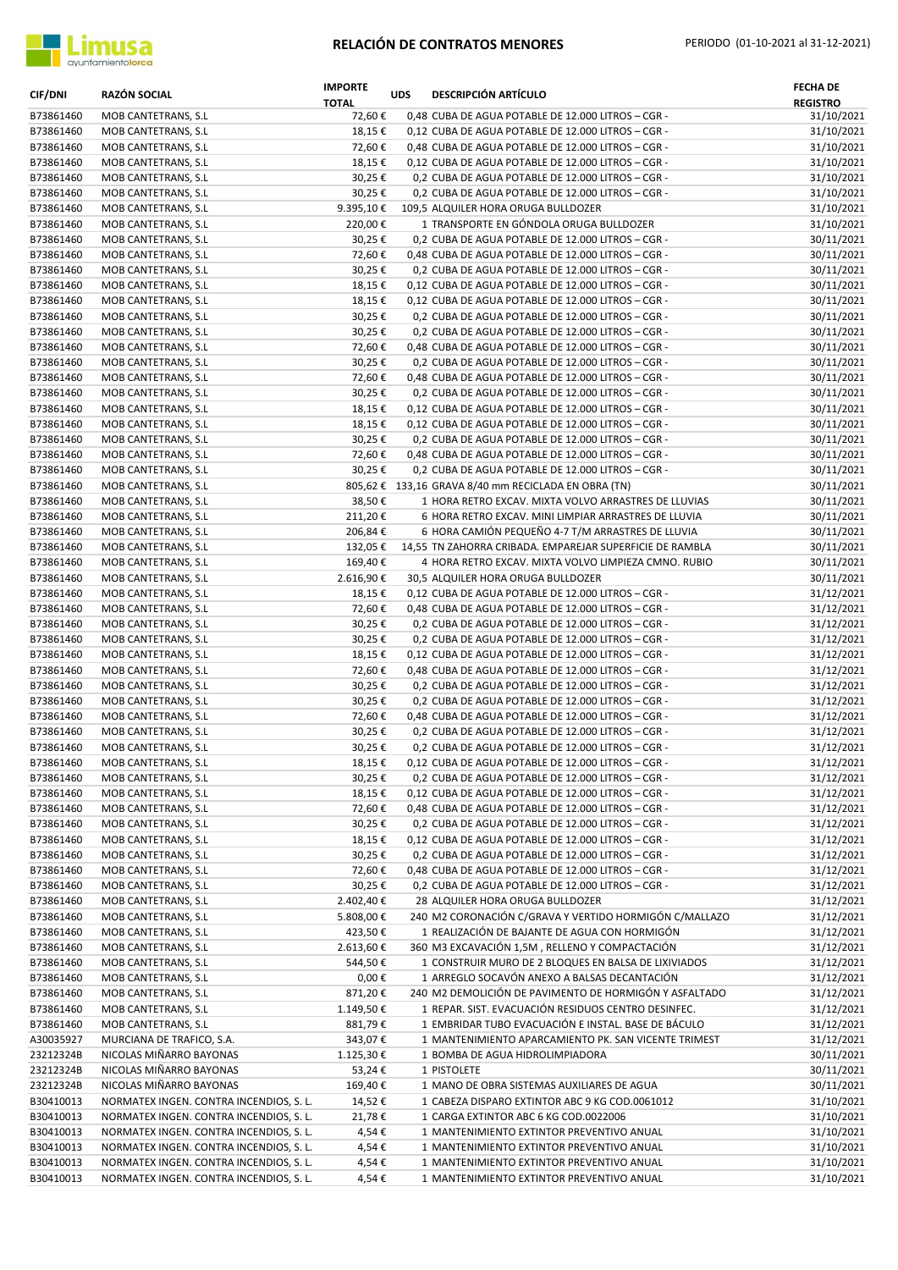

| <b>CIF/DNI</b>         | <b>RAZÓN SOCIAL</b>                         | <b>IMPORTE</b><br><b>TOTAL</b> | <b>UDS</b> | <b>DESCRIPCIÓN ARTÍCULO</b>                                                                             | <b>FECHA DE</b><br><b>REGISTRO</b> |
|------------------------|---------------------------------------------|--------------------------------|------------|---------------------------------------------------------------------------------------------------------|------------------------------------|
| B73861460              | MOB CANTETRANS, S.L.                        | 72,60€                         |            | 0,48 CUBA DE AGUA POTABLE DE 12.000 LITROS - CGR -                                                      | 31/10/2021                         |
| B73861460              | MOB CANTETRANS, S.L                         | 18,15€                         |            | 0,12 CUBA DE AGUA POTABLE DE 12.000 LITROS - CGR -                                                      | 31/10/2021                         |
| B73861460              | MOB CANTETRANS, S.L                         | 72,60€                         |            | 0,48 CUBA DE AGUA POTABLE DE 12.000 LITROS - CGR -                                                      | 31/10/2021                         |
| B73861460              | MOB CANTETRANS, S.L.                        | 18,15€                         |            | 0,12 CUBA DE AGUA POTABLE DE 12.000 LITROS - CGR -                                                      | 31/10/2021                         |
| B73861460              | MOB CANTETRANS, S.L.                        | 30,25€                         |            | 0,2 CUBA DE AGUA POTABLE DE 12.000 LITROS - CGR -                                                       | 31/10/2021                         |
| B73861460              | MOB CANTETRANS, S.L                         | 30,25€                         |            | 0,2 CUBA DE AGUA POTABLE DE 12.000 LITROS - CGR -                                                       | 31/10/2021                         |
| B73861460              | MOB CANTETRANS, S.L.                        | 9.395,10€                      |            | 109,5 ALQUILER HORA ORUGA BULLDOZER                                                                     | 31/10/2021                         |
| B73861460              | MOB CANTETRANS, S.L                         | 220,00€                        |            | 1 TRANSPORTE EN GÓNDOLA ORUGA BULLDOZER                                                                 | 31/10/2021                         |
| B73861460              | MOB CANTETRANS, S.L.                        | 30,25€                         |            | 0,2 CUBA DE AGUA POTABLE DE 12.000 LITROS - CGR -                                                       | 30/11/2021                         |
| B73861460              | MOB CANTETRANS, S.L.                        | 72,60€                         |            | 0,48 CUBA DE AGUA POTABLE DE 12.000 LITROS - CGR -                                                      | 30/11/2021                         |
| B73861460<br>B73861460 | MOB CANTETRANS, S.L<br>MOB CANTETRANS, S.L  | 30,25€<br>18,15€               |            | 0,2 CUBA DE AGUA POTABLE DE 12.000 LITROS - CGR -<br>0,12 CUBA DE AGUA POTABLE DE 12.000 LITROS - CGR - | 30/11/2021<br>30/11/2021           |
| B73861460              | MOB CANTETRANS, S.L                         | 18,15€                         |            | 0,12 CUBA DE AGUA POTABLE DE 12.000 LITROS - CGR -                                                      | 30/11/2021                         |
| B73861460              | MOB CANTETRANS, S.L                         | 30,25€                         |            | 0,2 CUBA DE AGUA POTABLE DE 12.000 LITROS - CGR -                                                       | 30/11/2021                         |
| B73861460              | MOB CANTETRANS, S.L.                        | 30,25€                         |            | 0,2 CUBA DE AGUA POTABLE DE 12.000 LITROS - CGR -                                                       | 30/11/2021                         |
| B73861460              | MOB CANTETRANS, S.L                         | 72,60€                         |            | 0,48 CUBA DE AGUA POTABLE DE 12.000 LITROS - CGR -                                                      | 30/11/2021                         |
| B73861460              | MOB CANTETRANS, S.L                         | 30,25€                         |            | 0,2 CUBA DE AGUA POTABLE DE 12.000 LITROS - CGR -                                                       | 30/11/2021                         |
| B73861460              | MOB CANTETRANS, S.L                         | 72,60€                         |            | 0,48 CUBA DE AGUA POTABLE DE 12.000 LITROS - CGR -                                                      | 30/11/2021                         |
| B73861460              | MOB CANTETRANS, S.L                         | 30,25€                         |            | 0,2 CUBA DE AGUA POTABLE DE 12.000 LITROS - CGR -                                                       | 30/11/2021                         |
| B73861460              | MOB CANTETRANS, S.L.                        | 18,15€                         |            | 0,12 CUBA DE AGUA POTABLE DE 12.000 LITROS - CGR -                                                      | 30/11/2021                         |
| B73861460              | MOB CANTETRANS, S.L                         | 18,15€                         |            | 0,12 CUBA DE AGUA POTABLE DE 12.000 LITROS - CGR -                                                      | 30/11/2021                         |
| B73861460              | MOB CANTETRANS, S.L.                        | 30,25€                         |            | 0,2 CUBA DE AGUA POTABLE DE 12.000 LITROS - CGR -                                                       | 30/11/2021                         |
| B73861460              | MOB CANTETRANS, S.L.                        | 72,60€                         |            | 0,48 CUBA DE AGUA POTABLE DE 12.000 LITROS - CGR -                                                      | 30/11/2021                         |
| B73861460              | MOB CANTETRANS, S.L.                        | 30,25€                         |            | 0,2 CUBA DE AGUA POTABLE DE 12.000 LITROS - CGR -                                                       | 30/11/2021                         |
| B73861460              | MOB CANTETRANS, S.L                         |                                |            | 805,62 € 133,16 GRAVA 8/40 mm RECICLADA EN OBRA (TN)                                                    | 30/11/2021                         |
| B73861460              | MOB CANTETRANS, S.L                         | 38,50€                         |            | 1 HORA RETRO EXCAV. MIXTA VOLVO ARRASTRES DE LLUVIAS                                                    | 30/11/2021                         |
| B73861460              | MOB CANTETRANS, S.L                         | 211,20€                        |            | 6 HORA RETRO EXCAV. MINI LIMPIAR ARRASTRES DE LLUVIA                                                    | 30/11/2021                         |
| B73861460              | MOB CANTETRANS, S.L                         | 206,84€                        |            | 6 HORA CAMIÓN PEQUEÑO 4-7 T/M ARRASTRES DE LLUVIA                                                       | 30/11/2021                         |
| B73861460              | MOB CANTETRANS, S.L                         | 132,05€                        |            | 14,55 TN ZAHORRA CRIBADA. EMPAREJAR SUPERFICIE DE RAMBLA                                                | 30/11/2021                         |
| B73861460              | MOB CANTETRANS, S.L                         | 169,40€                        |            | 4 HORA RETRO EXCAV. MIXTA VOLVO LIMPIEZA CMNO. RUBIO                                                    | 30/11/2021                         |
| B73861460              | MOB CANTETRANS, S.L                         | 2.616,90€                      |            | 30,5 ALQUILER HORA ORUGA BULLDOZER                                                                      | 30/11/2021                         |
| B73861460              | MOB CANTETRANS, S.L                         | 18,15€                         |            | 0,12 CUBA DE AGUA POTABLE DE 12.000 LITROS - CGR -                                                      | 31/12/2021                         |
| B73861460              | MOB CANTETRANS, S.L                         | 72,60€                         |            | 0,48 CUBA DE AGUA POTABLE DE 12.000 LITROS - CGR -                                                      | 31/12/2021                         |
| B73861460<br>B73861460 | MOB CANTETRANS, S.L                         | 30,25€                         |            | 0,2 CUBA DE AGUA POTABLE DE 12.000 LITROS - CGR -                                                       | 31/12/2021                         |
| B73861460              | MOB CANTETRANS, S.L.<br>MOB CANTETRANS, S.L | 30,25€<br>18,15€               |            | 0,2 CUBA DE AGUA POTABLE DE 12.000 LITROS - CGR -<br>0,12 CUBA DE AGUA POTABLE DE 12.000 LITROS - CGR - | 31/12/2021<br>31/12/2021           |
| B73861460              | MOB CANTETRANS, S.L                         | 72,60€                         |            | 0,48 CUBA DE AGUA POTABLE DE 12.000 LITROS - CGR -                                                      | 31/12/2021                         |
| B73861460              | MOB CANTETRANS, S.L                         | 30,25€                         |            | 0,2 CUBA DE AGUA POTABLE DE 12.000 LITROS - CGR -                                                       | 31/12/2021                         |
| B73861460              | MOB CANTETRANS, S.L                         | 30,25€                         |            | 0,2 CUBA DE AGUA POTABLE DE 12.000 LITROS - CGR -                                                       | 31/12/2021                         |
| B73861460              | MOB CANTETRANS, S.L                         | 72,60€                         |            | 0,48 CUBA DE AGUA POTABLE DE 12.000 LITROS - CGR -                                                      | 31/12/2021                         |
| B73861460              | MOB CANTETRANS, S.L                         | 30,25€                         |            | 0,2 CUBA DE AGUA POTABLE DE 12.000 LITROS - CGR -                                                       | 31/12/2021                         |
| B73861460              | MOB CANTETRANS, S.L                         | 30,25€                         |            | 0,2 CUBA DE AGUA POTABLE DE 12.000 LITROS - CGR -                                                       | 31/12/2021                         |
| B73861460              | MOB CANTETRANS, S.L                         | 18,15€                         |            | 0,12 CUBA DE AGUA POTABLE DE 12.000 LITROS - CGR -                                                      | 31/12/2021                         |
| B73861460              | MOB CANTETRANS, S.L                         | 30,25€                         |            | 0,2 CUBA DE AGUA POTABLE DE 12.000 LITROS - CGR -                                                       | 31/12/2021                         |
| B73861460              | MOB CANTETRANS, S.L.                        | 18,15€                         |            | 0,12 CUBA DE AGUA POTABLE DE 12.000 LITROS - CGR -                                                      | 31/12/2021                         |
| B73861460              | MOB CANTETRANS, S.L.                        | 72,60€                         |            | 0,48 CUBA DE AGUA POTABLE DE 12.000 LITROS - CGR -                                                      | 31/12/2021                         |
| B73861460              | MOB CANTETRANS, S.L.                        | 30,25€                         |            | 0,2 CUBA DE AGUA POTABLE DE 12.000 LITROS - CGR -                                                       | 31/12/2021                         |
| B73861460              | MOB CANTETRANS, S.L                         | 18,15€                         |            | 0,12 CUBA DE AGUA POTABLE DE 12.000 LITROS - CGR -                                                      | 31/12/2021                         |
| B73861460              | MOB CANTETRANS, S.L                         | 30,25€                         |            | 0,2 CUBA DE AGUA POTABLE DE 12.000 LITROS - CGR -                                                       | 31/12/2021                         |
| B73861460              | MOB CANTETRANS, S.L                         | 72,60€                         |            | 0,48 CUBA DE AGUA POTABLE DE 12.000 LITROS - CGR -                                                      | 31/12/2021                         |
| B73861460              | MOB CANTETRANS, S.L                         | 30,25€                         |            | 0,2 CUBA DE AGUA POTABLE DE 12.000 LITROS - CGR -                                                       | 31/12/2021                         |
| B73861460              | MOB CANTETRANS, S.L.                        | 2.402,40 €                     |            | 28 ALQUILER HORA ORUGA BULLDOZER                                                                        | 31/12/2021                         |
| B73861460              | MOB CANTETRANS, S.L                         | 5.808,00 €                     |            | 240 M2 CORONACIÓN C/GRAVA Y VERTIDO HORMIGÓN C/MALLAZO                                                  | 31/12/2021                         |
| B73861460<br>B73861460 | MOB CANTETRANS, S.L                         | 423,50€                        |            | 1 REALIZACIÓN DE BAJANTE DE AGUA CON HORMIGÓN<br>360 M3 EXCAVACIÓN 1,5M, RELLENO Y COMPACTACIÓN         | 31/12/2021                         |
| B73861460              | MOB CANTETRANS, S.L.<br>MOB CANTETRANS, S.L | 2.613,60€<br>544,50€           |            | 1 CONSTRUIR MURO DE 2 BLOQUES EN BALSA DE LIXIVIADOS                                                    | 31/12/2021<br>31/12/2021           |
| B73861460              | MOB CANTETRANS, S.L                         | $0,00 \in$                     |            | 1 ARREGLO SOCAVÓN ANEXO A BALSAS DECANTACIÓN                                                            | 31/12/2021                         |
| B73861460              | MOB CANTETRANS, S.L                         | 871,20€                        |            | 240 M2 DEMOLICIÓN DE PAVIMENTO DE HORMIGÓN Y ASFALTADO                                                  | 31/12/2021                         |
| B73861460              | MOB CANTETRANS, S.L                         | 1.149,50€                      |            | 1 REPAR. SIST. EVACUACIÓN RESIDUOS CENTRO DESINFEC.                                                     | 31/12/2021                         |
| B73861460              | MOB CANTETRANS, S.L                         | 881,79€                        |            | 1 EMBRIDAR TUBO EVACUACIÓN E INSTAL. BASE DE BÁCULO                                                     | 31/12/2021                         |
| A30035927              | MURCIANA DE TRAFICO, S.A.                   | 343,07€                        |            | 1 MANTENIMIENTO APARCAMIENTO PK. SAN VICENTE TRIMEST                                                    | 31/12/2021                         |
| 23212324B              | NICOLAS MIÑARRO BAYONAS                     | 1.125,30€                      |            | 1 BOMBA DE AGUA HIDROLIMPIADORA                                                                         | 30/11/2021                         |
| 23212324B              | NICOLAS MIÑARRO BAYONAS                     | 53,24€                         |            | 1 PISTOLETE                                                                                             | 30/11/2021                         |
| 23212324B              | NICOLAS MIÑARRO BAYONAS                     | 169,40€                        |            | 1 MANO DE OBRA SISTEMAS AUXILIARES DE AGUA                                                              | 30/11/2021                         |
| B30410013              | NORMATEX INGEN. CONTRA INCENDIOS, S. L.     | 14,52€                         |            | 1 CABEZA DISPARO EXTINTOR ABC 9 KG COD.0061012                                                          | 31/10/2021                         |
| B30410013              | NORMATEX INGEN. CONTRA INCENDIOS, S. L.     | 21,78€                         |            | 1 CARGA EXTINTOR ABC 6 KG COD.0022006                                                                   | 31/10/2021                         |
| B30410013              | NORMATEX INGEN. CONTRA INCENDIOS, S. L.     | 4,54€                          |            | 1 MANTENIMIENTO EXTINTOR PREVENTIVO ANUAL                                                               | 31/10/2021                         |
| B30410013              | NORMATEX INGEN. CONTRA INCENDIOS, S. L.     | 4,54€                          |            | 1 MANTENIMIENTO EXTINTOR PREVENTIVO ANUAL                                                               | 31/10/2021                         |
| B30410013              | NORMATEX INGEN. CONTRA INCENDIOS, S. L.     | 4,54€                          |            | 1 MANTENIMIENTO EXTINTOR PREVENTIVO ANUAL                                                               | 31/10/2021                         |
| B30410013              | NORMATEX INGEN. CONTRA INCENDIOS, S. L.     | 4,54€                          |            | 1 MANTENIMIENTO EXTINTOR PREVENTIVO ANUAL                                                               | 31/10/2021                         |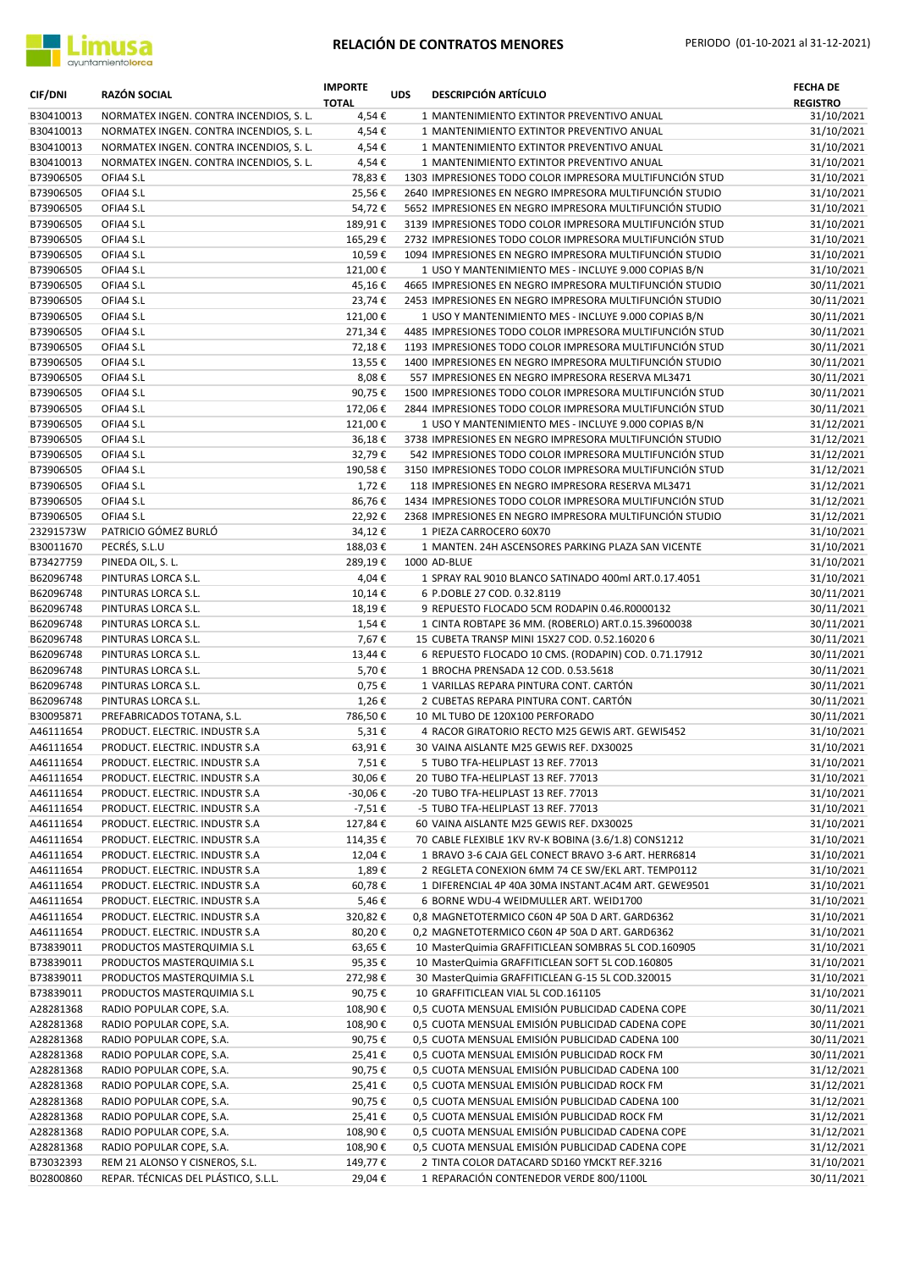

| <b>CIF/DNI</b>         | <b>RAZÓN SOCIAL</b>                                              | <b>IMPORTE</b><br><b>TOTAL</b> | <b>UDS</b> | <b>DESCRIPCIÓN ARTÍCULO</b>                                                                                        | <b>FECHA DE</b><br><b>REGISTRO</b> |
|------------------------|------------------------------------------------------------------|--------------------------------|------------|--------------------------------------------------------------------------------------------------------------------|------------------------------------|
| B30410013              | NORMATEX INGEN. CONTRA INCENDIOS, S. L.                          | 4,54€                          |            | 1 MANTENIMIENTO EXTINTOR PREVENTIVO ANUAL                                                                          | 31/10/2021                         |
| B30410013              | NORMATEX INGEN. CONTRA INCENDIOS, S. L.                          | 4,54€                          |            | 1 MANTENIMIENTO EXTINTOR PREVENTIVO ANUAL                                                                          | 31/10/2021                         |
| B30410013              | NORMATEX INGEN. CONTRA INCENDIOS, S. L.                          | 4,54€                          |            | 1 MANTENIMIENTO EXTINTOR PREVENTIVO ANUAL                                                                          | 31/10/2021                         |
| B30410013              | NORMATEX INGEN. CONTRA INCENDIOS, S. L.                          | 4,54€                          |            | 1 MANTENIMIENTO EXTINTOR PREVENTIVO ANUAL                                                                          | 31/10/2021                         |
| B73906505              | OFIA4 S.L                                                        | 78,83€                         |            | 1303 IMPRESIONES TODO COLOR IMPRESORA MULTIFUNCIÓN STUD                                                            | 31/10/2021                         |
| B73906505              | OFIA4 S.L                                                        | 25,56€                         |            | 2640 IMPRESIONES EN NEGRO IMPRESORA MULTIFUNCIÓN STUDIO                                                            | 31/10/2021                         |
| B73906505              | OFIA4 S.L                                                        | 54,72€                         |            | 5652 IMPRESIONES EN NEGRO IMPRESORA MULTIFUNCIÓN STUDIO                                                            | 31/10/2021                         |
| B73906505<br>B73906505 | OFIA4 S.L<br>OFIA4 S.L                                           | 189,91€<br>165,29€             |            | 3139 IMPRESIONES TODO COLOR IMPRESORA MULTIFUNCIÓN STUD<br>2732 IMPRESIONES TODO COLOR IMPRESORA MULTIFUNCIÓN STUD | 31/10/2021<br>31/10/2021           |
| B73906505              | OFIA4 S.L                                                        | 10,59€                         |            | 1094 IMPRESIONES EN NEGRO IMPRESORA MULTIFUNCIÓN STUDIO                                                            | 31/10/2021                         |
| B73906505              | OFIA4 S.L                                                        | 121,00€                        |            | 1 USO Y MANTENIMIENTO MES - INCLUYE 9.000 COPIAS B/N                                                               | 31/10/2021                         |
| B73906505              | OFIA4 S.L                                                        | 45,16€                         |            | 4665 IMPRESIONES EN NEGRO IMPRESORA MULTIFUNCIÓN STUDIO                                                            | 30/11/2021                         |
| B73906505              | OFIA4 S.L                                                        | 23,74€                         |            | 2453 IMPRESIONES EN NEGRO IMPRESORA MULTIFUNCIÓN STUDIO                                                            | 30/11/2021                         |
| B73906505              | OFIA4 S.L                                                        | 121,00€                        |            | 1 USO Y MANTENIMIENTO MES - INCLUYE 9.000 COPIAS B/N                                                               | 30/11/2021                         |
| B73906505              | OFIA4 S.L                                                        | 271,34€                        |            | 4485 IMPRESIONES TODO COLOR IMPRESORA MULTIFUNCIÓN STUD                                                            | 30/11/2021                         |
| B73906505              | OFIA4 S.L                                                        | 72,18€                         |            | 1193 IMPRESIONES TODO COLOR IMPRESORA MULTIFUNCIÓN STUD                                                            | 30/11/2021                         |
| B73906505              | OFIA4 S.L                                                        | 13,55€                         |            | 1400 IMPRESIONES EN NEGRO IMPRESORA MULTIFUNCIÓN STUDIO                                                            | 30/11/2021                         |
| B73906505              | OFIA4 S.L                                                        | 8,08€                          |            | 557 IMPRESIONES EN NEGRO IMPRESORA RESERVA ML3471                                                                  | 30/11/2021                         |
| B73906505              | OFIA4 S.L                                                        | 90,75€                         |            | 1500 IMPRESIONES TODO COLOR IMPRESORA MULTIFUNCIÓN STUD                                                            | 30/11/2021                         |
| B73906505              | OFIA4 S.L                                                        | 172,06€                        |            | 2844 IMPRESIONES TODO COLOR IMPRESORA MULTIFUNCIÓN STUD                                                            | 30/11/2021                         |
| B73906505              | OFIA4 S.L                                                        | 121,00€                        |            | 1 USO Y MANTENIMIENTO MES - INCLUYE 9.000 COPIAS B/N                                                               | 31/12/2021                         |
| B73906505              | OFIA4 S.L                                                        | 36,18€                         |            | 3738 IMPRESIONES EN NEGRO IMPRESORA MULTIFUNCIÓN STUDIO                                                            | 31/12/2021                         |
| B73906505              | OFIA4 S.L                                                        | 32,79€                         |            | 542 IMPRESIONES TODO COLOR IMPRESORA MULTIFUNCIÓN STUD                                                             | 31/12/2021                         |
| B73906505              | OFIA4 S.L                                                        | 190,58€                        |            | 3150 IMPRESIONES TODO COLOR IMPRESORA MULTIFUNCIÓN STUD                                                            | 31/12/2021                         |
| B73906505              | OFIA4 S.L                                                        | 1,72€                          |            | 118 IMPRESIONES EN NEGRO IMPRESORA RESERVA ML3471                                                                  | 31/12/2021                         |
| B73906505              | OFIA4 S.L                                                        | 86,76€                         |            | 1434 IMPRESIONES TODO COLOR IMPRESORA MULTIFUNCIÓN STUD                                                            | 31/12/2021                         |
| B73906505              | OFIA4 S.L                                                        | 22,92€                         |            | 2368 IMPRESIONES EN NEGRO IMPRESORA MULTIFUNCIÓN STUDIO                                                            | 31/12/2021                         |
| 23291573W              | PATRICIO GÓMEZ BURLÓ                                             | 34,12€                         |            | 1 PIEZA CARROCERO 60X70                                                                                            | 31/10/2021                         |
| B30011670              | PECRÉS, S.L.U                                                    | 188,03€                        |            | 1 MANTEN. 24H ASCENSORES PARKING PLAZA SAN VICENTE                                                                 | 31/10/2021                         |
| B73427759              | PINEDA OIL, S. L.                                                | 289,19€                        |            | 1000 AD-BLUE                                                                                                       | 31/10/2021                         |
| B62096748              | PINTURAS LORCA S.L.                                              | 4,04€                          |            | 1 SPRAY RAL 9010 BLANCO SATINADO 400ml ART.0.17.4051                                                               | 31/10/2021                         |
| B62096748<br>B62096748 | PINTURAS LORCA S.L.<br>PINTURAS LORCA S.L.                       | 10,14€<br>18,19€               |            | 6 P.DOBLE 27 COD. 0.32.8119<br>9 REPUESTO FLOCADO 5CM RODAPIN 0.46.R0000132                                        | 30/11/2021<br>30/11/2021           |
| B62096748              | PINTURAS LORCA S.L.                                              | 1,54€                          |            | 1 CINTA ROBTAPE 36 MM. (ROBERLO) ART.0.15.39600038                                                                 | 30/11/2021                         |
| B62096748              | PINTURAS LORCA S.L.                                              | 7,67€                          |            | 15 CUBETA TRANSP MINI 15X27 COD. 0.52.16020 6                                                                      | 30/11/2021                         |
| B62096748              | PINTURAS LORCA S.L.                                              | 13,44€                         |            | 6 REPUESTO FLOCADO 10 CMS. (RODAPIN) COD. 0.71.17912                                                               | 30/11/2021                         |
| B62096748              | PINTURAS LORCA S.L.                                              | 5,70€                          |            | 1 BROCHA PRENSADA 12 COD. 0.53.5618                                                                                | 30/11/2021                         |
| B62096748              | PINTURAS LORCA S.L.                                              | 0,75€                          |            | 1 VARILLAS REPARA PINTURA CONT. CARTÓN                                                                             | 30/11/2021                         |
| B62096748              | PINTURAS LORCA S.L.                                              | 1,26€                          |            | 2 CUBETAS REPARA PINTURA CONT. CARTON                                                                              | 30/11/2021                         |
| B30095871              | PREFABRICADOS TOTANA, S.L.                                       | 786,50€                        |            | 10 ML TUBO DE 120X100 PERFORADO                                                                                    | 30/11/2021                         |
| A46111654              | PRODUCT. ELECTRIC. INDUSTR S.A                                   | 5,31€                          |            | 4 RACOR GIRATORIO RECTO M25 GEWIS ART. GEWI5452                                                                    | 31/10/2021                         |
| A46111654              | PRODUCT. ELECTRIC. INDUSTR S.A.                                  | 63,91€                         |            | 30 VAINA AISLANTE M25 GEWIS REF. DX30025                                                                           | 31/10/2021                         |
| A46111654              | PRODUCT. ELECTRIC. INDUSTR S.A                                   | 7,51€                          |            | 5 TUBO TFA-HELIPLAST 13 REF. 77013                                                                                 | 31/10/2021                         |
| A46111654              | PRODUCT. ELECTRIC. INDUSTR S.A                                   | 30,06€                         |            | 20 TUBO TFA-HELIPLAST 13 REF. 77013                                                                                | 31/10/2021                         |
| A46111654              | PRODUCT. ELECTRIC. INDUSTR S.A                                   | -30,06€                        |            | -20 TUBO TFA-HELIPLAST 13 REF. 77013                                                                               | 31/10/2021                         |
| A46111654              | PRODUCT. ELECTRIC. INDUSTR S.A                                   | -7,51€                         |            | -5 TUBO TFA-HELIPLAST 13 REF. 77013                                                                                | 31/10/2021                         |
| A46111654              | PRODUCT. ELECTRIC. INDUSTR S.A                                   | 127,84€                        |            | 60 VAINA AISLANTE M25 GEWIS REF. DX30025                                                                           | 31/10/2021                         |
| A46111654              | PRODUCT. ELECTRIC. INDUSTR S.A                                   | 114,35€                        |            | 70 CABLE FLEXIBLE 1KV RV-K BOBINA (3.6/1.8) CONS1212                                                               | 31/10/2021                         |
| A46111654              | PRODUCT. ELECTRIC. INDUSTR S.A                                   | 12,04€                         |            | 1 BRAVO 3-6 CAJA GEL CONECT BRAVO 3-6 ART. HERR6814                                                                | 31/10/2021                         |
| A46111654              | PRODUCT. ELECTRIC. INDUSTR S.A                                   | 1,89€                          |            | 2 REGLETA CONEXION 6MM 74 CE SW/EKL ART. TEMP0112                                                                  | 31/10/2021                         |
| A46111654              | PRODUCT. ELECTRIC. INDUSTR S.A<br>PRODUCT. ELECTRIC. INDUSTR S.A | 60,78€                         |            | 1 DIFERENCIAL 4P 40A 30MA INSTANT.AC4M ART. GEWE9501<br>6 BORNE WDU-4 WEIDMULLER ART. WEID1700                     | 31/10/2021                         |
| A46111654<br>A46111654 | PRODUCT. ELECTRIC. INDUSTR S.A                                   | 5,46€<br>320,82€               |            | 0,8 MAGNETOTERMICO C60N 4P 50A D ART. GARD6362                                                                     | 31/10/2021<br>31/10/2021           |
| A46111654              | PRODUCT. ELECTRIC. INDUSTR S.A                                   | 80,20€                         |            | 0,2 MAGNETOTERMICO C60N 4P 50A D ART. GARD6362                                                                     | 31/10/2021                         |
| B73839011              | PRODUCTOS MASTERQUIMIA S.L                                       | 63,65€                         |            | 10 MasterQuimia GRAFFITICLEAN SOMBRAS 5L COD.160905                                                                | 31/10/2021                         |
| B73839011              | PRODUCTOS MASTERQUIMIA S.L                                       | 95,35€                         |            | 10 MasterQuimia GRAFFITICLEAN SOFT 5L COD.160805                                                                   | 31/10/2021                         |
| B73839011              | PRODUCTOS MASTERQUIMIA S.L                                       | 272,98€                        |            | 30 MasterQuimia GRAFFITICLEAN G-15 5L COD.320015                                                                   | 31/10/2021                         |
| B73839011              | PRODUCTOS MASTERQUIMIA S.L                                       | 90,75€                         |            | 10 GRAFFITICLEAN VIAL 5L COD.161105                                                                                | 31/10/2021                         |
| A28281368              | RADIO POPULAR COPE, S.A.                                         | 108,90€                        |            | 0,5 CUOTA MENSUAL EMISIÓN PUBLICIDAD CADENA COPE                                                                   | 30/11/2021                         |
| A28281368              | RADIO POPULAR COPE, S.A.                                         | 108,90€                        |            | 0,5 CUOTA MENSUAL EMISIÓN PUBLICIDAD CADENA COPE                                                                   | 30/11/2021                         |
| A28281368              | RADIO POPULAR COPE, S.A.                                         | 90,75€                         |            | 0,5 CUOTA MENSUAL EMISIÓN PUBLICIDAD CADENA 100                                                                    | 30/11/2021                         |
| A28281368              | RADIO POPULAR COPE, S.A.                                         | 25,41€                         |            | 0,5 CUOTA MENSUAL EMISIÓN PUBLICIDAD ROCK FM                                                                       | 30/11/2021                         |
| A28281368              | RADIO POPULAR COPE, S.A.                                         | 90,75€                         |            | 0,5 CUOTA MENSUAL EMISIÓN PUBLICIDAD CADENA 100                                                                    | 31/12/2021                         |
| A28281368              | RADIO POPULAR COPE, S.A.                                         | 25,41€                         |            | 0,5 CUOTA MENSUAL EMISIÓN PUBLICIDAD ROCK FM                                                                       | 31/12/2021                         |
| A28281368              | RADIO POPULAR COPE, S.A.                                         | 90,75€                         |            | 0,5 CUOTA MENSUAL EMISIÓN PUBLICIDAD CADENA 100                                                                    | 31/12/2021                         |
| A28281368              | RADIO POPULAR COPE, S.A.                                         | 25,41€                         |            | 0,5 CUOTA MENSUAL EMISIÓN PUBLICIDAD ROCK FM                                                                       | 31/12/2021                         |
| A28281368              | RADIO POPULAR COPE, S.A.                                         | 108,90€                        |            | 0,5 CUOTA MENSUAL EMISIÓN PUBLICIDAD CADENA COPE                                                                   | 31/12/2021                         |
| A28281368              | RADIO POPULAR COPE, S.A.                                         | 108,90€                        |            | 0,5 CUOTA MENSUAL EMISIÓN PUBLICIDAD CADENA COPE                                                                   | 31/12/2021                         |
| B73032393              | REM 21 ALONSO Y CISNEROS, S.L.                                   | 149,77€                        |            | 2 TINTA COLOR DATACARD SD160 YMCKT REF.3216                                                                        | 31/10/2021                         |
| B02800860              | REPAR. TÉCNICAS DEL PLÁSTICO, S.L.L.                             | 29,04€                         |            | 1 REPARACIÓN CONTENEDOR VERDE 800/1100L                                                                            | 30/11/2021                         |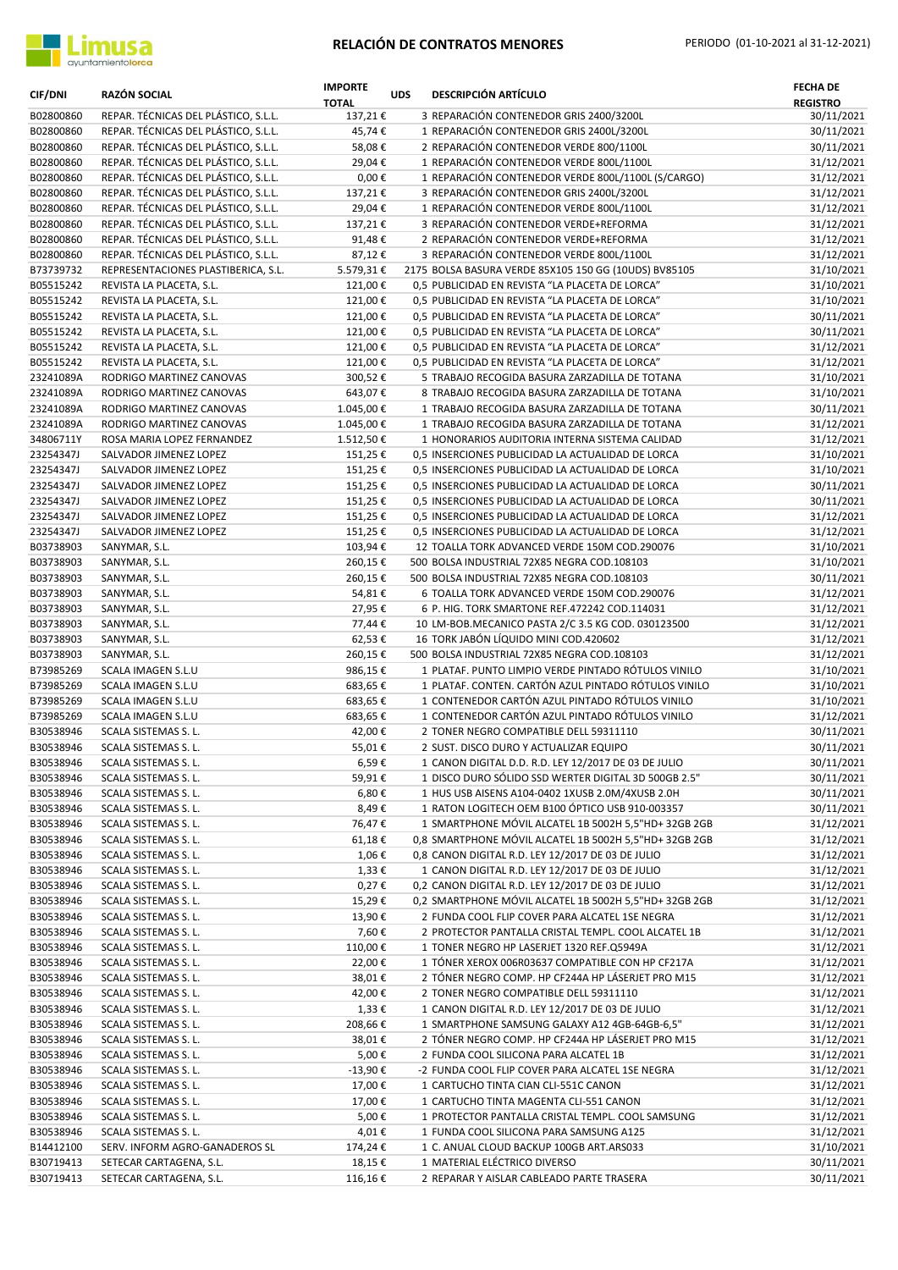

| <b>CIF/DNI</b>         | <b>RAZÓN SOCIAL</b>                                                          | <b>IMPORTE</b><br><b>TOTAL</b> | <b>UDS</b> | <b>DESCRIPCIÓN ARTÍCULO</b>                                                                          | <b>FECHA DE</b><br><b>REGISTRO</b> |
|------------------------|------------------------------------------------------------------------------|--------------------------------|------------|------------------------------------------------------------------------------------------------------|------------------------------------|
| B02800860              | REPAR. TÉCNICAS DEL PLÁSTICO, S.L.L.                                         | 137,21€                        |            | 3 REPARACIÓN CONTENEDOR GRIS 2400/3200L                                                              | 30/11/2021                         |
| B02800860              | REPAR. TÉCNICAS DEL PLÁSTICO, S.L.L.                                         | 45,74€                         |            | 1 REPARACIÓN CONTENEDOR GRIS 2400L/3200L                                                             | 30/11/2021                         |
| B02800860              | REPAR. TÉCNICAS DEL PLÁSTICO, S.L.L.                                         | 58,08€                         |            | 2 REPARACIÓN CONTENEDOR VERDE 800/1100L                                                              | 30/11/2021                         |
| B02800860              | REPAR. TÉCNICAS DEL PLÁSTICO, S.L.L.                                         | 29,04€                         |            | 1 REPARACIÓN CONTENEDOR VERDE 800L/1100L<br>1 REPARACIÓN CONTENEDOR VERDE 800L/1100L (S/CARGO)       | 31/12/2021                         |
| B02800860<br>B02800860 | REPAR. TÉCNICAS DEL PLÁSTICO, S.L.L.<br>REPAR. TÉCNICAS DEL PLÁSTICO, S.L.L. | $0,00 \in$<br>137,21€          |            | 3 REPARACIÓN CONTENEDOR GRIS 2400L/3200L                                                             | 31/12/2021<br>31/12/2021           |
| B02800860              | REPAR. TÉCNICAS DEL PLÁSTICO, S.L.L.                                         | 29,04€                         |            | 1 REPARACIÓN CONTENEDOR VERDE 800L/1100L                                                             | 31/12/2021                         |
| B02800860              | REPAR. TÉCNICAS DEL PLÁSTICO, S.L.L.                                         | 137,21€                        |            | 3 REPARACIÓN CONTENEDOR VERDE+REFORMA                                                                | 31/12/2021                         |
| B02800860              | REPAR. TÉCNICAS DEL PLÁSTICO, S.L.L.                                         | 91,48€                         |            | 2 REPARACIÓN CONTENEDOR VERDE+REFORMA                                                                | 31/12/2021                         |
| B02800860              | REPAR. TÉCNICAS DEL PLÁSTICO, S.L.L.                                         | 87,12€                         |            | 3 REPARACIÓN CONTENEDOR VERDE 800L/1100L                                                             | 31/12/2021                         |
| B73739732              | REPRESENTACIONES PLASTIBERICA, S.L.                                          | 5.579,31€                      |            | 2175 BOLSA BASURA VERDE 85X105 150 GG (10UDS) BV85105                                                | 31/10/2021                         |
| B05515242              | REVISTA LA PLACETA, S.L.                                                     | 121,00€                        |            | 0,5 PUBLICIDAD EN REVISTA "LA PLACETA DE LORCA"                                                      | 31/10/2021                         |
| B05515242              | REVISTA LA PLACETA, S.L.                                                     | 121,00€                        |            | 0,5 PUBLICIDAD EN REVISTA "LA PLACETA DE LORCA"                                                      | 31/10/2021                         |
| B05515242              | REVISTA LA PLACETA, S.L.                                                     | 121,00€                        |            | 0,5 PUBLICIDAD EN REVISTA "LA PLACETA DE LORCA"                                                      | 30/11/2021                         |
| B05515242              | REVISTA LA PLACETA, S.L.                                                     | 121,00€                        |            | 0,5 PUBLICIDAD EN REVISTA "LA PLACETA DE LORCA"                                                      | 30/11/2021                         |
| B05515242<br>B05515242 | REVISTA LA PLACETA, S.L.<br>REVISTA LA PLACETA, S.L.                         | 121,00€<br>121,00€             |            | 0,5 PUBLICIDAD EN REVISTA "LA PLACETA DE LORCA"<br>0,5 PUBLICIDAD EN REVISTA "LA PLACETA DE LORCA"   | 31/12/2021<br>31/12/2021           |
| 23241089A              | RODRIGO MARTINEZ CANOVAS                                                     | 300,52€                        |            | 5 TRABAJO RECOGIDA BASURA ZARZADILLA DE TOTANA                                                       | 31/10/2021                         |
| 23241089A              | RODRIGO MARTINEZ CANOVAS                                                     | 643,07€                        |            | 8 TRABAJO RECOGIDA BASURA ZARZADILLA DE TOTANA                                                       | 31/10/2021                         |
| 23241089A              | RODRIGO MARTINEZ CANOVAS                                                     | 1.045,00€                      |            | 1 TRABAJO RECOGIDA BASURA ZARZADILLA DE TOTANA                                                       | 30/11/2021                         |
| 23241089A              | RODRIGO MARTINEZ CANOVAS                                                     | 1.045,00€                      |            | 1 TRABAJO RECOGIDA BASURA ZARZADILLA DE TOTANA                                                       | 31/12/2021                         |
| 34806711Y              | ROSA MARIA LOPEZ FERNANDEZ                                                   | 1.512,50€                      |            | 1 HONORARIOS AUDITORIA INTERNA SISTEMA CALIDAD                                                       | 31/12/2021                         |
| 23254347J              | SALVADOR JIMENEZ LOPEZ                                                       | 151,25€                        |            | 0,5 INSERCIONES PUBLICIDAD LA ACTUALIDAD DE LORCA                                                    | 31/10/2021                         |
| 23254347J              | SALVADOR JIMENEZ LOPEZ                                                       | 151,25€                        |            | 0,5 INSERCIONES PUBLICIDAD LA ACTUALIDAD DE LORCA                                                    | 31/10/2021                         |
| 23254347J              | SALVADOR JIMENEZ LOPEZ                                                       | 151,25€                        |            | 0,5 INSERCIONES PUBLICIDAD LA ACTUALIDAD DE LORCA                                                    | 30/11/2021                         |
| 23254347J              | SALVADOR JIMENEZ LOPEZ                                                       | 151,25€                        |            | 0,5 INSERCIONES PUBLICIDAD LA ACTUALIDAD DE LORCA                                                    | 30/11/2021                         |
| 23254347J              | SALVADOR JIMENEZ LOPEZ                                                       | 151,25€                        |            | 0,5 INSERCIONES PUBLICIDAD LA ACTUALIDAD DE LORCA                                                    | 31/12/2021                         |
| 23254347J<br>B03738903 | SALVADOR JIMENEZ LOPEZ<br>SANYMAR, S.L.                                      | 151,25€<br>103,94€             |            | 0,5 INSERCIONES PUBLICIDAD LA ACTUALIDAD DE LORCA<br>12 TOALLA TORK ADVANCED VERDE 150M COD.290076   | 31/12/2021<br>31/10/2021           |
| B03738903              | SANYMAR, S.L.                                                                | 260,15€                        |            | 500 BOLSA INDUSTRIAL 72X85 NEGRA COD.108103                                                          | 31/10/2021                         |
| B03738903              | SANYMAR, S.L.                                                                | 260,15€                        |            | 500 BOLSA INDUSTRIAL 72X85 NEGRA COD.108103                                                          | 30/11/2021                         |
| B03738903              | SANYMAR, S.L.                                                                | 54,81€                         |            | 6 TOALLA TORK ADVANCED VERDE 150M COD.290076                                                         | 31/12/2021                         |
| B03738903              | SANYMAR, S.L.                                                                | 27,95€                         |            | 6 P. HIG. TORK SMARTONE REF.472242 COD.114031                                                        | 31/12/2021                         |
| B03738903              | SANYMAR, S.L.                                                                | 77,44€                         |            | 10 LM-BOB.MECANICO PASTA 2/C 3.5 KG COD. 030123500                                                   | 31/12/2021                         |
| B03738903              | SANYMAR, S.L.                                                                | 62,53€                         |            | 16 TORK JABÓN LÍQUIDO MINI COD.420602                                                                | 31/12/2021                         |
| B03738903              | SANYMAR, S.L.                                                                | 260,15€                        |            | 500 BOLSA INDUSTRIAL 72X85 NEGRA COD.108103                                                          | 31/12/2021                         |
| B73985269              | SCALA IMAGEN S.L.U                                                           | 986,15€                        |            | 1 PLATAF. PUNTO LIMPIO VERDE PINTADO RÓTULOS VINILO                                                  | 31/10/2021                         |
| B73985269              | SCALA IMAGEN S.L.U<br>SCALA IMAGEN S.L.U                                     | 683,65€                        |            | 1 PLATAF. CONTEN. CARTÓN AZUL PINTADO RÓTULOS VINILO                                                 | 31/10/2021                         |
| B73985269<br>B73985269 | SCALA IMAGEN S.L.U                                                           | 683,65€<br>683,65€             |            | 1 CONTENEDOR CARTÓN AZUL PINTADO RÓTULOS VINILO<br>1 CONTENEDOR CARTÓN AZUL PINTADO RÓTULOS VINILO   | 31/10/2021<br>31/12/2021           |
| B30538946              | SCALA SISTEMAS S. L.                                                         | 42,00€                         |            | 2 TONER NEGRO COMPATIBLE DELL 59311110                                                               | 30/11/2021                         |
| B30538946              | SCALA SISTEMAS S. L.                                                         | 55,01€                         |            | 2 SUST. DISCO DURO Y ACTUALIZAR EQUIPO                                                               | 30/11/2021                         |
| B30538946              | SCALA SISTEMAS S. L.                                                         | 6,59€                          |            | 1 CANON DIGITAL D.D. R.D. LEY 12/2017 DE 03 DE JULIO                                                 | 30/11/2021                         |
| B30538946              | SCALA SISTEMAS S. L.                                                         | 59,91€                         |            | 1 DISCO DURO SÓLIDO SSD WERTER DIGITAL 3D 500GB 2.5"                                                 | 30/11/2021                         |
| B30538946              | SCALA SISTEMAS S. L.                                                         | 6,80€                          |            | 1 HUS USB AISENS A104-0402 1XUSB 2.0M/4XUSB 2.0H                                                     | 30/11/2021                         |
| B30538946              | SCALA SISTEMAS S. L.                                                         | 8,49€                          |            | 1 RATON LOGITECH OEM B100 ÓPTICO USB 910-003357                                                      | 30/11/2021                         |
| B30538946              | SCALA SISTEMAS S. L.                                                         | 76,47€                         |            | 1 SMARTPHONE MÓVIL ALCATEL 1B 5002H 5,5"HD+ 32GB 2GB                                                 | 31/12/2021                         |
| B30538946              | SCALA SISTEMAS S. L.                                                         | 61,18€                         |            | 0,8 SMARTPHONE MÓVIL ALCATEL 1B 5002H 5,5"HD+ 32GB 2GB                                               | 31/12/2021                         |
| B30538946<br>B30538946 | SCALA SISTEMAS S. L.<br>SCALA SISTEMAS S. L.                                 | 1,06€<br>1,33€                 |            | 0,8 CANON DIGITAL R.D. LEY 12/2017 DE 03 DE JULIO<br>1 CANON DIGITAL R.D. LEY 12/2017 DE 03 DE JULIO | 31/12/2021<br>31/12/2021           |
| B30538946              | SCALA SISTEMAS S. L.                                                         | 0,27€                          |            | 0,2 CANON DIGITAL R.D. LEY 12/2017 DE 03 DE JULIO                                                    | 31/12/2021                         |
| B30538946              | SCALA SISTEMAS S. L.                                                         | 15,29€                         |            | 0,2 SMARTPHONE MÓVIL ALCATEL 1B 5002H 5,5"HD+ 32GB 2GB                                               | 31/12/2021                         |
| B30538946              | SCALA SISTEMAS S. L.                                                         | 13,90€                         |            | 2 FUNDA COOL FLIP COVER PARA ALCATEL 1SE NEGRA                                                       | 31/12/2021                         |
| B30538946              | SCALA SISTEMAS S. L.                                                         | 7,60€                          |            | 2 PROTECTOR PANTALLA CRISTAL TEMPL. COOL ALCATEL 1B                                                  | 31/12/2021                         |
| B30538946              | SCALA SISTEMAS S. L.                                                         | 110,00€                        |            | 1 TONER NEGRO HP LASERJET 1320 REF.Q5949A                                                            | 31/12/2021                         |
| B30538946              | SCALA SISTEMAS S. L.                                                         | 22,00€                         |            | 1 TÓNER XEROX 006R03637 COMPATIBLE CON HP CF217A                                                     | 31/12/2021                         |
| B30538946              | SCALA SISTEMAS S. L.                                                         | 38,01€                         |            | 2 TÓNER NEGRO COMP. HP CF244A HP LÁSERJET PRO M15                                                    | 31/12/2021                         |
| B30538946              | SCALA SISTEMAS S. L.                                                         | 42,00€                         |            | 2 TONER NEGRO COMPATIBLE DELL 59311110                                                               | 31/12/2021                         |
| B30538946              | SCALA SISTEMAS S. L.                                                         | 1,33€                          |            | 1 CANON DIGITAL R.D. LEY 12/2017 DE 03 DE JULIO                                                      | 31/12/2021                         |
| B30538946<br>B30538946 | SCALA SISTEMAS S. L.<br>SCALA SISTEMAS S. L.                                 | 208,66€<br>38,01€              |            | 1 SMARTPHONE SAMSUNG GALAXY A12 4GB-64GB-6,5"<br>2 TÓNER NEGRO COMP. HP CF244A HP LÁSERJET PRO M15   | 31/12/2021<br>31/12/2021           |
| B30538946              | SCALA SISTEMAS S. L.                                                         | 5,00€                          |            | 2 FUNDA COOL SILICONA PARA ALCATEL 1B                                                                | 31/12/2021                         |
| B30538946              | SCALA SISTEMAS S. L.                                                         | -13,90 €                       |            | -2 FUNDA COOL FLIP COVER PARA ALCATEL 1SE NEGRA                                                      | 31/12/2021                         |
| B30538946              | SCALA SISTEMAS S. L.                                                         | 17,00€                         |            | 1 CARTUCHO TINTA CIAN CLI-551C CANON                                                                 | 31/12/2021                         |
| B30538946              | SCALA SISTEMAS S. L.                                                         | 17,00€                         |            | 1 CARTUCHO TINTA MAGENTA CLI-551 CANON                                                               | 31/12/2021                         |
| B30538946              | SCALA SISTEMAS S. L.                                                         | 5,00€                          |            | 1 PROTECTOR PANTALLA CRISTAL TEMPL. COOL SAMSUNG                                                     | 31/12/2021                         |
| B30538946              | SCALA SISTEMAS S. L.                                                         | 4,01€                          |            | 1 FUNDA COOL SILICONA PARA SAMSUNG A125                                                              | 31/12/2021                         |
| B14412100              | SERV. INFORM AGRO-GANADEROS SL                                               | 174,24€                        |            | 1 C. ANUAL CLOUD BACKUP 100GB ART.ARS033                                                             | 31/10/2021                         |
| B30719413              | SETECAR CARTAGENA, S.L.                                                      | 18,15€                         |            | 1 MATERIAL ELÉCTRICO DIVERSO                                                                         | 30/11/2021                         |
| B30719413              | SETECAR CARTAGENA, S.L.                                                      | 116,16€                        |            | 2 REPARAR Y AISLAR CABLEADO PARTE TRASERA                                                            | 30/11/2021                         |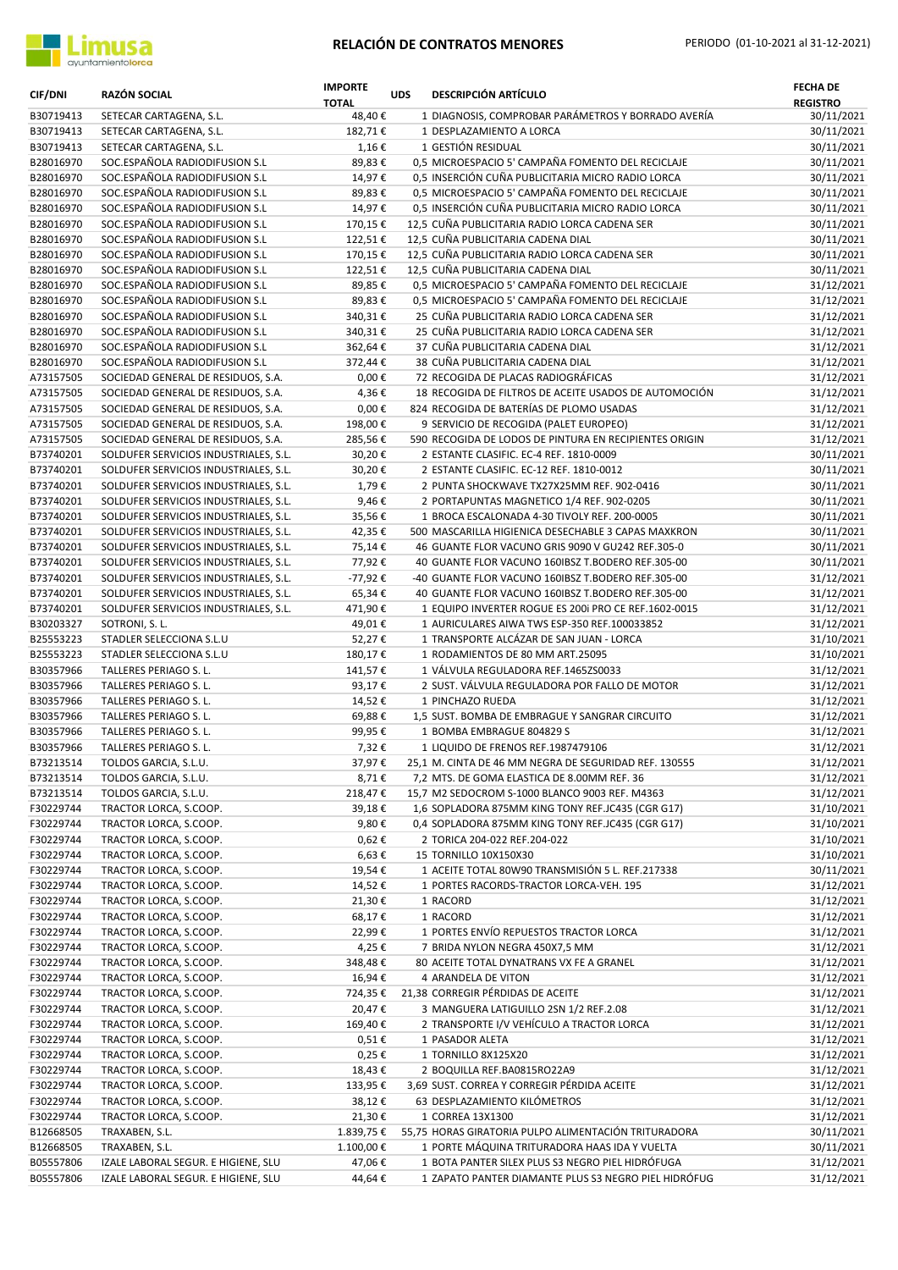

| <b>CIF/DNI</b>         | <b>RAZÓN SOCIAL</b>                                              | <b>IMPORTE</b><br><b>TOTAL</b> | <b>UDS</b> | <b>DESCRIPCIÓN ARTÍCULO</b>                                                          | <b>FECHA DE</b><br><b>REGISTRO</b> |
|------------------------|------------------------------------------------------------------|--------------------------------|------------|--------------------------------------------------------------------------------------|------------------------------------|
| B30719413              | SETECAR CARTAGENA, S.L.                                          | 48,40€                         |            | 1 DIAGNOSIS, COMPROBAR PARÁMETROS Y BORRADO AVERÍA                                   | 30/11/2021                         |
| B30719413              | SETECAR CARTAGENA, S.L.                                          | 182,71€                        |            | 1 DESPLAZAMIENTO A LORCA                                                             | 30/11/2021                         |
| B30719413              | SETECAR CARTAGENA, S.L.                                          | 1,16€                          |            | 1 GESTIÓN RESIDUAL                                                                   | 30/11/2021                         |
| B28016970              | SOC.ESPAÑOLA RADIODIFUSION S.L                                   | 89,83€                         |            | 0,5 MICROESPACIO 5' CAMPAÑA FOMENTO DEL RECICLAJE                                    | 30/11/2021                         |
| B28016970              | SOC.ESPAÑOLA RADIODIFUSION S.L                                   | 14,97€                         |            | 0.5 INSERCIÓN CUÑA PUBLICITARIA MICRO RADIO LORCA                                    | 30/11/2021                         |
| B28016970              | SOC.ESPAÑOLA RADIODIFUSION S.L                                   | 89,83€                         |            | 0,5 MICROESPACIO 5' CAMPAÑA FOMENTO DEL RECICLAJE                                    | 30/11/2021                         |
| B28016970              | SOC.ESPAÑOLA RADIODIFUSION S.L                                   | 14,97€                         |            | 0,5 INSERCIÓN CUÑA PUBLICITARIA MICRO RADIO LORCA                                    | 30/11/2021                         |
| B28016970              | SOC.ESPAÑOLA RADIODIFUSION S.L                                   | 170,15€                        |            | 12,5 CUÑA PUBLICITARIA RADIO LORCA CADENA SER                                        | 30/11/2021                         |
| B28016970              | SOC.ESPAÑOLA RADIODIFUSION S.L                                   | 122,51€                        |            | 12,5 CUÑA PUBLICITARIA CADENA DIAL                                                   | 30/11/2021                         |
| B28016970              | SOC.ESPAÑOLA RADIODIFUSION S.L                                   | 170,15€                        |            | 12,5 CUÑA PUBLICITARIA RADIO LORCA CADENA SER<br>12,5 CUÑA PUBLICITARIA CADENA DIAL  | 30/11/2021                         |
| B28016970<br>B28016970 | SOC.ESPAÑOLA RADIODIFUSION S.L<br>SOC.ESPAÑOLA RADIODIFUSION S.L | 122,51€<br>89,85€              |            | 0,5 MICROESPACIO 5' CAMPAÑA FOMENTO DEL RECICLAJE                                    | 30/11/2021<br>31/12/2021           |
| B28016970              | SOC.ESPAÑOLA RADIODIFUSION S.L                                   | 89,83€                         |            | 0,5 MICROESPACIO 5' CAMPAÑA FOMENTO DEL RECICLAJE                                    | 31/12/2021                         |
| B28016970              | SOC.ESPAÑOLA RADIODIFUSION S.L                                   | 340,31€                        |            | 25 CUÑA PUBLICITARIA RADIO LORCA CADENA SER                                          | 31/12/2021                         |
| B28016970              | SOC.ESPAÑOLA RADIODIFUSION S.L                                   | 340,31€                        |            | 25 CUÑA PUBLICITARIA RADIO LORCA CADENA SER                                          | 31/12/2021                         |
| B28016970              | SOC.ESPAÑOLA RADIODIFUSION S.L                                   | 362,64€                        |            | 37 CUÑA PUBLICITARIA CADENA DIAL                                                     | 31/12/2021                         |
| B28016970              | SOC.ESPAÑOLA RADIODIFUSION S.L                                   | 372,44€                        |            | 38 CUÑA PUBLICITARIA CADENA DIAL                                                     | 31/12/2021                         |
| A73157505              | SOCIEDAD GENERAL DE RESIDUOS, S.A.                               | $0,00 \in$                     |            | 72 RECOGIDA DE PLACAS RADIOGRÁFICAS                                                  | 31/12/2021                         |
| A73157505              | SOCIEDAD GENERAL DE RESIDUOS, S.A.                               | 4,36€                          |            | 18 RECOGIDA DE FILTROS DE ACEITE USADOS DE AUTOMOCIÓN                                | 31/12/2021                         |
| A73157505              | SOCIEDAD GENERAL DE RESIDUOS, S.A.                               | $0,00 \in$                     |            | 824 RECOGIDA DE BATERÍAS DE PLOMO USADAS                                             | 31/12/2021                         |
| A73157505              | SOCIEDAD GENERAL DE RESIDUOS, S.A.                               | 198,00€                        |            | 9 SERVICIO DE RECOGIDA (PALET EUROPEO)                                               | 31/12/2021                         |
| A73157505              | SOCIEDAD GENERAL DE RESIDUOS, S.A.                               | 285,56€                        |            | 590 RECOGIDA DE LODOS DE PINTURA EN RECIPIENTES ORIGIN                               | 31/12/2021                         |
| B73740201              | SOLDUFER SERVICIOS INDUSTRIALES, S.L.                            | 30,20€                         |            | 2 ESTANTE CLASIFIC. EC-4 REF. 1810-0009                                              | 30/11/2021                         |
| B73740201              | SOLDUFER SERVICIOS INDUSTRIALES, S.L.                            | 30,20€                         |            | 2 ESTANTE CLASIFIC. EC-12 REF. 1810-0012                                             | 30/11/2021                         |
| B73740201              | SOLDUFER SERVICIOS INDUSTRIALES, S.L.                            | 1,79€                          |            | 2 PUNTA SHOCKWAVE TX27X25MM REF. 902-0416                                            | 30/11/2021                         |
| B73740201              | SOLDUFER SERVICIOS INDUSTRIALES, S.L.                            | 9,46€                          |            | 2 PORTAPUNTAS MAGNETICO 1/4 REF. 902-0205                                            | 30/11/2021                         |
| B73740201              | SOLDUFER SERVICIOS INDUSTRIALES, S.L.                            | 35,56€                         |            | 1 BROCA ESCALONADA 4-30 TIVOLY REF. 200-0005                                         | 30/11/2021                         |
| B73740201              | SOLDUFER SERVICIOS INDUSTRIALES, S.L.                            | 42,35€                         |            | 500 MASCARILLA HIGIENICA DESECHABLE 3 CAPAS MAXKRON                                  | 30/11/2021                         |
| B73740201              | SOLDUFER SERVICIOS INDUSTRIALES, S.L.                            | 75,14€                         |            | 46 GUANTE FLOR VACUNO GRIS 9090 V GU242 REF.305-0                                    | 30/11/2021                         |
| B73740201              | SOLDUFER SERVICIOS INDUSTRIALES, S.L.                            | 77,92€                         |            | 40 GUANTE FLOR VACUNO 160IBSZ T.BODERO REF.305-00                                    | 30/11/2021                         |
| B73740201              | SOLDUFER SERVICIOS INDUSTRIALES, S.L.                            | -77,92€                        |            | -40 GUANTE FLOR VACUNO 160IBSZ T.BODERO REF.305-00                                   | 31/12/2021                         |
| B73740201              | SOLDUFER SERVICIOS INDUSTRIALES, S.L.                            | 65,34€                         |            | 40 GUANTE FLOR VACUNO 160IBSZ T.BODERO REF.305-00                                    | 31/12/2021                         |
| B73740201              | SOLDUFER SERVICIOS INDUSTRIALES, S.L.                            | 471,90€                        |            | 1 EQUIPO INVERTER ROGUE ES 200i PRO CE REF.1602-0015                                 | 31/12/2021                         |
| B30203327              | SOTRONI, S. L.                                                   | 49,01€                         |            | 1 AURICULARES AIWA TWS ESP-350 REF.100033852                                         | 31/12/2021                         |
| B25553223              | STADLER SELECCIONA S.L.U                                         | 52,27€                         |            | 1 TRANSPORTE ALCÁZAR DE SAN JUAN - LORCA                                             | 31/10/2021                         |
| B25553223              | STADLER SELECCIONA S.L.U                                         | 180,17€                        |            | 1 RODAMIENTOS DE 80 MM ART.25095                                                     | 31/10/2021                         |
| B30357966              | TALLERES PERIAGO S.L.                                            | 141,57€<br>93,17€              |            | 1 VÁLVULA REGULADORA REF.1465ZS0033<br>2 SUST. VÁLVULA REGULADORA POR FALLO DE MOTOR | 31/12/2021<br>31/12/2021           |
| B30357966<br>B30357966 | TALLERES PERIAGO S. L.<br>TALLERES PERIAGO S. L.                 | 14,52€                         |            | 1 PINCHAZO RUEDA                                                                     | 31/12/2021                         |
| B30357966              | TALLERES PERIAGO S.L.                                            | 69,88€                         |            | 1,5 SUST. BOMBA DE EMBRAGUE Y SANGRAR CIRCUITO                                       | 31/12/2021                         |
| B30357966              | TALLERES PERIAGO S.L.                                            | 99,95€                         |            | 1 BOMBA EMBRAGUE 804829 S                                                            | 31/12/2021                         |
| B30357966              | TALLERES PERIAGO S.L.                                            | 7,32€                          |            | 1 LIQUIDO DE FRENOS REF.1987479106                                                   | 31/12/2021                         |
| B73213514              | TOLDOS GARCIA, S.L.U.                                            | 37,97€                         |            | 25,1 M. CINTA DE 46 MM NEGRA DE SEGURIDAD REF. 130555                                | 31/12/2021                         |
| B73213514              | TOLDOS GARCIA, S.L.U.                                            | 8,71€                          |            | 7,2 MTS. DE GOMA ELASTICA DE 8.00MM REF. 36                                          | 31/12/2021                         |
| B73213514              | TOLDOS GARCIA, S.L.U.                                            | 218,47€                        |            | 15,7 M2 SEDOCROM S-1000 BLANCO 9003 REF. M4363                                       | 31/12/2021                         |
| F30229744              | TRACTOR LORCA, S.COOP.                                           | 39,18€                         |            | 1,6 SOPLADORA 875MM KING TONY REF.JC435 (CGR G17)                                    | 31/10/2021                         |
| F30229744              | TRACTOR LORCA, S.COOP.                                           | 9,80€                          |            | 0,4 SOPLADORA 875MM KING TONY REF.JC435 (CGR G17)                                    | 31/10/2021                         |
| F30229744              | TRACTOR LORCA, S.COOP.                                           | 0,62€                          |            | 2 TORICA 204-022 REF.204-022                                                         | 31/10/2021                         |
| F30229744              | TRACTOR LORCA, S.COOP.                                           | 6,63€                          |            | 15 TORNILLO 10X150X30                                                                | 31/10/2021                         |
| F30229744              | TRACTOR LORCA, S.COOP.                                           | 19,54€                         |            | 1 ACEITE TOTAL 80W90 TRANSMISIÓN 5 L. REF.217338                                     | 30/11/2021                         |
| F30229744              | TRACTOR LORCA, S.COOP.                                           | 14,52€                         |            | 1 PORTES RACORDS-TRACTOR LORCA-VEH. 195                                              | 31/12/2021                         |
| F30229744              | TRACTOR LORCA, S.COOP.                                           | 21,30€                         |            | 1 RACORD                                                                             | 31/12/2021                         |
| F30229744              | TRACTOR LORCA, S.COOP.                                           | 68,17€                         |            | 1 RACORD                                                                             | 31/12/2021                         |
| F30229744              | TRACTOR LORCA, S.COOP.                                           | 22,99€                         |            | 1 PORTES ENVÍO REPUESTOS TRACTOR LORCA                                               | 31/12/2021                         |
| F30229744              | TRACTOR LORCA, S.COOP.                                           | 4,25€                          |            | 7 BRIDA NYLON NEGRA 450X7,5 MM                                                       | 31/12/2021                         |
| F30229744              | TRACTOR LORCA, S.COOP.                                           | 348,48€                        |            | 80 ACEITE TOTAL DYNATRANS VX FE A GRANEL                                             | 31/12/2021                         |
| F30229744              | TRACTOR LORCA, S.COOP.                                           | 16,94€                         |            | 4 ARANDELA DE VITON                                                                  | 31/12/2021                         |
| F30229744              | TRACTOR LORCA, S.COOP.                                           | 724,35€                        |            | 21,38 CORREGIR PÉRDIDAS DE ACEITE                                                    | 31/12/2021                         |
| F30229744              | TRACTOR LORCA, S.COOP.                                           | 20,47€                         |            | 3 MANGUERA LATIGUILLO 2SN 1/2 REF.2.08<br>2 TRANSPORTE I/V VEHÍCULO A TRACTOR LORCA  | 31/12/2021                         |
| F30229744<br>F30229744 | TRACTOR LORCA, S.COOP.<br>TRACTOR LORCA, S.COOP.                 | 169,40€<br>$0,51 \in$          |            | 1 PASADOR ALETA                                                                      | 31/12/2021<br>31/12/2021           |
| F30229744              | TRACTOR LORCA, S.COOP.                                           | 0,25€                          |            | 1 TORNILLO 8X125X20                                                                  | 31/12/2021                         |
| F30229744              | TRACTOR LORCA, S.COOP.                                           | 18,43€                         |            | 2 BOQUILLA REF.BA0815RO22A9                                                          | 31/12/2021                         |
| F30229744              | TRACTOR LORCA, S.COOP.                                           | 133,95€                        |            | 3,69 SUST. CORREA Y CORREGIR PÉRDIDA ACEITE                                          | 31/12/2021                         |
| F30229744              | TRACTOR LORCA, S.COOP.                                           | 38,12€                         |            | 63 DESPLAZAMIENTO KILÓMETROS                                                         | 31/12/2021                         |
| F30229744              | TRACTOR LORCA, S.COOP.                                           | 21,30€                         |            | 1 CORREA 13X1300                                                                     | 31/12/2021                         |
| B12668505              | TRAXABEN, S.L.                                                   | 1.839,75€                      |            | 55,75 HORAS GIRATORIA PULPO ALIMENTACIÓN TRITURADORA                                 | 30/11/2021                         |
| B12668505              | TRAXABEN, S.L.                                                   | 1.100,00€                      |            | 1 PORTE MÁQUINA TRITURADORA HAAS IDA Y VUELTA                                        | 30/11/2021                         |
| B05557806              | IZALE LABORAL SEGUR. E HIGIENE, SLU                              | 47,06€                         |            | 1 BOTA PANTER SILEX PLUS S3 NEGRO PIEL HIDRÓFUGA                                     | 31/12/2021                         |
| B05557806              | IZALE LABORAL SEGUR. E HIGIENE, SLU                              | 44,64€                         |            | 1 ZAPATO PANTER DIAMANTE PLUS S3 NEGRO PIEL HIDRÓFUG                                 | 31/12/2021                         |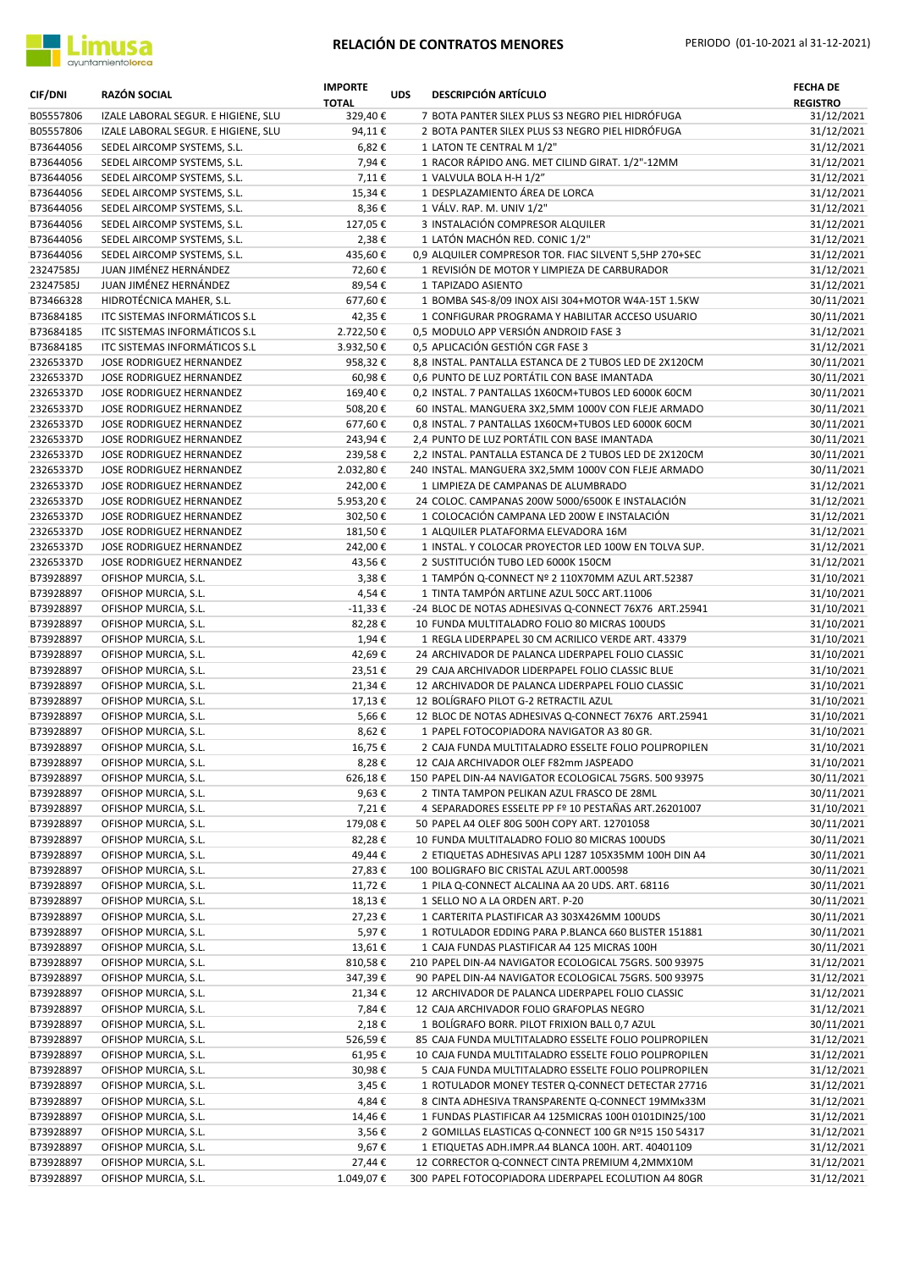



| <b>CIF/DNI</b>         | <b>RAZÓN SOCIAL</b>                                        | <b>IMPORTE</b><br><b>TOTAL</b> | <b>UDS</b> | <b>DESCRIPCIÓN ARTÍCULO</b>                                                                       | <b>FECHA DE</b><br><b>REGISTRO</b> |
|------------------------|------------------------------------------------------------|--------------------------------|------------|---------------------------------------------------------------------------------------------------|------------------------------------|
| B05557806              | IZALE LABORAL SEGUR. E HIGIENE, SLU                        | 329,40€                        |            | 7 BOTA PANTER SILEX PLUS S3 NEGRO PIEL HIDRÓFUGA                                                  | 31/12/2021                         |
| B05557806              | IZALE LABORAL SEGUR. E HIGIENE, SLU                        | 94,11€                         |            | 2 BOTA PANTER SILEX PLUS S3 NEGRO PIEL HIDRÓFUGA                                                  | 31/12/2021                         |
| B73644056              | SEDEL AIRCOMP SYSTEMS, S.L.                                | 6,82€                          |            | 1 LATON TE CENTRAL M 1/2"                                                                         | 31/12/2021                         |
| B73644056              | SEDEL AIRCOMP SYSTEMS, S.L.                                | 7,94€                          |            | 1 RACOR RÁPIDO ANG. MET CILIND GIRAT. 1/2"-12MM                                                   | 31/12/2021                         |
| B73644056              | SEDEL AIRCOMP SYSTEMS, S.L.                                | 7,11€                          |            | 1 VALVULA BOLA H-H 1/2"                                                                           | 31/12/2021                         |
| B73644056              | SEDEL AIRCOMP SYSTEMS, S.L.                                | 15,34€                         |            | 1 DESPLAZAMIENTO ÁREA DE LORCA                                                                    | 31/12/2021                         |
| B73644056              | SEDEL AIRCOMP SYSTEMS, S.L.                                | 8,36€                          |            | 1 VÁLV. RAP. M. UNIV 1/2"                                                                         | 31/12/2021                         |
| B73644056              | SEDEL AIRCOMP SYSTEMS, S.L.                                | 127,05€                        |            | 3 INSTALACIÓN COMPRESOR ALQUILER                                                                  | 31/12/2021                         |
| B73644056<br>B73644056 | SEDEL AIRCOMP SYSTEMS, S.L.<br>SEDEL AIRCOMP SYSTEMS, S.L. | 2,38€<br>435,60€               |            | 1 LATÓN MACHÓN RED. CONIC 1/2"<br>0,9 ALQUILER COMPRESOR TOR. FIAC SILVENT 5,5HP 270+SEC          | 31/12/2021<br>31/12/2021           |
| 23247585J              | JUAN JIMÉNEZ HERNÁNDEZ                                     | 72,60€                         |            | 1 REVISIÓN DE MOTOR Y LIMPIEZA DE CARBURADOR                                                      | 31/12/2021                         |
| 23247585J              | JUAN JIMÉNEZ HERNÁNDEZ                                     | 89,54€                         |            | 1 TAPIZADO ASIENTO                                                                                | 31/12/2021                         |
| B73466328              | HIDROTÉCNICA MAHER, S.L.                                   | 677,60€                        |            | 1 BOMBA S4S-8/09 INOX AISI 304+MOTOR W4A-15T 1.5KW                                                | 30/11/2021                         |
| B73684185              | ITC SISTEMAS INFORMÁTICOS S.L                              | 42,35€                         |            | 1 CONFIGURAR PROGRAMA Y HABILITAR ACCESO USUARIO                                                  | 30/11/2021                         |
| B73684185              | ITC SISTEMAS INFORMÁTICOS S.L                              | 2.722,50€                      |            | 0,5 MODULO APP VERSIÓN ANDROID FASE 3                                                             | 31/12/2021                         |
| B73684185              | ITC SISTEMAS INFORMÁTICOS S.L                              | 3.932,50€                      |            | 0,5 APLICACIÓN GESTIÓN CGR FASE 3                                                                 | 31/12/2021                         |
| 23265337D              | JOSE RODRIGUEZ HERNANDEZ                                   | 958,32€                        |            | 8,8 INSTAL. PANTALLA ESTANCA DE 2 TUBOS LED DE 2X120CM                                            | 30/11/2021                         |
| 23265337D              | JOSE RODRIGUEZ HERNANDEZ                                   | 60,98€                         |            | 0,6 PUNTO DE LUZ PORTÁTIL CON BASE IMANTADA                                                       | 30/11/2021                         |
| 23265337D              | JOSE RODRIGUEZ HERNANDEZ                                   | 169,40€                        |            | 0,2 INSTAL. 7 PANTALLAS 1X60CM+TUBOS LED 6000K 60CM                                               | 30/11/2021                         |
| 23265337D              | JOSE RODRIGUEZ HERNANDEZ                                   | 508,20€                        |            | 60 INSTAL. MANGUERA 3X2,5MM 1000V CON FLEJE ARMADO                                                | 30/11/2021                         |
| 23265337D              | JOSE RODRIGUEZ HERNANDEZ                                   | 677,60€                        |            | 0,8 INSTAL. 7 PANTALLAS 1X60CM+TUBOS LED 6000K 60CM                                               | 30/11/2021                         |
| 23265337D              | JOSE RODRIGUEZ HERNANDEZ                                   | 243,94€                        |            | 2,4 PUNTO DE LUZ PORTÁTIL CON BASE IMANTADA                                                       | 30/11/2021                         |
| 23265337D              | JOSE RODRIGUEZ HERNANDEZ                                   | 239,58€                        |            | 2,2 INSTAL. PANTALLA ESTANCA DE 2 TUBOS LED DE 2X120CM                                            | 30/11/2021                         |
| 23265337D              | JOSE RODRIGUEZ HERNANDEZ                                   | 2.032,80€                      |            | 240 INSTAL. MANGUERA 3X2,5MM 1000V CON FLEJE ARMADO                                               | 30/11/2021                         |
| 23265337D              | JOSE RODRIGUEZ HERNANDEZ                                   | 242,00€                        |            | 1 LIMPIEZA DE CAMPANAS DE ALUMBRADO                                                               | 31/12/2021                         |
| 23265337D<br>23265337D | JOSE RODRIGUEZ HERNANDEZ<br>JOSE RODRIGUEZ HERNANDEZ       | 5.953,20€<br>302,50€           |            | 24 COLOC. CAMPANAS 200W 5000/6500K E INSTALACIÓN<br>1 COLOCACIÓN CAMPANA LED 200W E INSTALACIÓN   | 31/12/2021<br>31/12/2021           |
| 23265337D              | JOSE RODRIGUEZ HERNANDEZ                                   | 181,50€                        |            | 1 ALQUILER PLATAFORMA ELEVADORA 16M                                                               | 31/12/2021                         |
| 23265337D              | JOSE RODRIGUEZ HERNANDEZ                                   | 242,00€                        |            | 1 INSTAL. Y COLOCAR PROYECTOR LED 100W EN TOLVA SUP.                                              | 31/12/2021                         |
| 23265337D              | JOSE RODRIGUEZ HERNANDEZ                                   | 43,56€                         |            | 2 SUSTITUCIÓN TUBO LED 6000K 150CM                                                                | 31/12/2021                         |
| B73928897              | OFISHOP MURCIA, S.L.                                       | 3,38€                          |            | 1 TAMPÓN Q-CONNECT Nº 2 110X70MM AZUL ART.52387                                                   | 31/10/2021                         |
| B73928897              | OFISHOP MURCIA, S.L.                                       | 4,54€                          |            | 1 TINTA TAMPÓN ARTLINE AZUL 50CC ART.11006                                                        | 31/10/2021                         |
| B73928897              | OFISHOP MURCIA, S.L.                                       | $-11,33€$                      |            | -24 BLOC DE NOTAS ADHESIVAS Q-CONNECT 76X76 ART.25941                                             | 31/10/2021                         |
| B73928897              | OFISHOP MURCIA, S.L.                                       | 82,28€                         |            | 10 FUNDA MULTITALADRO FOLIO 80 MICRAS 100UDS                                                      | 31/10/2021                         |
| B73928897              | OFISHOP MURCIA, S.L.                                       | 1,94€                          |            | 1 REGLA LIDERPAPEL 30 CM ACRILICO VERDE ART. 43379                                                | 31/10/2021                         |
| B73928897              | OFISHOP MURCIA, S.L.                                       | 42,69€                         |            | 24 ARCHIVADOR DE PALANCA LIDERPAPEL FOLIO CLASSIC                                                 | 31/10/2021                         |
| B73928897              | OFISHOP MURCIA, S.L.                                       | 23,51€                         |            | 29 CAJA ARCHIVADOR LIDERPAPEL FOLIO CLASSIC BLUE                                                  | 31/10/2021                         |
| B73928897              | OFISHOP MURCIA, S.L.                                       | 21,34€                         |            | 12 ARCHIVADOR DE PALANCA LIDERPAPEL FOLIO CLASSIC                                                 | 31/10/2021                         |
| B73928897              | OFISHOP MURCIA, S.L.                                       | 17,13€                         |            | 12 BOLÍGRAFO PILOT G-2 RETRACTIL AZUL                                                             | 31/10/2021                         |
| B73928897              | OFISHOP MURCIA, S.L.                                       | 5,66€                          |            | 12 BLOC DE NOTAS ADHESIVAS Q-CONNECT 76X76 ART.25941                                              | 31/10/2021<br>31/10/2021           |
| B73928897<br>B73928897 | OFISHOP MURCIA, S.L.                                       | 8,62€<br>16,75€                |            | 1 PAPEL FOTOCOPIADORA NAVIGATOR A3 80 GR.<br>2 CAJA FUNDA MULTITALADRO ESSELTE FOLIO POLIPROPILEN | 31/10/2021                         |
| B73928897              | OFISHOP MURCIA, S.L.<br>OFISHOP MURCIA, S.L.               | 8,28€                          |            | 12 CAJA ARCHIVADOR OLEF F82mm JASPEADO                                                            | 31/10/2021                         |
| B73928897              | OFISHOP MURCIA, S.L.                                       | 626,18€                        |            | 150 PAPEL DIN-A4 NAVIGATOR ECOLOGICAL 75GRS. 500 93975                                            | 30/11/2021                         |
| B73928897              | OFISHOP MURCIA, S.L.                                       | 9,63€                          |            | 2 TINTA TAMPON PELIKAN AZUL FRASCO DE 28ML                                                        | 30/11/2021                         |
| B73928897              | OFISHOP MURCIA, S.L.                                       | 7,21€                          |            | 4 SEPARADORES ESSELTE PP Fº 10 PESTAÑAS ART.26201007                                              | 31/10/2021                         |
| B73928897              | OFISHOP MURCIA, S.L.                                       | 179,08€                        |            | 50 PAPEL A4 OLEF 80G 500H COPY ART. 12701058                                                      | 30/11/2021                         |
| B73928897              | OFISHOP MURCIA, S.L.                                       | 82,28€                         |            | 10 FUNDA MULTITALADRO FOLIO 80 MICRAS 100UDS                                                      | 30/11/2021                         |
| B73928897              | OFISHOP MURCIA, S.L.                                       | 49,44€                         |            | 2 ETIQUETAS ADHESIVAS APLI 1287 105X35MM 100H DIN A4                                              | 30/11/2021                         |
| B73928897              | OFISHOP MURCIA, S.L.                                       | 27,83€                         |            | 100 BOLIGRAFO BIC CRISTAL AZUL ART.000598                                                         | 30/11/2021                         |
| B73928897              | OFISHOP MURCIA, S.L.                                       | 11,72€                         |            | 1 PILA Q-CONNECT ALCALINA AA 20 UDS. ART. 68116                                                   | 30/11/2021                         |
| B73928897              | OFISHOP MURCIA, S.L.                                       | 18,13€                         |            | 1 SELLO NO A LA ORDEN ART. P-20                                                                   | 30/11/2021                         |
| B73928897              | OFISHOP MURCIA, S.L.                                       | 27,23€                         |            | 1 CARTERITA PLASTIFICAR A3 303X426MM 100UDS                                                       | 30/11/2021                         |
| B73928897              | OFISHOP MURCIA, S.L.                                       | 5,97€                          |            | 1 ROTULADOR EDDING PARA P.BLANCA 660 BLISTER 151881                                               | 30/11/2021                         |
| B73928897              | OFISHOP MURCIA, S.L.                                       | 13,61€                         |            | 1 CAJA FUNDAS PLASTIFICAR A4 125 MICRAS 100H                                                      | 30/11/2021                         |
| B73928897              | OFISHOP MURCIA, S.L.                                       | 810,58€                        |            | 210 PAPEL DIN-A4 NAVIGATOR ECOLOGICAL 75GRS. 500 93975                                            | 31/12/2021                         |
| B73928897              | OFISHOP MURCIA, S.L.                                       | 347,39€                        |            | 90 PAPEL DIN-A4 NAVIGATOR ECOLOGICAL 75GRS. 500 93975                                             | 31/12/2021                         |
| B73928897<br>B73928897 | OFISHOP MURCIA, S.L.<br>OFISHOP MURCIA, S.L.               | 21,34€<br>7,84€                |            | 12 ARCHIVADOR DE PALANCA LIDERPAPEL FOLIO CLASSIC<br>12 CAJA ARCHIVADOR FOLIO GRAFOPLAS NEGRO     | 31/12/2021<br>31/12/2021           |
| B73928897              | OFISHOP MURCIA, S.L.                                       | 2,18€                          |            | 1 BOLÍGRAFO BORR. PILOT FRIXION BALL 0,7 AZUL                                                     | 30/11/2021                         |
| B73928897              | OFISHOP MURCIA, S.L.                                       | 526,59€                        |            | 85 CAJA FUNDA MULTITALADRO ESSELTE FOLIO POLIPROPILEN                                             | 31/12/2021                         |
| B73928897              | OFISHOP MURCIA, S.L.                                       | 61,95€                         |            | 10 CAJA FUNDA MULTITALADRO ESSELTE FOLIO POLIPROPILEN                                             | 31/12/2021                         |
| B73928897              | OFISHOP MURCIA, S.L.                                       | 30,98€                         |            | 5 CAJA FUNDA MULTITALADRO ESSELTE FOLIO POLIPROPILEN                                              | 31/12/2021                         |
| B73928897              | OFISHOP MURCIA, S.L.                                       | 3,45€                          |            | 1 ROTULADOR MONEY TESTER Q-CONNECT DETECTAR 27716                                                 | 31/12/2021                         |
| B73928897              | OFISHOP MURCIA, S.L.                                       | 4,84€                          |            | 8 CINTA ADHESIVA TRANSPARENTE Q-CONNECT 19MMx33M                                                  | 31/12/2021                         |
| B73928897              | OFISHOP MURCIA, S.L.                                       | 14,46€                         |            | 1 FUNDAS PLASTIFICAR A4 125MICRAS 100H 0101DIN25/100                                              | 31/12/2021                         |
| B73928897              | OFISHOP MURCIA, S.L.                                       | 3,56€                          |            | 2 GOMILLAS ELASTICAS Q-CONNECT 100 GR Nº15 150 54317                                              | 31/12/2021                         |
| B73928897              | OFISHOP MURCIA, S.L.                                       | 9,67€                          |            | 1 ETIQUETAS ADH.IMPR.A4 BLANCA 100H. ART. 40401109                                                | 31/12/2021                         |
| B73928897              | OFISHOP MURCIA, S.L.                                       | 27,44€                         |            | 12 CORRECTOR Q-CONNECT CINTA PREMIUM 4,2MMX10M                                                    | 31/12/2021                         |
| B73928897              | OFISHOP MURCIA, S.L.                                       | 1.049,07€                      |            | 300 PAPEL FOTOCOPIADORA LIDERPAPEL ECOLUTION A4 80GR                                              | 31/12/2021                         |